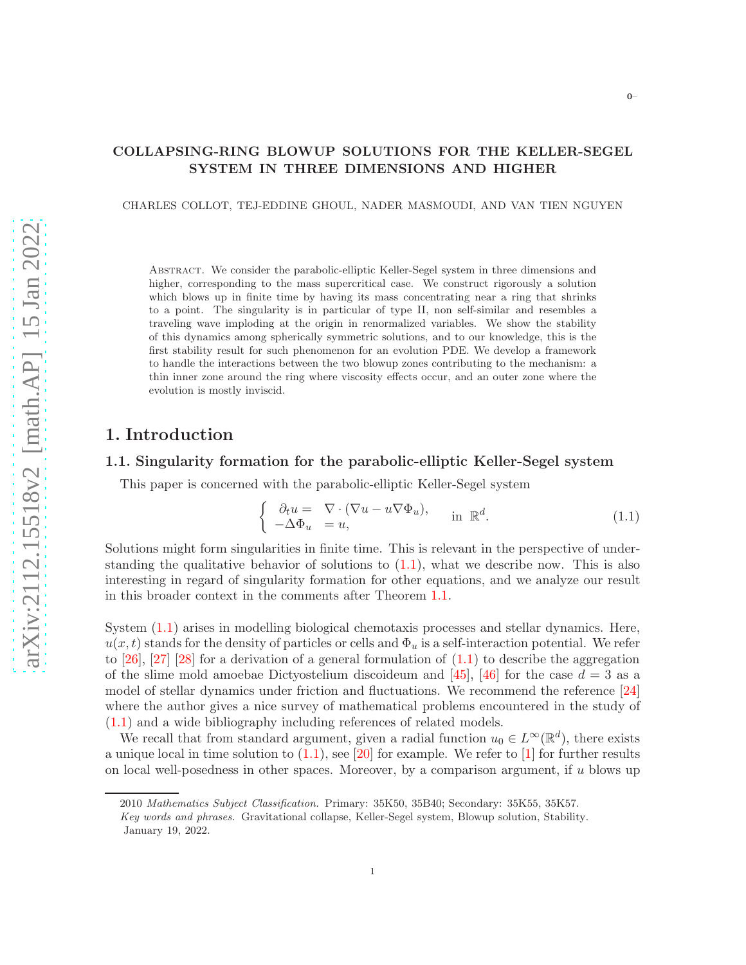# COLLAPSING-RING BLOWUP SOLUTIONS FOR THE KELLER-SEGEL SYSTEM IN THREE DIMENSIONS AND HIGHER

CHARLES COLLOT, TEJ-EDDINE GHOUL, NADER MASMOUDI, AND VAN TIEN NGUYEN

Abstract. We consider the parabolic-elliptic Keller-Segel system in three dimensions and higher, corresponding to the mass supercritical case. We construct rigorously a solution which blows up in finite time by having its mass concentrating near a ring that shrinks to a point. The singularity is in particular of type II, non self-similar and resembles a traveling wave imploding at the origin in renormalized variables. We show the stability of this dynamics among spherically symmetric solutions, and to our knowledge, this is the first stability result for such phenomenon for an evolution PDE. We develop a framework to handle the interactions between the two blowup zones contributing to the mechanism: a thin inner zone around the ring where viscosity effects occur, and an outer zone where the evolution is mostly inviscid.

# 1. Introduction

## 1.1. Singularity formation for the parabolic-elliptic Keller-Segel system

This paper is concerned with the parabolic-elliptic Keller-Segel system

<span id="page-0-0"></span>
$$
\begin{cases}\n\partial_t u = \nabla \cdot (\nabla u - u \nabla \Phi_u), \\
-\Delta \Phi_u = u,\n\end{cases} \text{ in } \mathbb{R}^d.
$$
\n(1.1)

Solutions might form singularities in finite time. This is relevant in the perspective of understanding the qualitative behavior of solutions to  $(1.1)$ , what we describe now. This is also interesting in regard of singularity formation for other equations, and we analyze our result in this broader context in the comments after Theorem [1.1.](#page-2-0)

System [\(1.1\)](#page-0-0) arises in modelling biological chemotaxis processes and stellar dynamics. Here,  $u(x, t)$  stands for the density of particles or cells and  $\Phi_u$  is a self-interaction potential. We refer to  $[26]$ ,  $[27]$   $[28]$  for a derivation of a general formulation of  $(1.1)$  to describe the aggregation of the slime mold amoebae Dictyostelium discoideum and  $[45]$ ,  $[46]$  for the case  $d = 3$  as a model of stellar dynamics under friction and fluctuations. We recommend the reference [\[24](#page-30-3)] where the author gives a nice survey of mathematical problems encountered in the study of [\(1.1\)](#page-0-0) and a wide bibliography including references of related models.

We recall that from standard argument, given a radial function  $u_0 \in L^{\infty}(\mathbb{R}^d)$ , there exists a unique local in time solution to  $(1.1)$ , see [\[20\]](#page-30-4) for example. We refer to [\[1](#page-29-0)] for further results on local well-posedness in other spaces. Moreover, by a comparison argument, if  $u$  blows up

<sup>2010</sup> Mathematics Subject Classification. Primary: 35K50, 35B40; Secondary: 35K55, 35K57.

Key words and phrases. Gravitational collapse, Keller-Segel system, Blowup solution, Stability. January 19, 2022.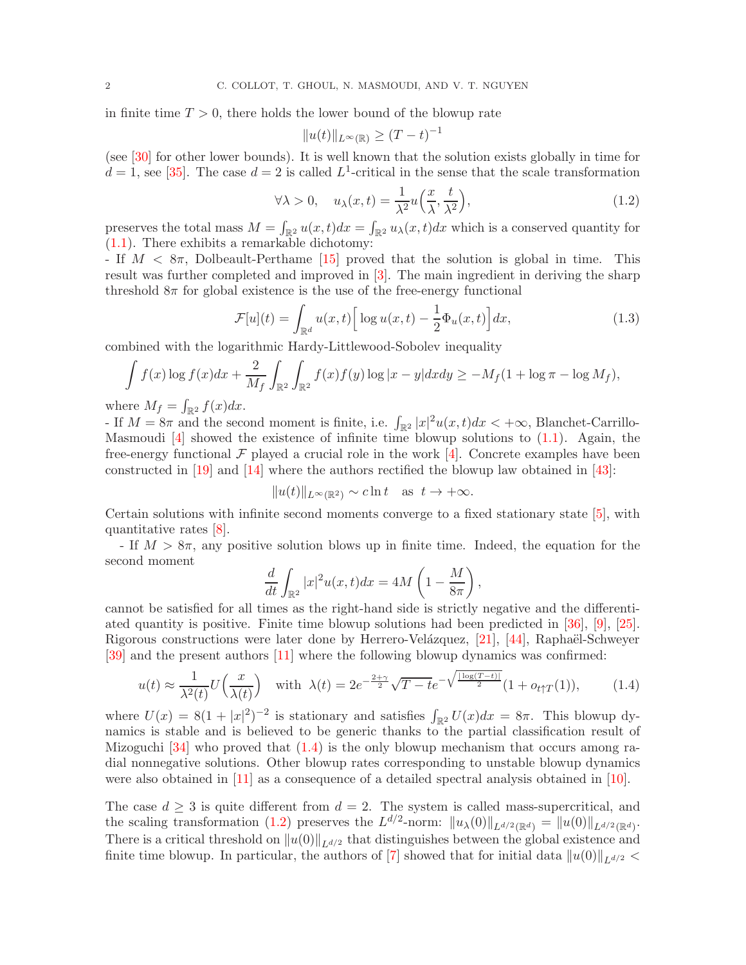in finite time  $T > 0$ , there holds the lower bound of the blowup rate

$$
||u(t)||_{L^{\infty}(\mathbb{R})} \ge (T-t)^{-1}
$$

(see [\[30\]](#page-31-1) for other lower bounds). It is well known that the solution exists globally in time for  $d=1$ , see [\[35\]](#page-31-2). The case  $d=2$  is called  $L^1$ -critical in the sense that the scale transformation

<span id="page-1-1"></span>
$$
\forall \lambda > 0, \quad u_{\lambda}(x, t) = \frac{1}{\lambda^2} u\left(\frac{x}{\lambda}, \frac{t}{\lambda^2}\right),\tag{1.2}
$$

preserves the total mass  $M = \int_{\mathbb{R}^2} u(x, t) dx = \int_{\mathbb{R}^2} u_\lambda(x, t) dx$  which is a conserved quantity for [\(1.1\)](#page-0-0). There exhibits a remarkable dichotomy:

- If  $M < 8\pi$ , Dolbeault-Perthame [\[15\]](#page-30-5) proved that the solution is global in time. This result was further completed and improved in [\[3](#page-29-1)]. The main ingredient in deriving the sharp threshold  $8\pi$  for global existence is the use of the free-energy functional

$$
\mathcal{F}[u](t) = \int_{\mathbb{R}^d} u(x,t) \left[ \log u(x,t) - \frac{1}{2} \Phi_u(x,t) \right] dx, \tag{1.3}
$$

combined with the logarithmic Hardy-Littlewood-Sobolev inequality

$$
\int f(x) \log f(x) dx + \frac{2}{M_f} \int_{\mathbb{R}^2} \int_{\mathbb{R}^2} f(x) f(y) \log |x - y| dx dy \ge -M_f (1 + \log \pi - \log M_f),
$$

where  $M_f = \int_{\mathbb{R}^2} f(x) dx$ .

- If  $M = 8\pi$  and the second moment is finite, i.e.  $\int_{\mathbb{R}^2} |x|^2 u(x, t) dx < +\infty$ , Blanchet-Carrillo-Masmoudi  $[4]$  showed the existence of infinite time blowup solutions to  $(1.1)$ . Again, the free-energy functional  $\mathcal F$  played a crucial role in the work [\[4\]](#page-29-2). Concrete examples have been constructed in [\[19\]](#page-30-6) and [\[14\]](#page-29-3) where the authors rectified the blowup law obtained in [\[43\]](#page-31-3):

 $||u(t)||_{L^{\infty}(\mathbb{R}^2)} \sim c \ln t$  as  $t \to +\infty$ .

Certain solutions with infinite second moments converge to a fixed stationary state [\[5\]](#page-29-4), with quantitative rates [\[8\]](#page-29-5).

- If  $M > 8\pi$ , any positive solution blows up in finite time. Indeed, the equation for the second moment

$$
\frac{d}{dt} \int_{\mathbb{R}^2} |x|^2 u(x, t) dx = 4M \left( 1 - \frac{M}{8\pi} \right),
$$

cannot be satisfied for all times as the right-hand side is strictly negative and the differentiated quantity is positive. Finite time blowup solutions had been predicted in [\[36\]](#page-31-4), [\[9](#page-29-6)], [\[25](#page-30-7)]. Rigorous constructions were later done by Herrero-Velázquez,  $[21]$ ,  $[44]$ , Raphaël-Schweyer [\[39](#page-31-6)] and the present authors [\[11](#page-29-7)] where the following blowup dynamics was confirmed:

<span id="page-1-0"></span>
$$
u(t) \approx \frac{1}{\lambda^2(t)} U\left(\frac{x}{\lambda(t)}\right) \quad \text{with} \quad \lambda(t) = 2e^{-\frac{2+\gamma}{2}} \sqrt{T-t} e^{-\sqrt{\frac{|\log(T-t)|}{2}}} (1+o_{t\uparrow T}(1)),\tag{1.4}
$$

where  $U(x) = 8(1+|x|^2)^{-2}$  is stationary and satisfies  $\int_{\mathbb{R}^2} U(x) dx = 8\pi$ . This blowup dynamics is stable and is believed to be generic thanks to the partial classification result of Mizoguchi  $[34]$  who proved that  $(1.4)$  is the only blowup mechanism that occurs among radial nonnegative solutions. Other blowup rates corresponding to unstable blowup dynamics were also obtained in [\[11\]](#page-29-7) as a consequence of a detailed spectral analysis obtained in [\[10\]](#page-29-8).

The case  $d \geq 3$  is quite different from  $d = 2$ . The system is called mass-supercritical, and the scaling transformation [\(1.2\)](#page-1-1) preserves the  $L^{d/2}$ -norm:  $||u_{\lambda}(0)||_{L^{d/2}(\mathbb{R}^d)} = ||u(0)||_{L^{d/2}(\mathbb{R}^d)}$ . There is a critical threshold on  $||u(0)||_{L^{d/2}}$  that distinguishes between the global existence and finite time blowup. In particular, the authors of  $\langle 7 \rangle$  showed that for initial data  $\|u(0)\|_{L^{d/2}}$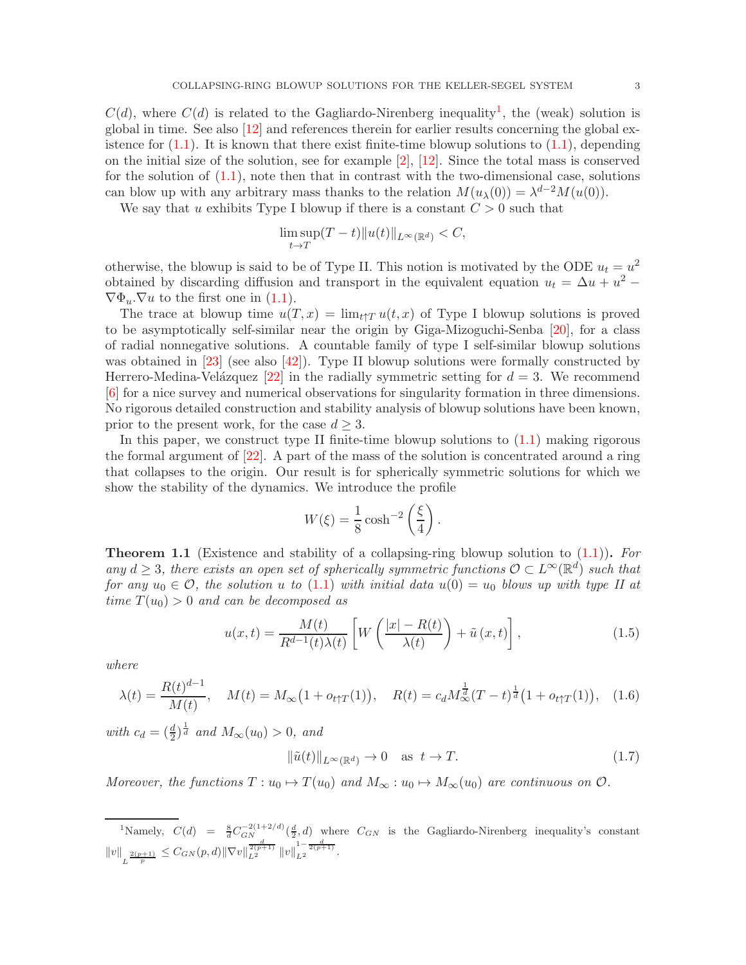$C(d)$ , where  $C(d)$  is related to the Gagliardo-Nirenberg inequality<sup>[1](#page-2-1)</sup>, the (weak) solution is global in time. See also [\[12\]](#page-29-10) and references therein for earlier results concerning the global existence for  $(1.1)$ . It is known that there exist finite-time blowup solutions to  $(1.1)$ , depending on the initial size of the solution, see for example  $[2]$ ,  $[12]$ . Since the total mass is conserved for the solution of  $(1.1)$ , note then that in contrast with the two-dimensional case, solutions can blow up with any arbitrary mass thanks to the relation  $M(u_\lambda(0)) = \lambda^{d-2} M(u(0)).$ 

We say that u exhibits Type I blowup if there is a constant  $C > 0$  such that

$$
\limsup_{t \to T} (T-t) ||u(t)||_{L^{\infty}(\mathbb{R}^d)} < C,
$$

otherwise, the blowup is said to be of Type II. This notion is motivated by the ODE  $u_t = u^2$ obtained by discarding diffusion and transport in the equivalent equation  $u_t = \Delta u + u^2 \nabla \Phi_u$ .  $\nabla u$  to the first one in [\(1.1\)](#page-0-0).

The trace at blowup time  $u(T, x) = \lim_{t \uparrow T} u(t, x)$  of Type I blowup solutions is proved to be asymptotically self-similar near the origin by Giga-Mizoguchi-Senba [\[20](#page-30-4)], for a class of radial nonnegative solutions. A countable family of type I self-similar blowup solutions was obtained in [\[23\]](#page-30-9) (see also [\[42](#page-31-8)]). Type II blowup solutions were formally constructed by Herrero-Medina-Velázquez [\[22](#page-30-10)] in the radially symmetric setting for  $d = 3$ . We recommend [\[6\]](#page-29-12) for a nice survey and numerical observations for singularity formation in three dimensions. No rigorous detailed construction and stability analysis of blowup solutions have been known, prior to the present work, for the case  $d \geq 3$ .

In this paper, we construct type II finite-time blowup solutions to  $(1.1)$  making rigorous the formal argument of  $[22]$ . A part of the mass of the solution is concentrated around a ring that collapses to the origin. Our result is for spherically symmetric solutions for which we show the stability of the dynamics. We introduce the profile

$$
W(\xi) = \frac{1}{8} \cosh^{-2} \left(\frac{\xi}{4}\right).
$$

<span id="page-2-0"></span>**Theorem 1.1** (Existence and stability of a collapsing-ring blowup solution to  $(1.1)$ ). For any  $d \geq 3$ , there exists an open set of spherically symmetric functions  $\mathcal{O} \subset L^{\infty}(\mathbb{R}^d)$  such that for any  $u_0 \in \mathcal{O}$ , the solution u to [\(1.1\)](#page-0-0) with initial data  $u(0) = u_0$  blows up with type II at time  $T(u_0) > 0$  and can be decomposed as

<span id="page-2-3"></span>
$$
u(x,t) = \frac{M(t)}{R^{d-1}(t)\lambda(t)} \left[ W\left(\frac{|x| - R(t)}{\lambda(t)}\right) + \tilde{u}(x,t) \right],
$$
\n(1.5)

where

<span id="page-2-4"></span>
$$
\lambda(t) = \frac{R(t)^{d-1}}{M(t)}, \quad M(t) = M_{\infty} \left(1 + o_{t \uparrow T}(1)\right), \quad R(t) = c_d M_{\infty}^{\frac{1}{d}} (T - t)^{\frac{1}{d}} \left(1 + o_{t \uparrow T}(1)\right), \quad (1.6)
$$

with  $c_d = \left(\frac{d}{2}\right)^{\frac{1}{d}}$  and  $M_\infty(u_0) > 0$ , and

<span id="page-2-2"></span>
$$
\|\tilde{u}(t)\|_{L^{\infty}(\mathbb{R}^d)} \to 0 \quad \text{as } t \to T. \tag{1.7}
$$

Moreover, the functions  $T: u_0 \mapsto T(u_0)$  and  $M_\infty: u_0 \mapsto M_\infty(u_0)$  are continuous on  $\mathcal{O}$ .

<span id="page-2-1"></span><sup>&</sup>lt;sup>1</sup>Namely,  $C(d) = \frac{8}{d}C_{GN}^{-2(1+2/d)}(\frac{d}{2},d)$  where  $C_{GN}$  is the Gagliardo-Nirenberg inequality's constant  $||v||_{L^{\frac{2(p+1)}{p}}} \leq C_{GN}(p,d)||\nabla v||_{L^{2}}^{\frac{d}{2(p+1)}} ||v||_{L^{2}}^{1-\frac{d}{2(p+1)}}.$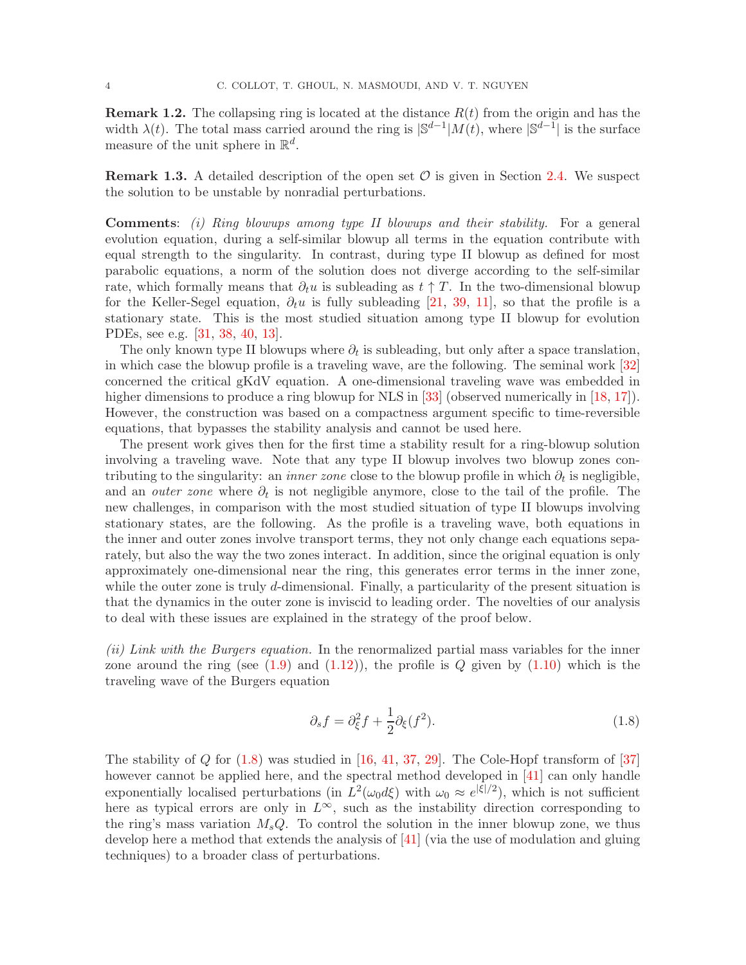**Remark 1.2.** The collapsing ring is located at the distance  $R(t)$  from the origin and has the width  $\lambda(t)$ . The total mass carried around the ring is  $\mathcal{S}^{d-1}|M(t)$ , where  $\mathcal{S}^{d-1}|$  is the surface measure of the unit sphere in  $\mathbb{R}^d$ .

**Remark 1.3.** A detailed description of the open set  $\mathcal{O}$  is given in Section [2.4.](#page-11-0) We suspect the solution to be unstable by nonradial perturbations.

Comments: (i) Ring blowups among type II blowups and their stability. For a general evolution equation, during a self-similar blowup all terms in the equation contribute with equal strength to the singularity. In contrast, during type II blowup as defined for most parabolic equations, a norm of the solution does not diverge according to the self-similar rate, which formally means that  $\partial_t u$  is subleading as  $t \uparrow T$ . In the two-dimensional blowup for the Keller-Segel equation,  $\partial_t u$  is fully subleading [\[21,](#page-30-8) [39,](#page-31-6) [11\]](#page-29-7), so that the profile is a stationary state. This is the most studied situation among type II blowup for evolution PDEs, see e.g. [\[31](#page-31-9), [38,](#page-31-10) [40](#page-31-11), [13](#page-29-13)].

The only known type II blowups where  $\partial_t$  is subleading, but only after a space translation, in which case the blowup profile is a traveling wave, are the following. The seminal work [\[32](#page-31-12)] concerned the critical gKdV equation. A one-dimensional traveling wave was embedded in higher dimensions to produce a ring blowup for NLS in [\[33](#page-31-13)] (observed numerically in [\[18](#page-30-11), [17](#page-30-12)]). However, the construction was based on a compactness argument specific to time-reversible equations, that bypasses the stability analysis and cannot be used here.

The present work gives then for the first time a stability result for a ring-blowup solution involving a traveling wave. Note that any type II blowup involves two blowup zones contributing to the singularity: an *inner zone* close to the blowup profile in which  $\partial_t$  is negligible, and an *outer zone* where  $\partial_t$  is not negligible anymore, close to the tail of the profile. The new challenges, in comparison with the most studied situation of type II blowups involving stationary states, are the following. As the profile is a traveling wave, both equations in the inner and outer zones involve transport terms, they not only change each equations separately, but also the way the two zones interact. In addition, since the original equation is only approximately one-dimensional near the ring, this generates error terms in the inner zone, while the outer zone is truly  $d$ -dimensional. Finally, a particularity of the present situation is that the dynamics in the outer zone is inviscid to leading order. The novelties of our analysis to deal with these issues are explained in the strategy of the proof below.

(ii) Link with the Burgers equation. In the renormalized partial mass variables for the inner zone around the ring (see  $(1.9)$  and  $(1.12)$ ), the profile is Q given by  $(1.10)$  which is the traveling wave of the Burgers equation

<span id="page-3-0"></span>
$$
\partial_s f = \partial_{\xi}^2 f + \frac{1}{2} \partial_{\xi} (f^2). \tag{1.8}
$$

The stability of  $Q$  for  $(1.8)$  was studied in [\[16](#page-30-13), [41](#page-31-14), [37](#page-31-15), [29\]](#page-31-16). The Cole-Hopf transform of [\[37](#page-31-15)] however cannot be applied here, and the spectral method developed in [\[41](#page-31-14)] can only handle exponentially localised perturbations (in  $L^2(\omega_0 d\xi)$  with  $\omega_0 \approx e^{|\xi|/2}$ ), which is not sufficient here as typical errors are only in  $L^{\infty}$ , such as the instability direction corresponding to the ring's mass variation  $M_sQ$ . To control the solution in the inner blowup zone, we thus develop here a method that extends the analysis of [\[41](#page-31-14)] (via the use of modulation and gluing techniques) to a broader class of perturbations.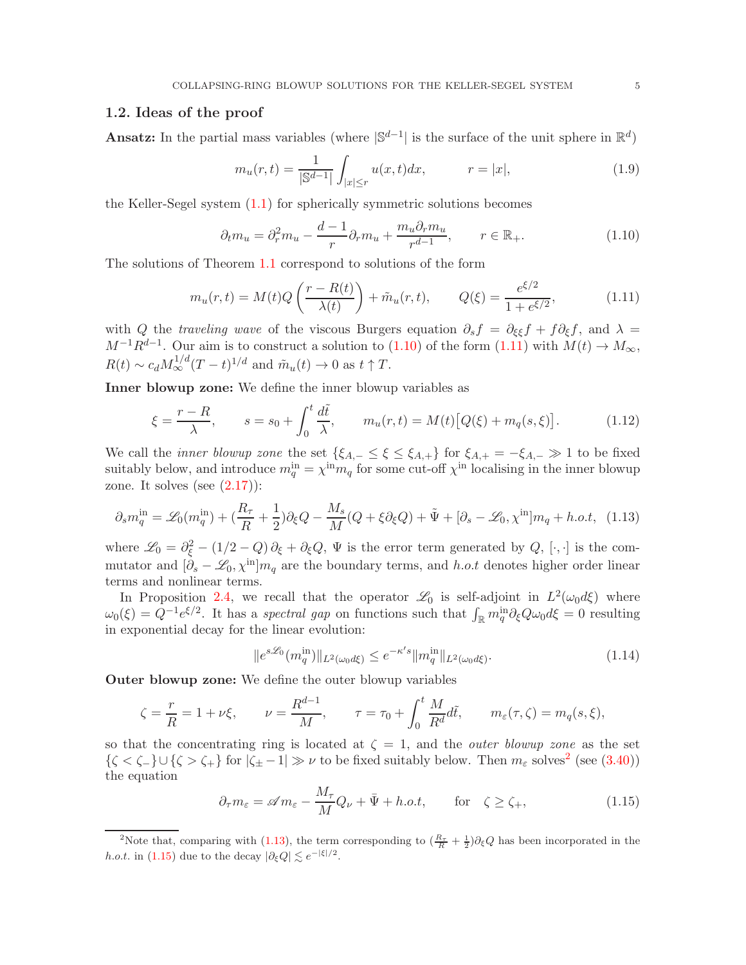### 1.2. Ideas of the proof

Ansatz: In the partial mass variables (where  $|\mathbb{S}^{d-1}|$  is the surface of the unit sphere in  $\mathbb{R}^d$ )

<span id="page-4-0"></span>
$$
m_u(r,t) = \frac{1}{|\mathbb{S}^{d-1}|} \int_{|x| \le r} u(x,t) dx, \qquad r = |x|,
$$
\n(1.9)

the Keller-Segel system [\(1.1\)](#page-0-0) for spherically symmetric solutions becomes

<span id="page-4-2"></span>
$$
\partial_t m_u = \partial_r^2 m_u - \frac{d-1}{r} \partial_r m_u + \frac{m_u \partial_r m_u}{r^{d-1}}, \qquad r \in \mathbb{R}_+.
$$
 (1.10)

The solutions of Theorem [1.1](#page-2-0) correspond to solutions of the form

<span id="page-4-3"></span>
$$
m_u(r,t) = M(t)Q\left(\frac{r - R(t)}{\lambda(t)}\right) + \tilde{m}_u(r,t), \qquad Q(\xi) = \frac{e^{\xi/2}}{1 + e^{\xi/2}},\tag{1.11}
$$

with Q the traveling wave of the viscous Burgers equation  $\partial_s f = \partial_{\xi\xi} f + f \partial_{\xi} f$ , and  $\lambda =$  $M^{-1}R^{d-1}$ . Our aim is to construct a solution to  $(1.10)$  of the form  $(1.11)$  with  $M(t) \to M_{\infty}$ ,  $R(t) \sim c_d M_{\infty}^{1/d} (T-t)^{1/d}$  and  $\tilde{m}_u(t) \to 0$  as  $t \uparrow T$ .

Inner blowup zone: We define the inner blowup variables as

<span id="page-4-1"></span>
$$
\xi = \frac{r - R}{\lambda}, \qquad s = s_0 + \int_0^t \frac{d\tilde{t}}{\lambda}, \qquad m_u(r, t) = M(t) [Q(\xi) + m_q(s, \xi)].
$$
\n(1.12)

We call the *inner blowup zone* the set  $\{\xi_{A,-} \leq \xi \leq \xi_{A,+}\}\$  for  $\xi_{A,+} = -\xi_{A,-} \gg 1$  to be fixed suitably below, and introduce  $m_q^{\text{in}} = \chi^{\text{in}} m_q$  for some cut-off  $\chi^{\text{in}}$  localising in the inner blowup zone. It solves (see  $(2.17)$ ):

<span id="page-4-5"></span>
$$
\partial_s m_q^{\text{in}} = \mathcal{L}_0(m_q^{\text{in}}) + \left(\frac{R_\tau}{R} + \frac{1}{2}\right)\partial_\xi Q - \frac{M_s}{M}(Q + \xi \partial_\xi Q) + \tilde{\Psi} + [\partial_s - \mathcal{L}_0, \chi^{\text{in}}]m_q + h.o.t,\tag{1.13}
$$

where  $\mathscr{L}_0 = \partial_{\xi}^2 - (1/2 - Q)\partial_{\xi} + \partial_{\xi}Q$ ,  $\Psi$  is the error term generated by  $Q$ ,  $[\cdot, \cdot]$  is the commutator and  $[\dot{\partial}_s - \mathcal{L}_0, \chi^{\text{in}}] m_q$  are the boundary terms, and h.o.t denotes higher order linear terms and nonlinear terms.

In Proposition [2.4,](#page-9-0) we recall that the operator  $\mathscr{L}_0$  is self-adjoint in  $L^2(\omega_0 d\xi)$  where  $\omega_0(\xi) = Q^{-1}e^{\xi/2}$ . It has a spectral gap on functions such that  $\int_{\mathbb{R}} m_q^{\text{in}} \partial_{\xi} Q \omega_0 d\xi = 0$  resulting in exponential decay for the linear evolution:

<span id="page-4-7"></span>
$$
||e^{s\mathcal{L}_0}(m_q^{\text{in}})||_{L^2(\omega_0 d\xi)} \le e^{-\kappa's} ||m_q^{\text{in}}||_{L^2(\omega_0 d\xi)}.
$$
\n(1.14)

Outer blowup zone: We define the outer blowup variables

$$
\zeta = \frac{r}{R} = 1 + \nu \xi, \qquad \nu = \frac{R^{d-1}}{M}, \qquad \tau = \tau_0 + \int_0^t \frac{M}{R^d} d\tilde{t}, \qquad m_\varepsilon(\tau, \zeta) = m_q(s, \xi),
$$

so that the concentrating ring is located at  $\zeta = 1$ , and the *outer blowup zone* as the set  $\{\zeta < \zeta_-\}\cup \{\zeta > \zeta_+\}\$ for  $|\zeta_{\pm} - 1| \gg \nu$  to be fixed suitably below. Then  $m_{\varepsilon}$  solves<sup>[2](#page-4-4)</sup> (see [\(3.40\)](#page-19-0)) the equation

<span id="page-4-6"></span>
$$
\partial_{\tau} m_{\varepsilon} = \mathscr{A} m_{\varepsilon} - \frac{M_{\tau}}{M} Q_{\nu} + \bar{\Psi} + h.o.t, \qquad \text{for} \quad \zeta \ge \zeta_{+}, \tag{1.15}
$$

<span id="page-4-4"></span><sup>&</sup>lt;sup>2</sup>Note that, comparing with [\(1.13\)](#page-4-5), the term corresponding to  $(\frac{R_{\tau}}{R}+\frac{1}{2})\partial_{\xi}Q$  has been incorporated in the *h.o.t.* in [\(1.15\)](#page-4-6) due to the decay  $|\partial_{\xi} Q| \lesssim e^{-|\xi|/2}$ .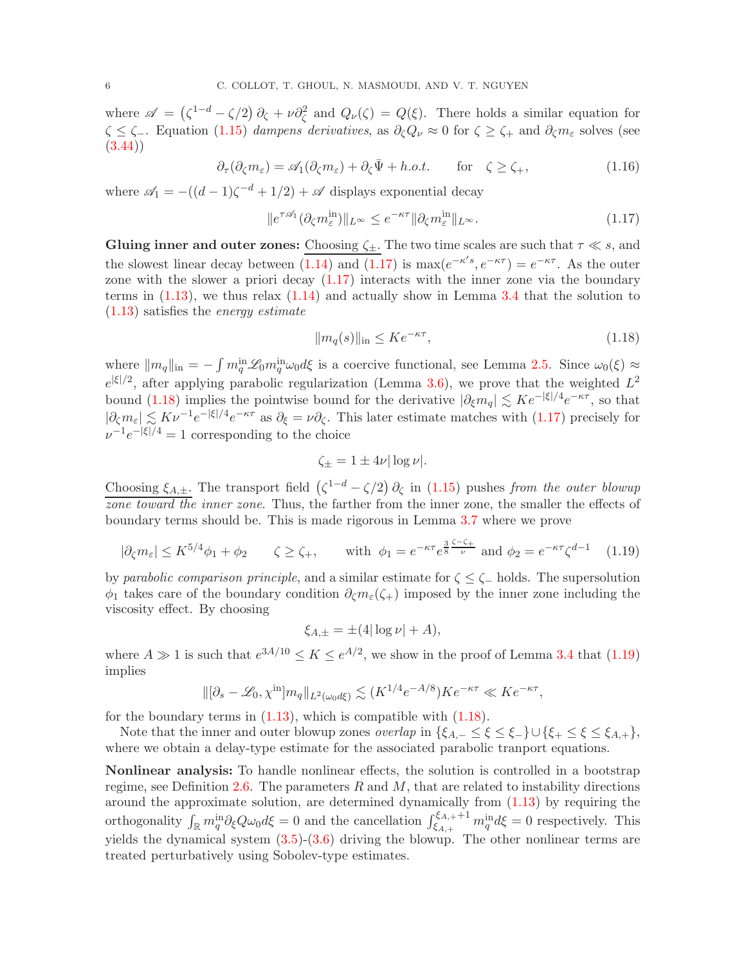where  $\mathscr{A} = (\zeta^{1-d} - \zeta/2) \partial_{\zeta} + \nu \partial_{\zeta}^2$  and  $Q_{\nu}(\zeta) = Q(\xi)$ . There holds a similar equation for  $\zeta \leq \zeta$ . Equation [\(1.15\)](#page-4-6) dampens derivatives, as  $\partial_{\zeta} Q_{\nu} \approx 0$  for  $\zeta \geq \zeta_{+}$  and  $\partial_{\zeta} m_{\varepsilon}$  solves (see  $(3.44)$ 

$$
\partial_{\tau}(\partial_{\zeta}m_{\varepsilon}) = \mathscr{A}_{1}(\partial_{\zeta}m_{\varepsilon}) + \partial_{\zeta}\bar{\Psi} + h.o.t. \quad \text{for} \quad \zeta \ge \zeta_{+}, \tag{1.16}
$$

where  $\mathscr{A}_1 = -((d-1)\zeta^{-d} + 1/2) + \mathscr{A}$  displays exponential decay

<span id="page-5-0"></span>
$$
||e^{\tau \mathscr{A}_1}(\partial_{\zeta} m_{\varepsilon}^{\text{in}})||_{L^{\infty}} \le e^{-\kappa \tau} ||\partial_{\zeta} m_{\varepsilon}^{\text{in}}||_{L^{\infty}}.
$$
\n(1.17)

Gluing inner and outer zones: Choosing  $\zeta_{\pm}$ . The two time scales are such that  $\tau \ll s$ , and the slowest linear decay between [\(1.14\)](#page-4-7) and [\(1.17\)](#page-5-0) is  $\max(e^{-\kappa' s}, e^{-\kappa \tau}) = e^{-\kappa \tau}$ . As the outer zone with the slower a priori decay [\(1.17\)](#page-5-0) interacts with the inner zone via the boundary terms in  $(1.13)$ , we thus relax  $(1.14)$  and actually show in Lemma [3.4](#page-17-0) that the solution to [\(1.13\)](#page-4-5) satisfies the energy estimate

<span id="page-5-1"></span>
$$
||m_q(s)||_{\text{in}} \le Ke^{-\kappa \tau},\tag{1.18}
$$

where  $\|m_q\|_{\text{in}} = -\int m_q^{\text{in}} \mathcal{L}_0 m_q^{\text{in}} \omega_0 d\xi$  is a coercive functional, see Lemma [2.5.](#page-11-1) Since  $\omega_0(\xi) \approx$  $e^{|\xi|/2}$ , after applying parabolic regularization (Lemma [3.6\)](#page-21-0), we prove that the weighted  $L^2$ bound [\(1.18\)](#page-5-1) implies the pointwise bound for the derivative  $|\partial_{\xi} m_q| \lesssim K e^{-|\xi|/4} e^{-\kappa \tau}$ , so that  $|\partial_\zeta m_\varepsilon| \lesssim K \nu^{-1} e^{-|\xi|/4} e^{-\kappa \tau}$  as  $\partial_\xi = \nu \partial_\zeta$ . This later estimate matches with [\(1.17\)](#page-5-0) precisely for  $\nu^{-1}e^{-|\xi|/4} = 1$  corresponding to the choice

$$
\zeta_{\pm} = 1 \pm 4\nu |\log \nu|.
$$

Choosing  $\xi_{A,\pm}$ . The transport field  $(\zeta^{1-d} - \zeta/2) \partial_{\zeta}$  in [\(1.15\)](#page-4-6) pushes from the outer blowup zone toward the inner zone. Thus, the farther from the inner zone, the smaller the effects of boundary terms should be. This is made rigorous in Lemma [3.7](#page-22-0) where we prove

<span id="page-5-2"></span>
$$
|\partial_{\zeta} m_{\varepsilon}| \le K^{5/4} \phi_1 + \phi_2 \qquad \zeta \ge \zeta_+, \qquad \text{with } \phi_1 = e^{-\kappa \tau} e^{\frac{3}{8} \frac{\zeta - \zeta_+}{\nu}} \text{ and } \phi_2 = e^{-\kappa \tau} \zeta^{d-1} \tag{1.19}
$$

by parabolic comparison principle, and a similar estimate for  $\zeta \leq \zeta$  holds. The supersolution  $\phi_1$  takes care of the boundary condition  $\partial_\zeta m_\zeta(\zeta_+)$  imposed by the inner zone including the viscosity effect. By choosing

$$
\xi_{A,\pm} = \pm (4|\log \nu| + A),
$$

where  $A \gg 1$  is such that  $e^{3A/10} \le K \le e^{A/2}$ , we show in the proof of Lemma [3.4](#page-17-0) that [\(1.19\)](#page-5-2) implies

$$
\|[\partial_s - \mathcal{L}_0, \chi^{\text{in}}] m_q \|_{L^2(\omega_0 d\xi)} \lesssim (K^{1/4} e^{-A/8}) K e^{-\kappa \tau} \ll K e^{-\kappa \tau},
$$

for the boundary terms in  $(1.13)$ , which is compatible with  $(1.18)$ .

Note that the inner and outer blowup zones *overlap* in  $\{\xi_{A,-} \leq \xi \leq \xi_{-}\}\cup \{\xi_{+} \leq \xi \leq \xi_{A,+}\},\$ where we obtain a delay-type estimate for the associated parabolic tranport equations.

Nonlinear analysis: To handle nonlinear effects, the solution is controlled in a bootstrap regime, see Definition [2.6.](#page-12-0) The parameters  $R$  and  $M$ , that are related to instability directions around the approximate solution, are determined dynamically from [\(1.13\)](#page-4-5) by requiring the orthogonality  $\int_{\mathbb{R}} m_q^{\text{in}} \partial_{\xi} Q \omega_0 d\xi = 0$  and the cancellation  $\int_{\xi_{A,+}}^{\xi_{A,+}+1} m_q^{\text{in}} d\xi = 0$  respectively. This yields the dynamical system  $(3.5)-(3.6)$  $(3.5)-(3.6)$  driving the blowup. The other nonlinear terms are treated perturbatively using Sobolev-type estimates.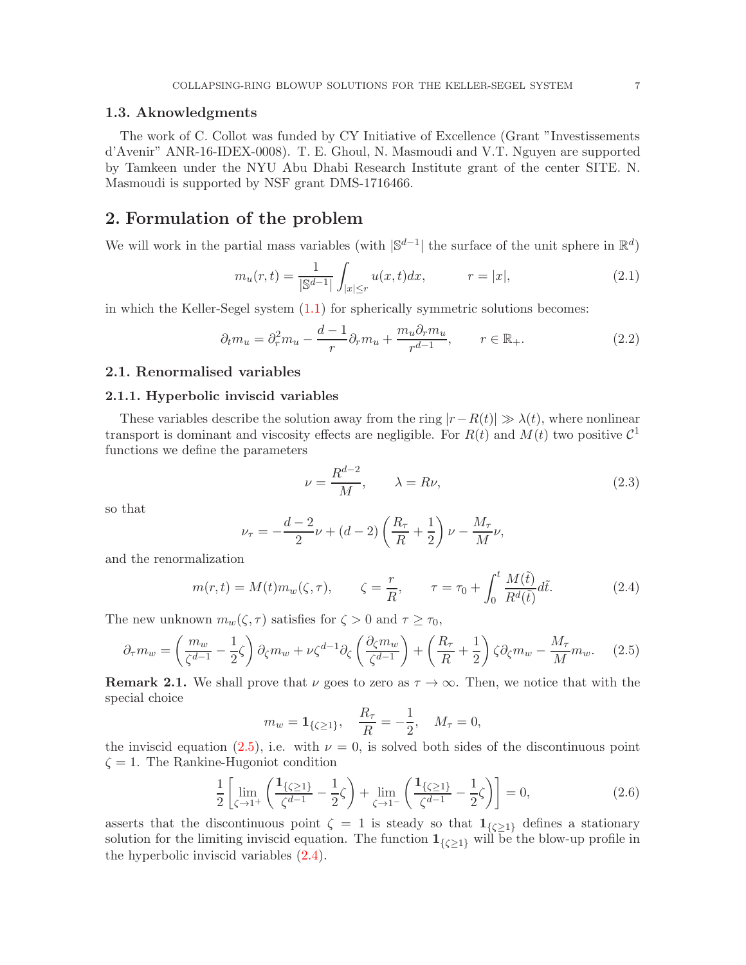### 1.3. Aknowledgments

The work of C. Collot was funded by CY Initiative of Excellence (Grant "Investissements d'Avenir" ANR-16-IDEX-0008). T. E. Ghoul, N. Masmoudi and V.T. Nguyen are supported by Tamkeen under the NYU Abu Dhabi Research Institute grant of the center SITE. N. Masmoudi is supported by NSF grant DMS-1716466.

# 2. Formulation of the problem

We will work in the partial mass variables (with  $|\mathbb{S}^{d-1}|$  the surface of the unit sphere in  $\mathbb{R}^d$ )

<span id="page-6-4"></span>
$$
m_u(r,t) = \frac{1}{|\mathbb{S}^{d-1}|} \int_{|x| \le r} u(x,t) dx, \qquad r = |x|,
$$
\n(2.1)

in which the Keller-Segel system  $(1.1)$  for spherically symmetric solutions becomes:

<span id="page-6-6"></span>
$$
\partial_t m_u = \partial_r^2 m_u - \frac{d-1}{r} \partial_r m_u + \frac{m_u \partial_r m_u}{r^{d-1}}, \qquad r \in \mathbb{R}_+.
$$
 (2.2)

## 2.1. Renormalised variables

#### 2.1.1. Hyperbolic inviscid variables

These variables describe the solution away from the ring  $|r-R(t)| \gg \lambda(t)$ , where nonlinear transport is dominant and viscosity effects are negligible. For  $R(t)$  and  $M(t)$  two positive  $C<sup>1</sup>$ functions we define the parameters

<span id="page-6-5"></span><span id="page-6-0"></span>
$$
\nu = \frac{R^{d-2}}{M}, \qquad \lambda = R\nu,
$$
\n(2.3)

so that

$$
\nu_{\tau} = -\frac{d-2}{2}\nu + (d-2)\left(\frac{R_{\tau}}{R} + \frac{1}{2}\right)\nu - \frac{M_{\tau}}{M}\nu,
$$

and the renormalization

<span id="page-6-1"></span>
$$
m(r,t) = M(t)m_w(\zeta,\tau), \qquad \zeta = \frac{r}{R}, \qquad \tau = \tau_0 + \int_0^t \frac{M(\tilde{t})}{R^d(\tilde{t})} d\tilde{t}.
$$
 (2.4)

The new unknown  $m_w(\zeta, \tau)$  satisfies for  $\zeta > 0$  and  $\tau \geq \tau_0$ ,

$$
\partial_{\tau} m_w = \left(\frac{m_w}{\zeta^{d-1}} - \frac{1}{2}\zeta\right) \partial_{\zeta} m_w + \nu \zeta^{d-1} \partial_{\zeta} \left(\frac{\partial_{\zeta} m_w}{\zeta^{d-1}}\right) + \left(\frac{R_{\tau}}{R} + \frac{1}{2}\right) \zeta \partial_{\zeta} m_w - \frac{M_{\tau}}{M} m_w. \tag{2.5}
$$

<span id="page-6-2"></span>**Remark 2.1.** We shall prove that  $\nu$  goes to zero as  $\tau \to \infty$ . Then, we notice that with the special choice

$$
m_w = \mathbf{1}_{\{\zeta \ge 1\}}, \quad \frac{R_\tau}{R} = -\frac{1}{2}, \quad M_\tau = 0,
$$

the inviscid equation [\(2.5\)](#page-6-0), i.e. with  $\nu = 0$ , is solved both sides of the discontinuous point  $\zeta = 1$ . The Rankine-Hugoniot condition

<span id="page-6-3"></span>
$$
\frac{1}{2} \left[ \lim_{\zeta \to 1^+} \left( \frac{\mathbf{1}_{\{\zeta \ge 1\}}}{\zeta^{d-1}} - \frac{1}{2} \zeta \right) + \lim_{\zeta \to 1^-} \left( \frac{\mathbf{1}_{\{\zeta \ge 1\}}}{\zeta^{d-1}} - \frac{1}{2} \zeta \right) \right] = 0, \tag{2.6}
$$

asserts that the discontinuous point  $\zeta = 1$  is steady so that  $1_{\{\zeta > 1\}}$  defines a stationary solution for the limiting inviscid equation. The function  $\mathbf{1}_{\{\zeta\geq 1\}}$  will be the blow-up profile in the hyperbolic inviscid variables [\(2.4\)](#page-6-1).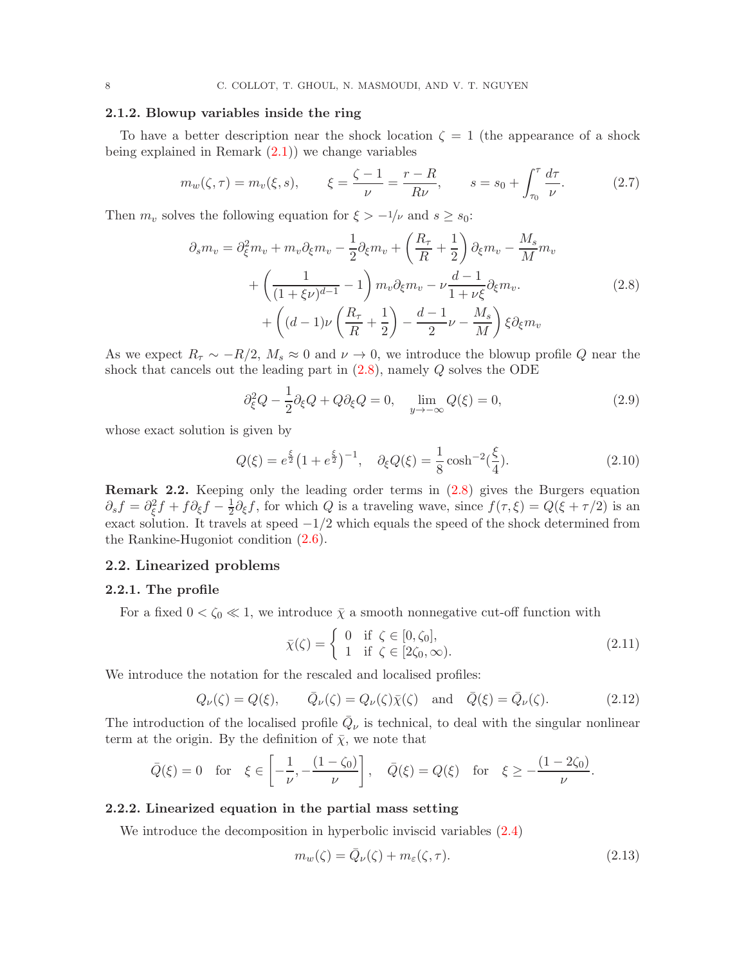### 2.1.2. Blowup variables inside the ring

To have a better description near the shock location  $\zeta = 1$  (the appearance of a shock being explained in Remark  $(2.1)$  we change variables

<span id="page-7-1"></span>
$$
m_w(\zeta, \tau) = m_v(\xi, s), \qquad \xi = \frac{\zeta - 1}{\nu} = \frac{r - R}{R\nu}, \qquad s = s_0 + \int_{\tau_0}^{\tau} \frac{d\tau}{\nu}.
$$
 (2.7)

Then  $m_v$  solves the following equation for  $\xi > -1/\nu$  and  $s \geq s_0$ :

$$
\partial_s m_v = \partial_{\xi}^2 m_v + m_v \partial_{\xi} m_v - \frac{1}{2} \partial_{\xi} m_v + \left(\frac{R_{\tau}}{R} + \frac{1}{2}\right) \partial_{\xi} m_v - \frac{M_s}{M} m_v
$$
  
+ 
$$
\left(\frac{1}{(1 + \xi \nu)^{d-1}} - 1\right) m_v \partial_{\xi} m_v - \nu \frac{d-1}{1 + \nu \xi} \partial_{\xi} m_v.
$$
(2.8)  
+ 
$$
\left((d-1)\nu \left(\frac{R_{\tau}}{R} + \frac{1}{2}\right) - \frac{d-1}{2} \nu - \frac{M_s}{M}\right) \xi \partial_{\xi} m_v
$$

As we expect  $R_{\tau} \sim -R/2$ ,  $M_s \approx 0$  and  $\nu \to 0$ , we introduce the blowup profile Q near the shock that cancels out the leading part in [\(2.8\)](#page-7-0), namely Q solves the ODE

<span id="page-7-2"></span><span id="page-7-0"></span>
$$
\partial_{\xi}^{2}Q - \frac{1}{2}\partial_{\xi}Q + Q\partial_{\xi}Q = 0, \quad \lim_{y \to -\infty} Q(\xi) = 0,
$$
\n(2.9)

whose exact solution is given by

<span id="page-7-3"></span>
$$
Q(\xi) = e^{\frac{\xi}{2}} \left( 1 + e^{\frac{\xi}{2}} \right)^{-1}, \quad \partial_{\xi} Q(\xi) = \frac{1}{8} \cosh^{-2} \left( \frac{\xi}{4} \right). \tag{2.10}
$$

Remark 2.2. Keeping only the leading order terms in [\(2.8\)](#page-7-0) gives the Burgers equation  $\partial_s f = \partial_{\xi}^2 f + f \partial_{\xi} f - \frac{1}{2}$  $\frac{1}{2}\partial_{\xi}f$ , for which Q is a traveling wave, since  $f(\tau,\xi) = Q(\xi + \tau/2)$  is an exact solution. It travels at speed  $-1/2$  which equals the speed of the shock determined from the Rankine-Hugoniot condition [\(2.6\)](#page-6-3).

#### 2.2. Linearized problems

## 2.2.1. The profile

For a fixed  $0 < \zeta_0 \ll 1$ , we introduce  $\overline{\chi}$  a smooth nonnegative cut-off function with

$$
\bar{\chi}(\zeta) = \begin{cases}\n0 & \text{if } \zeta \in [0, \zeta_0], \\
1 & \text{if } \zeta \in [2\zeta_0, \infty).\n\end{cases}
$$
\n(2.11)

We introduce the notation for the rescaled and localised profiles:

<span id="page-7-5"></span>
$$
Q_{\nu}(\zeta) = Q(\xi), \qquad \bar{Q}_{\nu}(\zeta) = Q_{\nu}(\zeta)\bar{\chi}(\zeta) \quad \text{and} \quad \bar{Q}(\xi) = \bar{Q}_{\nu}(\zeta). \tag{2.12}
$$

The introduction of the localised profile  $\overline{Q}_{\nu}$  is technical, to deal with the singular nonlinear term at the origin. By the definition of  $\bar{\chi}$ , we note that

$$
\bar{Q}(\xi) = 0
$$
 for  $\xi \in \left[ -\frac{1}{\nu}, -\frac{(1-\zeta_0)}{\nu} \right]$ ,  $\bar{Q}(\xi) = Q(\xi)$  for  $\xi \ge -\frac{(1-2\zeta_0)}{\nu}$ .

#### 2.2.2. Linearized equation in the partial mass setting

We introduce the decomposition in hyperbolic inviscid variables [\(2.4\)](#page-6-1)

<span id="page-7-4"></span>
$$
m_w(\zeta) = \bar{Q}_\nu(\zeta) + m_\varepsilon(\zeta, \tau). \tag{2.13}
$$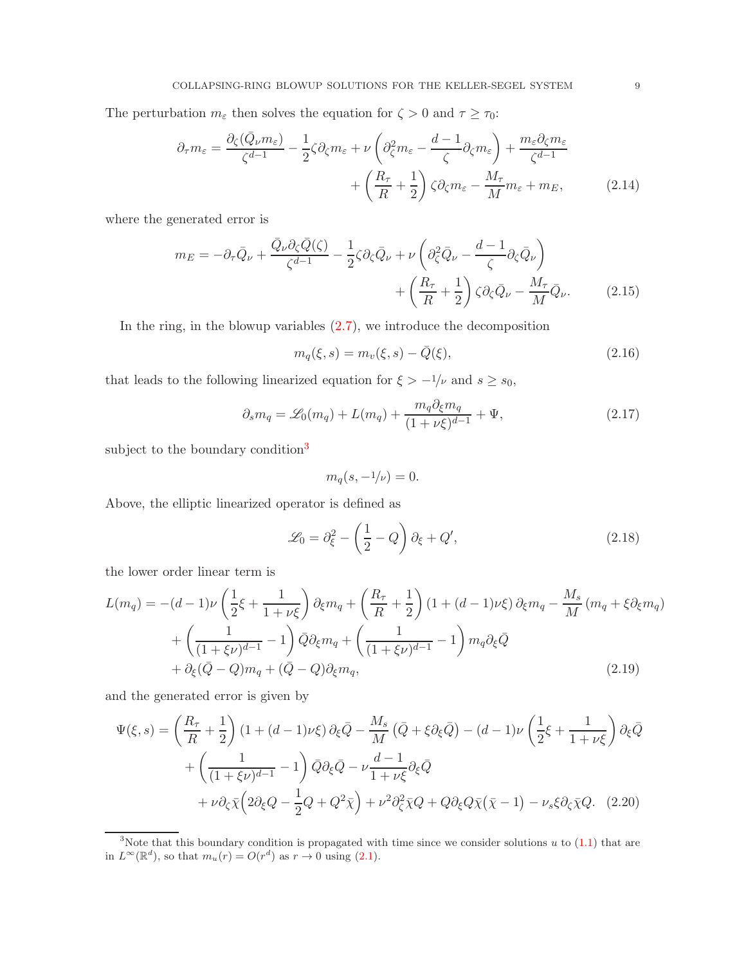The perturbation  $m_{\varepsilon}$  then solves the equation for  $\zeta > 0$  and  $\tau \geq \tau_0$ :

$$
\partial_{\tau} m_{\varepsilon} = \frac{\partial_{\zeta} (\bar{Q}_{\nu} m_{\varepsilon})}{\zeta^{d-1}} - \frac{1}{2} \zeta \partial_{\zeta} m_{\varepsilon} + \nu \left( \partial_{\zeta}^{2} m_{\varepsilon} - \frac{d-1}{\zeta} \partial_{\zeta} m_{\varepsilon} \right) + \frac{m_{\varepsilon} \partial_{\zeta} m_{\varepsilon}}{\zeta^{d-1}} + \left( \frac{R_{\tau}}{R} + \frac{1}{2} \right) \zeta \partial_{\zeta} m_{\varepsilon} - \frac{M_{\tau}}{M} m_{\varepsilon} + m_{E}, \tag{2.14}
$$

where the generated error is

$$
m_E = -\partial_\tau \bar{Q}_\nu + \frac{\bar{Q}_\nu \partial_\zeta \bar{Q}(\zeta)}{\zeta^{d-1}} - \frac{1}{2} \zeta \partial_\zeta \bar{Q}_\nu + \nu \left( \partial_\zeta^2 \bar{Q}_\nu - \frac{d-1}{\zeta} \partial_\zeta \bar{Q}_\nu \right) + \left( \frac{R_\tau}{R} + \frac{1}{2} \right) \zeta \partial_\zeta \bar{Q}_\nu - \frac{M_\tau}{M} \bar{Q}_\nu.
$$
 (2.15)

In the ring, in the blowup variables  $(2.7)$ , we introduce the decomposition

<span id="page-8-3"></span><span id="page-8-2"></span>
$$
m_q(\xi, s) = m_v(\xi, s) - \bar{Q}(\xi),
$$
\n(2.16)

that leads to the following linearized equation for  $\xi > -1/\nu$  and  $s \geq s_0$ ,

<span id="page-8-0"></span>
$$
\partial_s m_q = \mathcal{L}_0(m_q) + L(m_q) + \frac{m_q \partial_\xi m_q}{(1 + \nu \xi)^{d-1}} + \Psi,
$$
\n(2.17)

subject to the boundary condition<sup>[3](#page-8-1)</sup>

$$
m_q(s, -1/\nu) = 0.
$$

Above, the elliptic linearized operator is defined as

<span id="page-8-4"></span>
$$
\mathcal{L}_0 = \partial_{\xi}^2 - \left(\frac{1}{2} - Q\right)\partial_{\xi} + Q',\tag{2.18}
$$

the lower order linear term is

$$
L(m_q) = -(d-1)\nu \left(\frac{1}{2}\xi + \frac{1}{1+\nu\xi}\right) \partial_{\xi} m_q + \left(\frac{R_{\tau}}{R} + \frac{1}{2}\right) (1 + (d-1)\nu\xi) \partial_{\xi} m_q - \frac{M_s}{M} (m_q + \xi \partial_{\xi} m_q) + \left(\frac{1}{(1+\xi\nu)^{d-1}} - 1\right) \bar{Q} \partial_{\xi} m_q + \left(\frac{1}{(1+\xi\nu)^{d-1}} - 1\right) m_q \partial_{\xi} \bar{Q} + \partial_{\xi} (\bar{Q} - Q) m_q + (\bar{Q} - Q) \partial_{\xi} m_q,
$$
(2.19)

and the generated error is given by

$$
\Psi(\xi, s) = \left(\frac{R_{\tau}}{R} + \frac{1}{2}\right) \left(1 + (d - 1)\nu\xi\right) \partial_{\xi}\bar{Q} - \frac{M_{s}}{M} \left(\bar{Q} + \xi\partial_{\xi}\bar{Q}\right) - (d - 1)\nu\left(\frac{1}{2}\xi + \frac{1}{1 + \nu\xi}\right) \partial_{\xi}\bar{Q} \n+ \left(\frac{1}{(1 + \xi\nu)^{d-1}} - 1\right) \bar{Q}\partial_{\xi}\bar{Q} - \nu\frac{d-1}{1 + \nu\xi} \partial_{\xi}\bar{Q} \n+ \nu\partial_{\zeta}\bar{\chi}\left(2\partial_{\xi}Q - \frac{1}{2}Q + Q^{2}\bar{\chi}\right) + \nu^{2}\partial_{\zeta}^{2}\bar{\chi}Q + Q\partial_{\xi}Q\bar{\chi}\left(\bar{\chi} - 1\right) - \nu_{s}\xi\partial_{\zeta}\bar{\chi}Q. \tag{2.20}
$$

<span id="page-8-1"></span><sup>&</sup>lt;sup>3</sup>Note that this boundary condition is propagated with time since we consider solutions u to [\(1.1\)](#page-0-0) that are in  $L^{\infty}(\mathbb{R}^d)$ , so that  $m_u(r) = O(r^d)$  as  $r \to 0$  using [\(2.1\)](#page-6-4).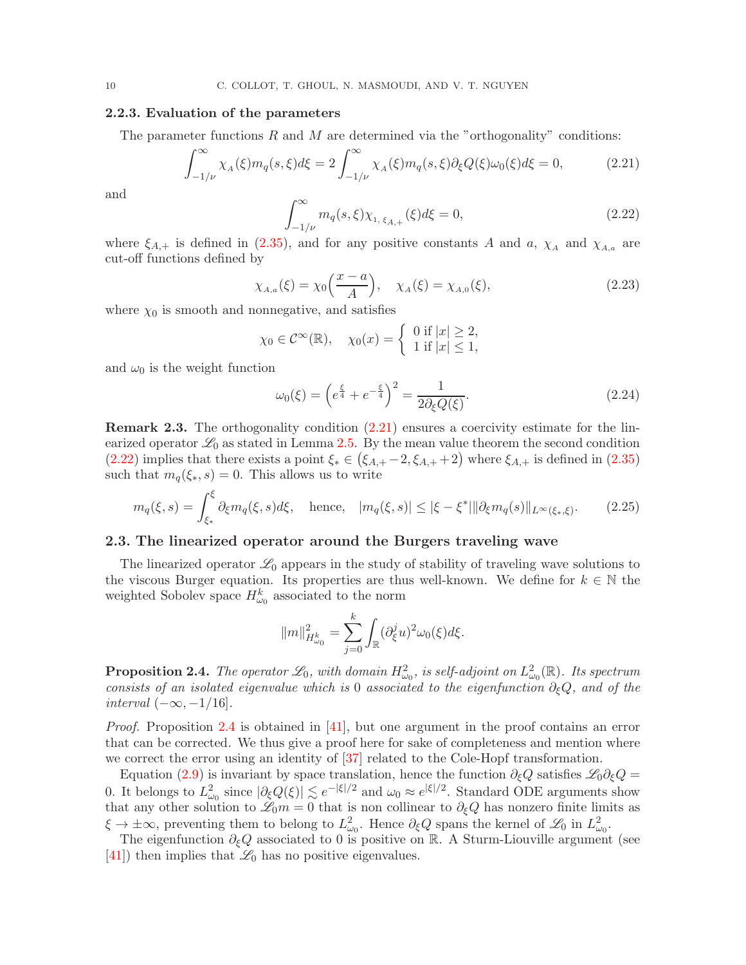### 2.2.3. Evaluation of the parameters

The parameter functions  $R$  and  $M$  are determined via the "orthogonality" conditions:

<span id="page-9-1"></span>
$$
\int_{-1/\nu}^{\infty} \chi_A(\xi) m_q(s,\xi) d\xi = 2 \int_{-1/\nu}^{\infty} \chi_A(\xi) m_q(s,\xi) \partial_{\xi} Q(\xi) \omega_0(\xi) d\xi = 0, \tag{2.21}
$$

and

<span id="page-9-2"></span>
$$
\int_{-1/\nu}^{\infty} m_q(s,\xi) \chi_{1,\xi_{A,+}}(\xi) d\xi = 0, \tag{2.22}
$$

where  $\xi_{A,+}$  is defined in [\(2.35\)](#page-11-2), and for any positive constants A and a,  $\chi_A$  and  $\chi_{A,a}$  are cut-off functions defined by

$$
\chi_{A,a}(\xi) = \chi_0\Big(\frac{x-a}{A}\Big), \quad \chi_A(\xi) = \chi_{A,0}(\xi), \tag{2.23}
$$

where  $\chi_0$  is smooth and nonnegative, and satisfies

$$
\chi_0 \in \mathcal{C}^{\infty}(\mathbb{R}), \quad \chi_0(x) = \begin{cases} 0 \text{ if } |x| \ge 2, \\ 1 \text{ if } |x| \le 1, \end{cases}
$$

and  $\omega_0$  is the weight function

<span id="page-9-4"></span>
$$
\omega_0(\xi) = \left(e^{\frac{\xi}{4}} + e^{-\frac{\xi}{4}}\right)^2 = \frac{1}{2\partial_{\xi}Q(\xi)}.
$$
\n(2.24)

Remark 2.3. The orthogonality condition [\(2.21\)](#page-9-1) ensures a coercivity estimate for the linearized operator  $\mathscr{L}_0$  as stated in Lemma [2.5.](#page-11-1) By the mean value theorem the second condition [\(2.22\)](#page-9-2) implies that there exists a point  $\xi_* \in (\xi_{A,+} - 2, \xi_{A,+} + 2)$  where  $\xi_{A,+}$  is defined in [\(2.35\)](#page-11-2) such that  $m_q(\xi_*, s) = 0$ . This allows us to write

<span id="page-9-3"></span>
$$
m_q(\xi, s) = \int_{\xi_*}^{\xi} \partial_{\xi} m_q(\xi, s) d\xi, \quad \text{hence,} \quad |m_q(\xi, s)| \le |\xi - \xi^*| \|\partial_{\xi} m_q(s)\|_{L^{\infty}(\xi_*, \xi)}.
$$
 (2.25)

### 2.3. The linearized operator around the Burgers traveling wave

The linearized operator  $\mathscr{L}_0$  appears in the study of stability of traveling wave solutions to the viscous Burger equation. Its properties are thus well-known. We define for  $k \in \mathbb{N}$  the weighted Sobolev space  $H_{\omega_0}^k$  associated to the norm

$$
||m||_{H_{\omega_0}^k}^2 = \sum_{j=0}^k \int_{\mathbb{R}} (\partial_{\xi}^j u)^2 \omega_0(\xi) d\xi.
$$

<span id="page-9-0"></span>**Proposition 2.4.** The operator  $\mathscr{L}_0$ , with domain  $H^2_{\omega_0}$ , is self-adjoint on  $L^2_{\omega_0}(\mathbb{R})$ . Its spectrum consists of an isolated eigenvalue which is 0 associated to the eigenfunction  $\partial_{\xi}Q$ , and of the interval  $(-\infty, -1/16]$ .

Proof. Proposition [2.4](#page-9-0) is obtained in [\[41](#page-31-14)], but one argument in the proof contains an error that can be corrected. We thus give a proof here for sake of completeness and mention where we correct the error using an identity of [\[37\]](#page-31-15) related to the Cole-Hopf transformation.

Equation [\(2.9\)](#page-7-2) is invariant by space translation, hence the function  $\partial_{\xi}Q$  satisfies  $\mathscr{L}_0\partial_{\xi}Q =$ 0. It belongs to  $L^2_{\omega_0}$  since  $|\partial_{\xi}Q(\xi)| \lesssim e^{-|\xi|/2}$  and  $\omega_0 \approx e^{|\xi|/2}$ . Standard ODE arguments show that any other solution to  $\mathscr{L}_0m = 0$  that is non collinear to  $\partial_{\xi}Q$  has nonzero finite limits as  $\xi \to \pm \infty$ , preventing them to belong to  $L^2_{\omega_0}$ . Hence  $\partial_{\xi} Q$  spans the kernel of  $\mathscr{L}_0$  in  $L^2_{\omega_0}$ .

The eigenfunction  $\partial_{\xi}Q$  associated to 0 is positive on R. A Sturm-Liouville argument (see [\[41](#page-31-14)]) then implies that  $\mathscr{L}_0$  has no positive eigenvalues.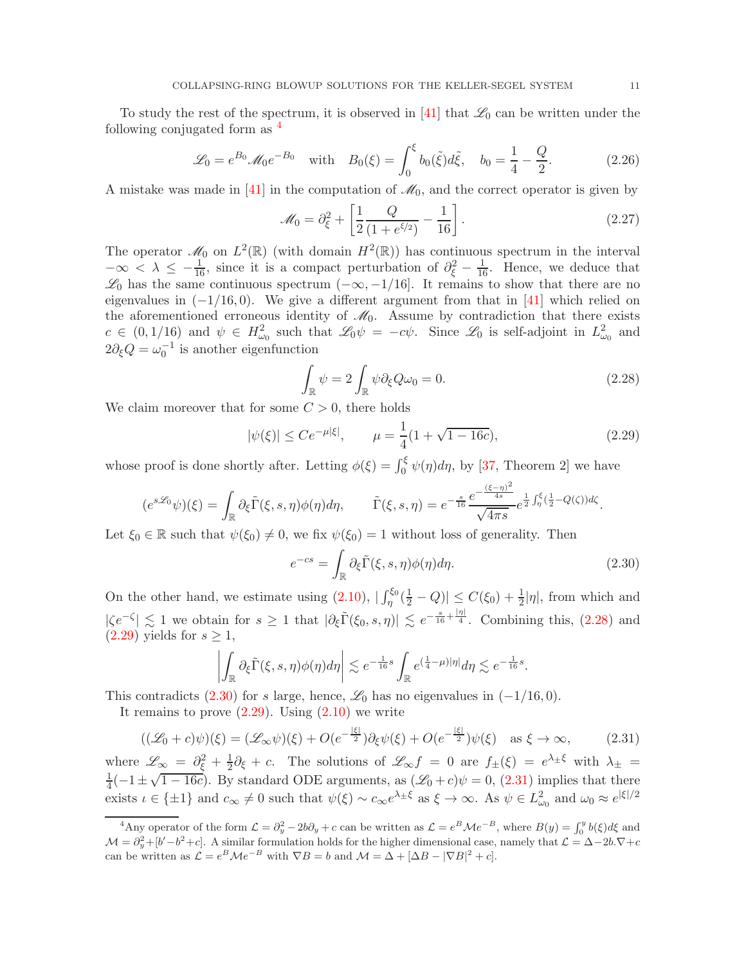To study the rest of the spectrum, it is observed in [\[41\]](#page-31-14) that  $\mathscr{L}_0$  can be written under the following conjugated form as [4](#page-10-0)

$$
\mathcal{L}_0 = e^{B_0} \mathcal{M}_0 e^{-B_0} \quad \text{with} \quad B_0(\xi) = \int_0^{\xi} b_0(\tilde{\xi}) d\tilde{\xi}, \quad b_0 = \frac{1}{4} - \frac{Q}{2}.
$$
 (2.26)

A mistake was made in  $[41]$  in the computation of  $\mathcal{M}_0$ , and the correct operator is given by

$$
\mathcal{M}_0 = \partial_{\xi}^2 + \left[ \frac{1}{2} \frac{Q}{(1 + e^{\xi/2})} - \frac{1}{16} \right].
$$
 (2.27)

The operator  $\mathcal{M}_0$  on  $L^2(\mathbb{R})$  (with domain  $H^2(\mathbb{R})$ ) has continuous spectrum in the interval  $-\infty < \lambda \le -\frac{1}{16}$ , since it is a compact perturbation of  $\partial_{\xi}^2 - \frac{1}{16}$ . Hence, we deduce that  $\mathscr{L}_0$  has the same continuous spectrum  $(-\infty, -1/16]$ . It remains to show that there are no eigenvalues in  $(-1/16, 0)$ . We give a different argument from that in [\[41](#page-31-14)] which relied on the aforementioned erroneous identity of  $\mathcal{M}_0$ . Assume by contradiction that there exists  $c \in (0, 1/16)$  and  $\psi \in H_{\omega_0}^2$  such that  $\mathscr{L}_0 \psi = -c\psi$ . Since  $\mathscr{L}_0$  is self-adjoint in  $L_{\omega_0}^2$  and  $2\partial_{\xi}Q=\omega_0^{-1}$  is another eigenfunction

<span id="page-10-1"></span>
$$
\int_{\mathbb{R}} \psi = 2 \int_{\mathbb{R}} \psi \partial_{\xi} Q \omega_0 = 0.
$$
\n(2.28)

We claim moreover that for some  $C > 0$ , there holds

<span id="page-10-2"></span>
$$
|\psi(\xi)| \le Ce^{-\mu|\xi|}, \qquad \mu = \frac{1}{4}(1 + \sqrt{1 - 16c}), \tag{2.29}
$$

whose proof is done shortly after. Letting  $\phi(\xi) = \int_0^{\xi} \psi(\eta) d\eta$ , by [\[37,](#page-31-15) Theorem 2] we have

$$
(e^{s\mathcal{L}_0}\psi)(\xi) = \int_{\mathbb{R}} \partial_{\xi} \tilde{\Gamma}(\xi, s, \eta) \phi(\eta) d\eta, \qquad \tilde{\Gamma}(\xi, s, \eta) = e^{-\frac{s}{16}} \frac{e^{-\frac{(\xi - \eta)^2}{4s}}}{\sqrt{4\pi s}} e^{\frac{1}{2} \int_{\eta}^{\xi} (\frac{1}{2} - Q(\zeta)) d\zeta}.
$$

Let  $\xi_0 \in \mathbb{R}$  such that  $\psi(\xi_0) \neq 0$ , we fix  $\psi(\xi_0) = 1$  without loss of generality. Then

<span id="page-10-3"></span>
$$
e^{-cs} = \int_{\mathbb{R}} \partial_{\xi} \tilde{\Gamma}(\xi, s, \eta) \phi(\eta) d\eta.
$$
 (2.30)

On the other hand, we estimate using  $(2.10)$ ,  $|\int_{\eta}^{\xi_0}(\frac{1}{2}-Q)| \leq C(\xi_0) + \frac{1}{2}|\eta|$ , from which and  $|\zeta e^{-\zeta}| \lesssim 1$  we obtain for  $s \geq 1$  that  $|\partial_{\xi} \tilde{\Gamma}(\xi_0, s, \eta)| \lesssim e^{-\frac{s}{16} + \frac{|\eta|}{4}}$ . Combining this, [\(2.28\)](#page-10-1) and  $(2.29)$  yields for  $s \geq 1$ ,

$$
\left| \int_{\mathbb{R}} \partial_{\xi} \tilde{\Gamma}(\xi, s, \eta) \phi(\eta) d\eta \right| \lesssim e^{-\frac{1}{16}s} \int_{\mathbb{R}} e^{(\frac{1}{4} - \mu)|\eta|} d\eta \lesssim e^{-\frac{1}{16}s}.
$$

This contradicts [\(2.30\)](#page-10-3) for s large, hence,  $\mathscr{L}_0$  has no eigenvalues in (-1/16,0).

It remains to prove  $(2.29)$ . Using  $(2.10)$  we write

<span id="page-10-4"></span>
$$
((\mathcal{L}_0 + c)\psi)(\xi) = (\mathcal{L}_\infty \psi)(\xi) + O(e^{-\frac{|\xi|}{2}}) \partial_{\xi} \psi(\xi) + O(e^{-\frac{|\xi|}{2}}) \psi(\xi) \quad \text{as } \xi \to \infty,
$$
 (2.31)

where  $\mathscr{L}_{\infty} = \partial_{\xi}^2 + \frac{1}{2}$  $\frac{1}{2}\partial_{\xi}+c$ . The solutions of  $\mathscr{L}_{\infty}f = 0$  are  $f_{\pm}(\xi) = e^{\lambda_{\pm}\xi}$  with  $\lambda_{\pm} =$ 1  $\frac{1}{4}(-1 \pm \sqrt{1-16c})$ . By standard ODE arguments, as  $(\mathscr{L}_0 + c)\psi = 0$ , [\(2.31\)](#page-10-4) implies that there exists  $\iota \in \{\pm 1\}$  and  $c_{\infty} \neq 0$  such that  $\psi(\xi) \sim c_{\infty} e^{\lambda \pm \xi}$  as  $\xi \to \infty$ . As  $\psi \in L^2_{\omega_0}$  and  $\omega_0 \approx e^{|\xi|/2}$ 

<span id="page-10-0"></span><sup>&</sup>lt;sup>4</sup>Any operator of the form  $\mathcal{L} = \partial_y^2 - 2b\partial_y + c$  can be written as  $\mathcal{L} = e^B \mathcal{M} e^{-B}$ , where  $B(y) = \int_0^y b(\xi) d\xi$  and  $\mathcal{M} = \partial_y^2 + [b'-b^2+c]$ . A similar formulation holds for the higher dimensional case, namely that  $\mathcal{L} = \Delta - 2b \cdot \nabla + c$ can be written as  $\mathcal{L} = e^B \mathcal{M} e^{-B}$  with  $\nabla B = b$  and  $\mathcal{M} = \Delta + [\Delta B - |\nabla B|^2 + c]$ .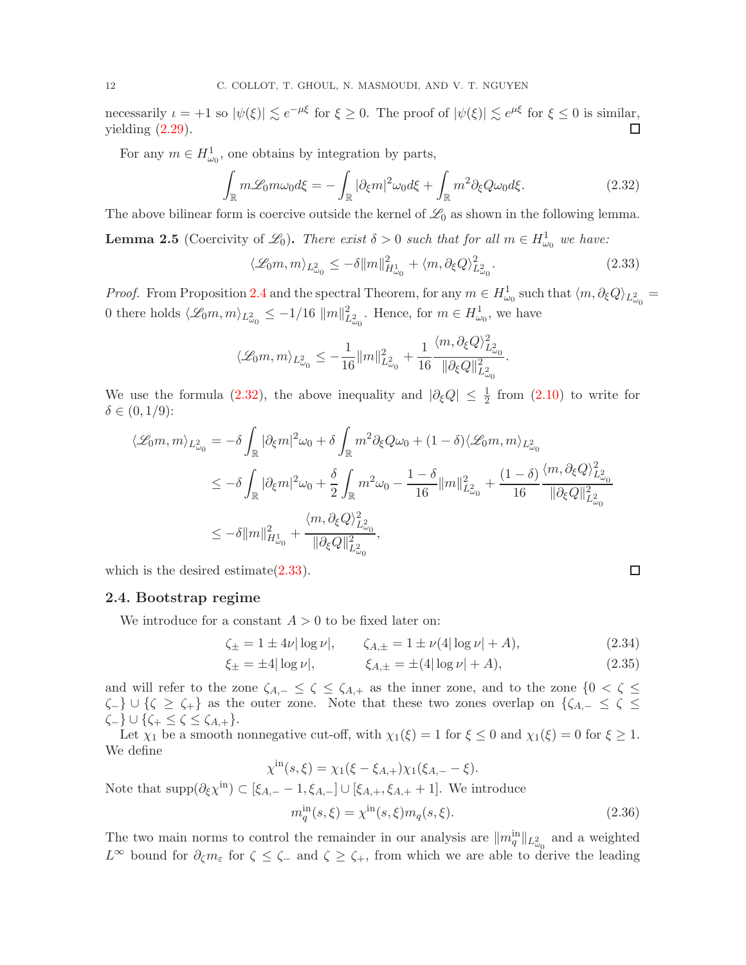necessarily  $\iota = +1$  so  $|\psi(\xi)| \lesssim e^{-\mu\xi}$  for  $\xi \ge 0$ . The proof of  $|\psi(\xi)| \lesssim e^{\mu\xi}$  for  $\xi \le 0$  is similar, yielding  $(2.29)$ .

For any  $m \in H^1_{\omega_0}$ , one obtains by integration by parts,

<span id="page-11-3"></span>
$$
\int_{\mathbb{R}} m\mathcal{L}_0 m\omega_0 d\xi = -\int_{\mathbb{R}} |\partial_{\xi} m|^2 \omega_0 d\xi + \int_{\mathbb{R}} m^2 \partial_{\xi} Q \omega_0 d\xi.
$$
\n(2.32)

The above bilinear form is coercive outside the kernel of  $\mathcal{L}_0$  as shown in the following lemma.

<span id="page-11-1"></span>**Lemma 2.5** (Coercivity of  $\mathscr{L}_0$ ). There exist  $\delta > 0$  such that for all  $m \in H^1_{\omega_0}$  we have:

<span id="page-11-4"></span>
$$
\langle \mathcal{L}_0 m, m \rangle_{L^2_{\omega_0}} \le -\delta \|m\|_{H^1_{\omega_0}}^2 + \langle m, \partial_{\xi} Q \rangle_{L^2_{\omega_0}}^2. \tag{2.33}
$$

.

<span id="page-11-2"></span> $\Box$ 

*Proof.* From Proposition [2.4](#page-9-0) and the spectral Theorem, for any  $m oldsymbol{\in} H^1_{\omega_0}$  such that  $\langle m, \partial_{\xi} Q \rangle_{L^2_{\omega_0}} =$ 0 there holds  $\langle \mathcal{L}_0 m, m \rangle_{L^2_{\omega_0}} \leq -1/16 \|m\|_{L^2_{\omega_0}}^2$ . Hence, for  $m \in H^1_{\omega_0}$ , we have

$$
\langle \mathscr{L}_0 m, m \rangle_{L^2_{\omega_0}} \leq - \frac{1}{16} \|m\|_{L^2_{\omega_0}}^2 + \frac{1}{16} \frac{\langle m, \partial_\xi Q \rangle_{L^2_{\omega_0}}^2}{\| \partial_\xi Q \|^2_{L^2_{\omega_0}}}
$$

We use the formula [\(2.32\)](#page-11-3), the above inequality and  $|\partial_{\xi}Q| \leq \frac{1}{2}$  from [\(2.10\)](#page-7-3) to write for  $\delta \in (0, 1/9)$ :

$$
\begin{aligned} \langle \mathscr{L}_0 m, m \rangle_{L^2_{\omega_0}} &= -\delta \int_\mathbb{R} |\partial_\xi m|^2 \omega_0 + \delta \int_\mathbb{R} m^2 \partial_\xi Q \omega_0 + (1-\delta) \langle \mathscr{L}_0 m, m \rangle_{L^2_{\omega_0}} \\ &\leq -\delta \int_\mathbb{R} |\partial_\xi m|^2 \omega_0 + \frac{\delta}{2} \int_\mathbb{R} m^2 \omega_0 - \frac{1-\delta}{16} ||m||^2_{L^2_{\omega_0}} + \frac{(1-\delta)}{16} \frac{\langle m, \partial_\xi Q \rangle_{L^2_{\omega_0}}^2}{||\partial_\xi Q||_{L^2_{\omega_0}}^2} \\ &\leq -\delta ||m||^2_{H^1_{\omega_0}} + \frac{\langle m, \partial_\xi Q \rangle_{L^2_{\omega_0}}^2}{||\partial_\xi Q||_{L^2_{\omega_0}}^2}, \end{aligned}
$$

<span id="page-11-0"></span>which is the desired estimate  $(2.33)$ .

### 2.4. Bootstrap regime

We introduce for a constant  $A > 0$  to be fixed later on:

$$
\zeta_{\pm} = 1 \pm 4\nu |\log \nu|, \qquad \zeta_{A,\pm} = 1 \pm \nu (4 |\log \nu| + A), \tag{2.34}
$$

$$
\xi_{\pm} = \pm 4|\log \nu|, \qquad \xi_{A,\pm} = \pm (4|\log \nu| + A), \tag{2.35}
$$

and will refer to the zone  $\zeta_{A,-} \leq \zeta \leq \zeta_{A,+}$  as the inner zone, and to the zone  $\{0 \leq \zeta \leq \zeta_{A,+}\}$  $\zeta$ -} ∪  $\zeta \geq \zeta$ +} as the outer zone. Note that these two zones overlap on  $\{\zeta_{A,-} \leq \zeta \leq \zeta\}$  $\zeta_{-}\}\cup\{\zeta_{+}\leq\zeta\leq\zeta_{A,+}\}.$ 

Let  $\chi_1$  be a smooth nonnegative cut-off, with  $\chi_1(\xi) = 1$  for  $\xi \le 0$  and  $\chi_1(\xi) = 0$  for  $\xi \ge 1$ . We define

$$
\chi^{\text{in}}(s,\xi) = \chi_1(\xi - \xi_{A,+})\chi_1(\xi_{A,-} - \xi).
$$

Note that  $\text{supp}(\partial_{\xi}\chi^{\text{in}}) \subset [\xi_{A,-} - 1, \xi_{A,-}] \cup [\xi_{A,+}, \xi_{A,+} + 1]$ . We introduce

<span id="page-11-5"></span>
$$
m_q^{\text{in}}(s,\xi) = \chi^{\text{in}}(s,\xi) m_q(s,\xi). \tag{2.36}
$$

The two main norms to control the remainder in our analysis are  $||m_q^{\text{in}}||_{L^2_{\omega_0}}$  and a weighted L<sup>∞</sup> bound for  $\partial_\zeta m_\varepsilon$  for  $\zeta \leq \zeta$ - and  $\zeta \geq \zeta_+$ , from which we are able to derive the leading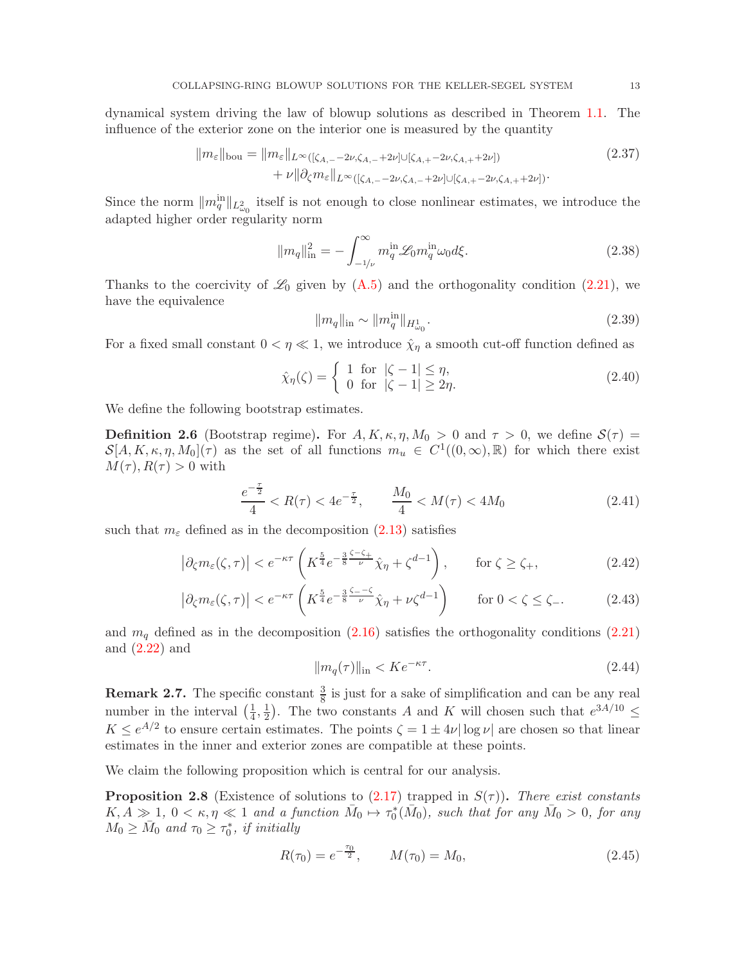dynamical system driving the law of blowup solutions as described in Theorem [1.1.](#page-2-0) The influence of the exterior zone on the interior one is measured by the quantity

$$
||m_{\varepsilon}||_{\text{bou}} = ||m_{\varepsilon}||_{L^{\infty}([\zeta_{A,-}-2\nu,\zeta_{A,-}+2\nu]\cup[\zeta_{A,+}-2\nu,\zeta_{A,+}+2\nu])}
$$
\n
$$
+ \nu ||\partial_{\zeta} m_{\varepsilon}||_{L^{\infty}([\zeta_{A,-}-2\nu,\zeta_{A,-}+2\nu]\cup[\zeta_{A,+}-2\nu,\zeta_{A,+}+2\nu])}.
$$
\n(2.37)

Since the norm  $||m_q^{\text{in}}||_{L^2_{\omega_0}}$  itself is not enough to close nonlinear estimates, we introduce the adapted higher order regularity norm

$$
||m_q||_{\text{in}}^2 = -\int_{-1/\nu}^{\infty} m_q^{\text{in}} \mathcal{L}_0 m_q^{\text{in}} \omega_0 d\xi.
$$
 (2.38)

Thanks to the coercivity of  $\mathcal{L}_0$  given by  $(A.5)$  and the orthogonality condition [\(2.21\)](#page-9-1), we have the equivalence

<span id="page-12-9"></span><span id="page-12-2"></span>
$$
||m_q||_{\text{in}} \sim ||m_q^{\text{in}}||_{H_{\omega_0}^1}.
$$
\n(2.39)

For a fixed small constant  $0 < \eta \ll 1$ , we introduce  $\hat{\chi}_{\eta}$  a smooth cut-off function defined as

<span id="page-12-5"></span>
$$
\hat{\chi}_{\eta}(\zeta) = \begin{cases} 1 & \text{for } |\zeta - 1| \le \eta, \\ 0 & \text{for } |\zeta - 1| \ge 2\eta. \end{cases} \tag{2.40}
$$

We define the following bootstrap estimates.

<span id="page-12-0"></span>**Definition 2.6** (Bootstrap regime). For  $A, K, \kappa, \eta, M_0 > 0$  and  $\tau > 0$ , we define  $\mathcal{S}(\tau) =$  $\mathcal{S}[A, K, \kappa, \eta, M_0](\tau)$  as the set of all functions  $m_u \in C^1((0,\infty),\mathbb{R})$  for which there exist  $M(\tau), R(\tau) > 0$  with

<span id="page-12-7"></span>
$$
\frac{e^{-\frac{\tau}{2}}}{4} < R(\tau) < 4e^{-\frac{\tau}{2}}, \qquad \frac{M_0}{4} < M(\tau) < 4M_0 \tag{2.41}
$$

such that  $m_{\varepsilon}$  defined as in the decomposition [\(2.13\)](#page-7-4) satisfies

$$
\left|\partial_{\zeta}m_{\varepsilon}(\zeta,\tau)\right| < e^{-\kappa\tau} \left(K^{\frac{5}{4}}e^{-\frac{3}{8}\frac{\zeta-\zeta_{+}}{\nu}}\hat{\chi}_{\eta} + \zeta^{d-1}\right), \qquad \text{for } \zeta \ge \zeta_{+},\tag{2.42}
$$

$$
\left|\partial_{\zeta}m_{\varepsilon}(\zeta,\tau)\right| < e^{-\kappa\tau} \left( K^{\frac{5}{4}} e^{-\frac{3}{8}\frac{\zeta_{-}-\zeta}{\nu}} \hat{\chi}_{\eta} + \nu \zeta^{d-1} \right) \qquad \text{for } 0 < \zeta \leq \zeta_{-}.\tag{2.43}
$$

and  $m_q$  defined as in the decomposition  $(2.16)$  satisfies the orthogonality conditions  $(2.21)$ and [\(2.22\)](#page-9-2) and

<span id="page-12-6"></span><span id="page-12-4"></span><span id="page-12-3"></span>
$$
||m_q(\tau)||_{\text{in}} < Ke^{-\kappa \tau}.\tag{2.44}
$$

**Remark 2.7.** The specific constant  $\frac{3}{8}$  is just for a sake of simplification and can be any real number in the interval  $\left(\frac{1}{4}\right)$  $\frac{1}{4}, \frac{1}{2}$  $\frac{1}{2}$ ). The two constants A and K will chosen such that  $e^{3A/10} \leq$  $K \leq e^{A/2}$  to ensure certain estimates. The points  $\zeta = 1 \pm 4\nu |\log \nu|$  are chosen so that linear estimates in the inner and exterior zones are compatible at these points.

We claim the following proposition which is central for our analysis.

<span id="page-12-1"></span>**Proposition 2.8** (Existence of solutions to [\(2.17\)](#page-8-0) trapped in  $S(\tau)$ ). There exist constants  $K, \tilde{A} \gg 1, 0 \lt \kappa, \eta \ll 1$  and a function  $\bar{M}_0 \mapsto \tau_0^*(\bar{M}_0)$ , such that for any  $\bar{M}_0 > 0$ , for any  $M_0 \geq \bar{M}_0$  and  $\tau_0 \geq \tau_0^*$ , if initially

<span id="page-12-8"></span>
$$
R(\tau_0) = e^{-\frac{\tau_0}{2}}, \qquad M(\tau_0) = M_0,
$$
\n(2.45)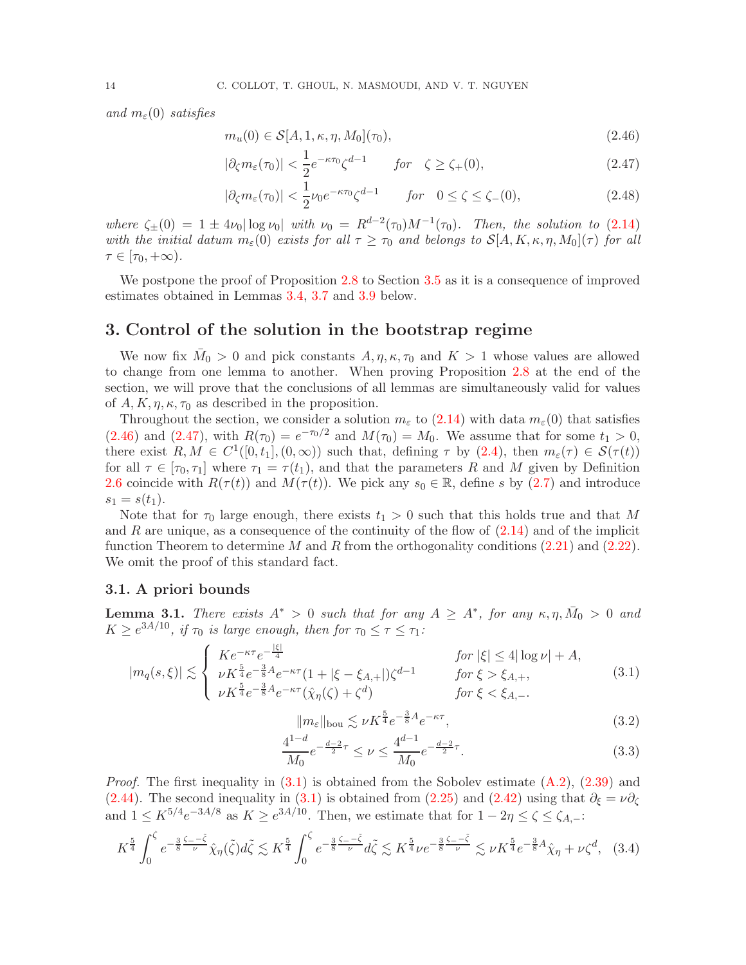and  $m_{\varepsilon}(0)$  satisfies

<span id="page-13-1"></span><span id="page-13-0"></span>
$$
m_u(0) \in \mathcal{S}[A, 1, \kappa, \eta, M_0](\tau_0), \tag{2.46}
$$

$$
|\partial_{\zeta} m_{\varepsilon}(\tau_0)| < \frac{1}{2} e^{-\kappa \tau_0} \zeta^{d-1} \qquad \text{for} \quad \zeta \ge \zeta_+(0),\tag{2.47}
$$

$$
|\partial_{\zeta} m_{\varepsilon}(\tau_0)| < \frac{1}{2}\nu_0 e^{-\kappa \tau_0} \zeta^{d-1} \qquad \text{for} \quad 0 \le \zeta \le \zeta_-(0),\tag{2.48}
$$

where  $\zeta_{\pm}(0) = 1 \pm 4\nu_0 |\log \nu_0|$  with  $\nu_0 = R^{d-2}(\tau_0)M^{-1}(\tau_0)$ . Then, the solution to [\(2.14\)](#page-8-3) with the initial datum  $m_{\varepsilon}(0)$  exists for all  $\tau \geq \tau_0$  and belongs to  $\mathcal{S}[A, K, \kappa, \eta, M_0](\tau)$  for all  $\tau \in [\tau_0, +\infty).$ 

We postpone the proof of Proposition [2.8](#page-12-1) to Section [3.5](#page-25-0) as it is a consequence of improved estimates obtained in Lemmas [3.4,](#page-17-0) [3.7](#page-22-0) and [3.9](#page-24-0) below.

# 3. Control of the solution in the bootstrap regime

We now fix  $\bar{M}_0 > 0$  and pick constants  $A, \eta, \kappa, \tau_0$  and  $K > 1$  whose values are allowed to change from one lemma to another. When proving Proposition [2.8](#page-12-1) at the end of the section, we will prove that the conclusions of all lemmas are simultaneously valid for values of  $A, K, \eta, \kappa, \tau_0$  as described in the proposition.

Throughout the section, we consider a solution  $m_{\varepsilon}$  to [\(2.14\)](#page-8-3) with data  $m_{\varepsilon}(0)$  that satisfies  $(2.46)$  and  $(2.47)$ , with  $R(\tau_0) = e^{-\tau_0/2}$  and  $M(\tau_0) = M_0$ . We assume that for some  $t_1 > 0$ , there exist  $R, M \in C^1([0, t_1], (0, \infty))$  such that, defining  $\tau$  by  $(2.4)$ , then  $m_{\varepsilon}(\tau) \in S(\tau(t))$ for all  $\tau \in [\tau_0, \tau_1]$  where  $\tau_1 = \tau(t_1)$ , and that the parameters R and M given by Definition [2.6](#page-12-0) coincide with  $R(\tau(t))$  and  $M(\tau(t))$ . We pick any  $s_0 \in \mathbb{R}$ , define s by [\(2.7\)](#page-7-1) and introduce  $s_1 = s(t_1).$ 

Note that for  $\tau_0$  large enough, there exists  $t_1 > 0$  such that this holds true and that M and R are unique, as a consequence of the continuity of the flow of  $(2.14)$  and of the implicit function Theorem to determine M and R from the orthogonality conditions  $(2.21)$  and  $(2.22)$ . We omit the proof of this standard fact.

### 3.1. A priori bounds

**Lemma 3.1.** There exists  $A^* > 0$  such that for any  $A \geq A^*$ , for any  $\kappa, \eta, \bar{M}_0 > 0$  and  $K \geq e^{3A/10}$ , if  $\tau_0$  is large enough, then for  $\tau_0 \leq \tau \leq \tau_1$ :

<span id="page-13-2"></span>
$$
|m_q(s,\xi)| \lesssim \begin{cases} K e^{-\kappa \tau} e^{-\frac{|\xi|}{4}} & \text{for } |\xi| \le 4 |\log \nu| + A, \\ \nu K^{\frac{5}{4}} e^{-\frac{3}{8}A} e^{-\kappa \tau} (1 + |\xi - \xi_{A,+}|) \zeta^{d-1} & \text{for } \xi > \xi_{A,+}, \\ \nu K^{\frac{5}{4}} e^{-\frac{3}{8}A} e^{-\kappa \tau} (\hat{\chi}_{\eta}(\zeta) + \zeta^d) & \text{for } \xi < \xi_{A,-}. \end{cases}
$$
(3.1)

<span id="page-13-4"></span>
$$
||m_{\varepsilon}||_{\text{bou}} \lesssim \nu K^{\frac{5}{4}} e^{-\frac{3}{8}A} e^{-\kappa \tau},\tag{3.2}
$$

<span id="page-13-5"></span>
$$
\frac{4^{1-d}}{M_0}e^{-\frac{d-2}{2}\tau} \le \nu \le \frac{4^{d-1}}{M_0}e^{-\frac{d-2}{2}\tau}.\tag{3.3}
$$

*Proof.* The first inequality in  $(3.1)$  is obtained from the Sobolev estimate  $(A.2)$ ,  $(2.39)$  and [\(2.44\)](#page-12-3). The second inequality in [\(3.1\)](#page-13-2) is obtained from [\(2.25\)](#page-9-3) and [\(2.42\)](#page-12-4) using that  $\partial_{\xi} = \nu \partial_{\zeta}$ and  $1 \leq K^{5/4} e^{-3A/8}$  as  $K \geq e^{3A/10}$ . Then, we estimate that for  $1 - 2\eta \leq \zeta \leq \zeta_{A,-}$ :

<span id="page-13-3"></span>
$$
K^{\frac{5}{4}} \int_0^{\zeta} e^{-\frac{3}{8} \frac{\zeta - \zeta}{\nu}} \hat{\chi}_{\eta}(\tilde{\zeta}) d\tilde{\zeta} \lesssim K^{\frac{5}{4}} \int_0^{\zeta} e^{-\frac{3}{8} \frac{\zeta - \zeta}{\nu}} d\tilde{\zeta} \lesssim K^{\frac{5}{4}} \nu e^{-\frac{3}{8} \frac{\zeta - \zeta}{\nu}} \lesssim \nu K^{\frac{5}{4}} e^{-\frac{3}{8} A} \hat{\chi}_{\eta} + \nu \zeta^d, \quad (3.4)
$$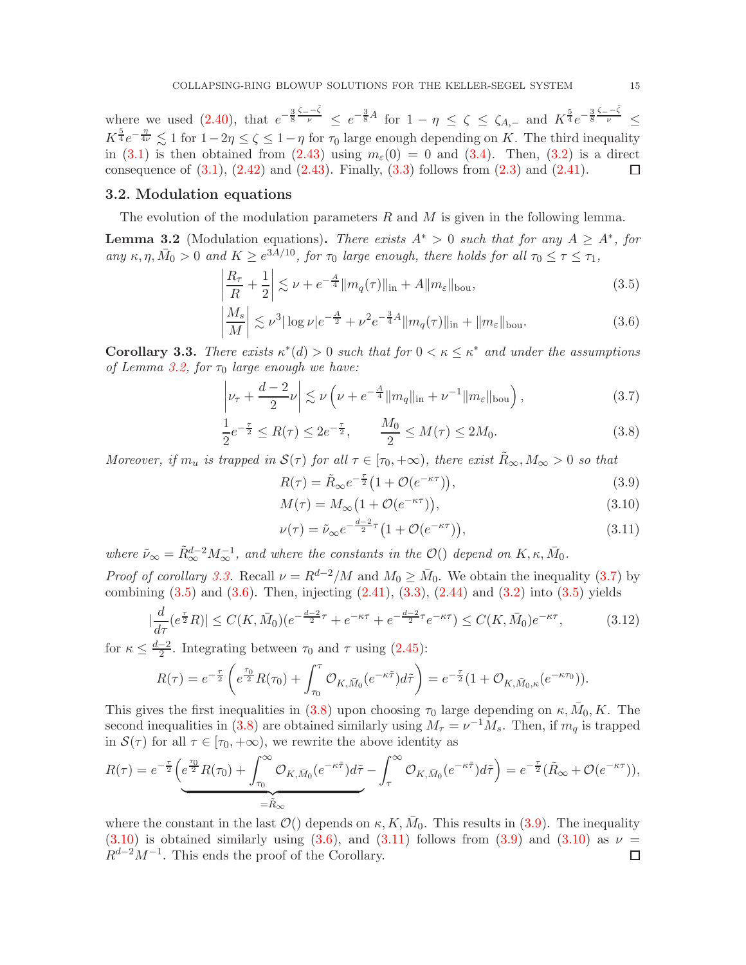where we used [\(2.40\)](#page-12-5), that  $e^{-\frac{3}{8}\frac{\zeta-\tilde{\zeta}}{\nu}} \leq e^{-\frac{3}{8}A}$  for  $1-\eta \leq \zeta \leq \zeta_{A,-}$  and  $K^{\frac{5}{4}}e^{-\frac{3}{8}\frac{\zeta-\tilde{\zeta}}{\nu}}$ <sup>ν</sup> ≤  $K^{\frac{5}{4}}e^{-\frac{\eta}{4\nu}} \lesssim 1$  for  $1-2\eta \leq \zeta \leq 1-\eta$  for  $\tau_0$  large enough depending on K. The third inequality in [\(3.1\)](#page-13-2) is then obtained from [\(2.43\)](#page-12-6) using  $m_{\varepsilon}(0) = 0$  and [\(3.4\)](#page-13-3). Then, [\(3.2\)](#page-13-4) is a direct consequence of  $(3.1)$ ,  $(2.42)$  and  $(2.43)$ . Finally,  $(3.3)$  follows from  $(2.3)$  and  $(2.41)$ .  $\Box$ 

### 3.2. Modulation equations

The evolution of the modulation parameters  $R$  and  $M$  is given in the following lemma.

<span id="page-14-2"></span>**Lemma 3.2** (Modulation equations). There exists  $A^* > 0$  such that for any  $A \geq A^*$ , for any  $\kappa, \eta, \bar{M}_0 > 0$  and  $K \geq e^{3A/10}$ , for  $\tau_0$  large enough, there holds for all  $\tau_0 \leq \tau \leq \tau_1$ ,

<span id="page-14-0"></span>
$$
\left|\frac{R_{\tau}}{R} + \frac{1}{2}\right| \lesssim \nu + e^{-\frac{A}{4}} \|m_q(\tau)\|_{\text{in}} + A \|m_{\varepsilon}\|_{\text{bou}},\tag{3.5}
$$

$$
\left| \frac{M_s}{M} \right| \lesssim \nu^3 |\log \nu| e^{-\frac{A}{2}} + \nu^2 e^{-\frac{3}{4}A} ||m_q(\tau)||_{\text{in}} + ||m_\varepsilon||_{\text{bou}}.
$$
 (3.6)

<span id="page-14-3"></span>**Corollary 3.3.** There exists  $\kappa^*(d) > 0$  such that for  $0 < \kappa \leq \kappa^*$  and under the assumptions of Lemma [3.2,](#page-14-2) for  $\tau_0$  large enough we have:

$$
\left|\nu_{\tau} + \frac{d-2}{2}\nu\right| \lesssim \nu\left(\nu + e^{-\frac{A}{4}}||m_q||_{\text{in}} + \nu^{-1}||m_{\varepsilon}||_{\text{bou}}\right),\tag{3.7}
$$

$$
\frac{1}{2}e^{-\frac{\tau}{2}} \le R(\tau) \le 2e^{-\frac{\tau}{2}}, \qquad \frac{M_0}{2} \le M(\tau) \le 2M_0.
$$
 (3.8)

Moreover, if  $m_u$  is trapped in  $S(\tau)$  for all  $\tau \in [\tau_0, +\infty)$ , there exist  $R_\infty, M_\infty > 0$  so that

<span id="page-14-5"></span><span id="page-14-4"></span><span id="page-14-1"></span>
$$
R(\tau) = \tilde{R}_{\infty} e^{-\frac{\tau}{2}} \left( 1 + \mathcal{O}(e^{-\kappa \tau}) \right),\tag{3.9}
$$

<span id="page-14-8"></span><span id="page-14-7"></span><span id="page-14-6"></span>
$$
M(\tau) = M_{\infty} \left( 1 + \mathcal{O}(e^{-\kappa \tau}) \right),\tag{3.10}
$$

$$
\nu(\tau) = \tilde{\nu}_{\infty} e^{-\frac{d-2}{2}\tau} \left( 1 + \mathcal{O}(e^{-\kappa \tau}) \right),\tag{3.11}
$$

where  $\tilde{\nu}_{\infty} = \tilde{R}_{\infty}^{d-2} M_{\infty}^{-1}$ , and where the constants in the  $\mathcal{O}(\mu)$  depend on  $K, \kappa, \bar{M}_0$ . Proof of corollary [3.3.](#page-14-3) Recall  $\nu = R^{d-2}/M$  and  $M_0 \geq \overline{M}_0$ . We obtain the inequality [\(3.7\)](#page-14-4) by combining  $(3.5)$  and  $(3.6)$ . Then, injecting  $(2.41)$ ,  $(3.3)$ ,  $(2.44)$  and  $(3.2)$  into  $(3.5)$  yields

$$
\left|\frac{d}{d\tau}(e^{\frac{\tau}{2}}R)\right| \le C(K,\bar{M}_0)(e^{-\frac{d-2}{2}\tau} + e^{-\kappa\tau} + e^{-\frac{d-2}{2}\tau}e^{-\kappa\tau}) \le C(K,\bar{M}_0)e^{-\kappa\tau},\tag{3.12}
$$

for  $\kappa \leq \frac{d-2}{2}$  $\frac{-2}{2}$ . Integrating between  $\tau_0$  and  $\tau$  using [\(2.45\)](#page-12-8):

$$
R(\tau) = e^{-\frac{\tau}{2}} \left( e^{\frac{\tau_0}{2}} R(\tau_0) + \int_{\tau_0}^{\tau} \mathcal{O}_{K, \bar{M}_0}(e^{-\kappa \tilde{\tau}}) d\tilde{\tau} \right) = e^{-\frac{\tau}{2}} (1 + \mathcal{O}_{K, \bar{M}_0, \kappa}(e^{-\kappa \tau_0})).
$$

This gives the first inequalities in [\(3.8\)](#page-14-5) upon choosing  $\tau_0$  large depending on  $\kappa$ ,  $\bar{M}_0$ , K. The second inequalities in [\(3.8\)](#page-14-5) are obtained similarly using  $M_{\tau} = \nu^{-1} M_s$ . Then, if  $m_q$  is trapped in  $S(\tau)$  for all  $\tau \in [\tau_0, +\infty)$ , we rewrite the above identity as

$$
R(\tau) = e^{-\frac{\tau}{2}} \underbrace{\left(e^{\frac{\tau_0}{2}} R(\tau_0) + \int_{\tau_0}^{\infty} \mathcal{O}_{K, \bar{M}_0}(e^{-\kappa \tilde{\tau}}) d\tilde{\tau}}_{=\tilde{R}_{\infty}} - \int_{\tau}^{\infty} \mathcal{O}_{K, \bar{M}_0}(e^{-\kappa \tilde{\tau}}) d\tilde{\tau}\right)}_{\tau} = e^{-\frac{\tau}{2}} (\tilde{R}_{\infty} + \mathcal{O}(e^{-\kappa \tau})),
$$

where the constant in the last  $\mathcal{O}()$  depends on  $\kappa, K, \bar{M}_0$ . This results in [\(3.9\)](#page-14-6). The inequality  $(3.10)$  is obtained similarly using  $(3.6)$ , and  $(3.11)$  follows from  $(3.9)$  and  $(3.10)$  as  $\nu =$  $R^{d-2}M^{-1}$ . This ends the proof of the Corollary. □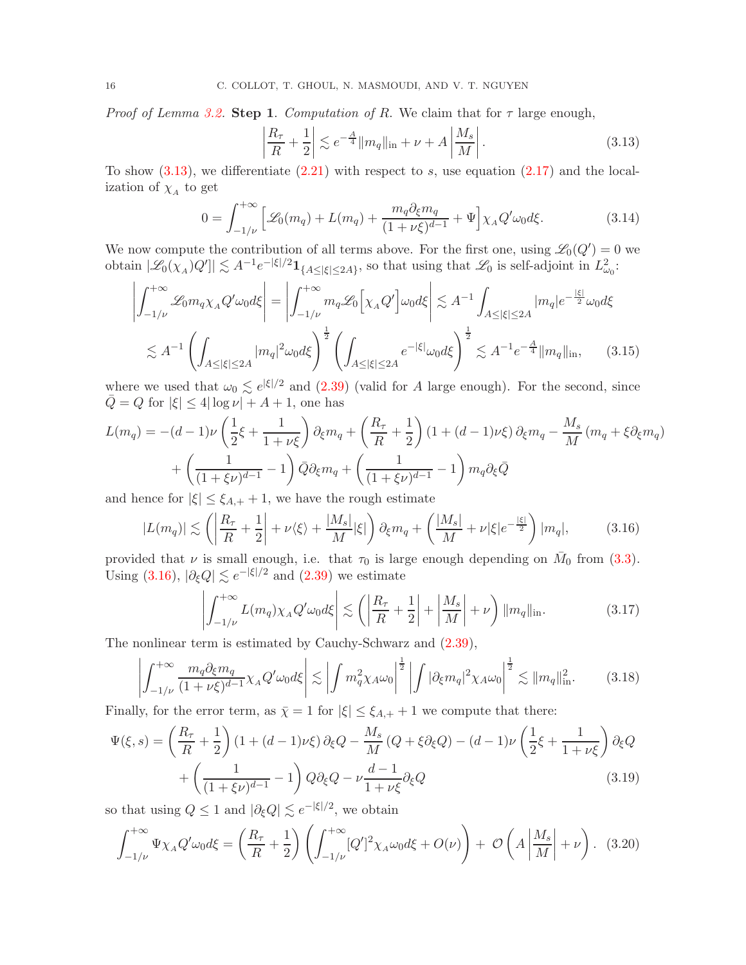*Proof of Lemma [3.2.](#page-14-2)* Step 1. Computation of R. We claim that for  $\tau$  large enough,

<span id="page-15-2"></span><span id="page-15-0"></span>
$$
\left|\frac{R_{\tau}}{R} + \frac{1}{2}\right| \lesssim e^{-\frac{A}{4}} ||m_q||_{\text{in}} + \nu + A\left|\frac{M_s}{M}\right|.
$$
\n(3.13)

To show  $(3.13)$ , we differentiate  $(2.21)$  with respect to s, use equation  $(2.17)$  and the localization of  $\chi_A$  to get

<span id="page-15-6"></span>
$$
0 = \int_{-1/\nu}^{+\infty} \left[ \mathcal{L}_0(m_q) + L(m_q) + \frac{m_q \partial_{\xi} m_q}{(1 + \nu \xi)^{d-1}} + \Psi \right] \chi_A Q' \omega_0 d\xi.
$$
 (3.14)

We now compute the contribution of all terms above. For the first one, using  $\mathcal{L}_0(Q') = 0$  we obtain  $|\mathscr{L}_0(\chi_A)Q'| \lesssim A^{-1}e^{-|\xi|/2}1_{\{A \leq |\xi| \leq 2A\}}$ , so that using that  $\mathscr{L}_0$  is self-adjoint in  $L^2_{\omega_0}$ :

$$
\left| \int_{-1/\nu}^{+\infty} \mathcal{L}_0 m_q \chi_A Q' \omega_0 d\xi \right| = \left| \int_{-1/\nu}^{+\infty} m_q \mathcal{L}_0 \left[ \chi_A Q' \right] \omega_0 d\xi \right| \lesssim A^{-1} \int_{A \le |\xi| \le 2A} |m_q| e^{-\frac{|\xi|}{2}} \omega_0 d\xi
$$
  

$$
\lesssim A^{-1} \left( \int_{A \le |\xi| \le 2A} |m_q|^2 \omega_0 d\xi \right)^{\frac{1}{2}} \left( \int_{A \le |\xi| \le 2A} e^{-|\xi|} \omega_0 d\xi \right)^{\frac{1}{2}} \lesssim A^{-1} e^{-\frac{A}{4}} ||m_q||_{\text{in}}, \quad (3.15)
$$

where we used that  $\omega_0 \lesssim e^{|\xi|/2}$  and  $(2.39)$  (valid for A large enough). For the second, since  $\overline{Q} = Q$  for  $|\xi| \leq 4|\log \nu| + A + 1$ , one has

$$
L(m_q) = -(d-1)\nu \left(\frac{1}{2}\xi + \frac{1}{1+\nu\xi}\right)\partial_{\xi}m_q + \left(\frac{R_{\tau}}{R} + \frac{1}{2}\right)(1 + (d-1)\nu\xi)\partial_{\xi}m_q - \frac{M_s}{M}(m_q + \xi\partial_{\xi}m_q)
$$

$$
+ \left(\frac{1}{(1+\xi\nu)^{d-1}} - 1\right)\bar{Q}\partial_{\xi}m_q + \left(\frac{1}{(1+\xi\nu)^{d-1}} - 1\right)m_q\partial_{\xi}\bar{Q}
$$

and hence for  $|\xi| \leq \xi_{A,+} + 1$ , we have the rough estimate

<span id="page-15-1"></span>
$$
|L(m_q)| \lesssim \left( \left| \frac{R_\tau}{R} + \frac{1}{2} \right| + \nu \langle \xi \rangle + \frac{|M_s|}{M} |\xi| \right) \partial_{\xi} m_q + \left( \frac{|M_s|}{M} + \nu |\xi| e^{-\frac{|\xi|}{2}} \right) |m_q|, \tag{3.16}
$$

provided that  $\nu$  is small enough, i.e. that  $\tau_0$  is large enough depending on  $\bar{M}_0$  from [\(3.3\)](#page-13-5). Using [\(3.16\)](#page-15-1),  $|\partial_{\xi}Q| \lesssim e^{-|\xi|/2}$  and [\(2.39\)](#page-12-2) we estimate

<span id="page-15-7"></span><span id="page-15-3"></span>
$$
\left| \int_{-1/\nu}^{+\infty} L(m_q) \chi_A Q' \omega_0 d\xi \right| \lesssim \left( \left| \frac{R_\tau}{R} + \frac{1}{2} \right| + \left| \frac{M_s}{M} \right| + \nu \right) \|m_q\|_{\text{in}}.
$$
 (3.17)

The nonlinear term is estimated by Cauchy-Schwarz and [\(2.39\)](#page-12-2),

<span id="page-15-4"></span>
$$
\left| \int_{-1/\nu}^{+\infty} \frac{m_q \partial_{\xi} m_q}{(1+\nu \xi)^{d-1}} \chi_A Q' \omega_0 d\xi \right| \lesssim \left| \int m_q^2 \chi_A \omega_0 \right|^{\frac{1}{2}} \left| \int |\partial_{\xi} m_q|^2 \chi_A \omega_0 \right|^{\frac{1}{2}} \lesssim \|m_q\|_{\text{in}}^2. \tag{3.18}
$$

Finally, for the error term, as  $\bar{\chi} = 1$  for  $|\xi| \leq \xi_{A,+} + 1$  we compute that there:

$$
\Psi(\xi, s) = \left(\frac{R_{\tau}}{R} + \frac{1}{2}\right) \left(1 + (d - 1)\nu\xi\right) \partial_{\xi} Q - \frac{M_s}{M} \left(Q + \xi\partial_{\xi}Q\right) - (d - 1)\nu\left(\frac{1}{2}\xi + \frac{1}{1 + \nu\xi}\right) \partial_{\xi} Q
$$

$$
+ \left(\frac{1}{\left(1 + \xi\nu\right)^{d-1}} - 1\right) Q \partial_{\xi} Q - \nu \frac{d-1}{1 + \nu\xi} \partial_{\xi} Q \tag{3.19}
$$

so that using  $Q \leq 1$  and  $|\partial_{\xi} Q| \lesssim e^{-|\xi|/2}$ , we obtain

<span id="page-15-5"></span>
$$
\int_{-1/\nu}^{+\infty} \Psi \chi_A Q' \omega_0 d\xi = \left(\frac{R_\tau}{R} + \frac{1}{2}\right) \left(\int_{-1/\nu}^{+\infty} [Q']^2 \chi_A \omega_0 d\xi + O(\nu)\right) + \mathcal{O}\left(A\left|\frac{M_s}{M}\right| + \nu\right). \tag{3.20}
$$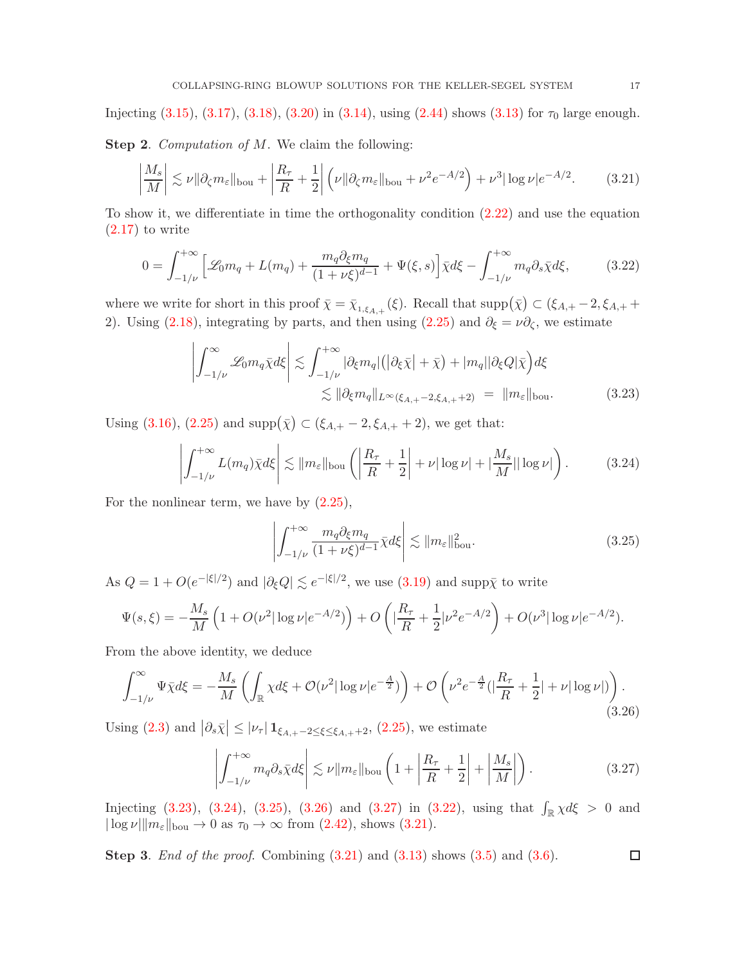Injecting  $(3.15), (3.17), (3.18), (3.20)$  $(3.15), (3.17), (3.18), (3.20)$  $(3.15), (3.17), (3.18), (3.20)$  $(3.15), (3.17), (3.18), (3.20)$  $(3.15), (3.17), (3.18), (3.20)$  $(3.15), (3.17), (3.18), (3.20)$  in  $(3.14),$  using  $(2.44)$  shows  $(3.13)$  for  $\tau_0$  large enough.

Step 2. Computation of M. We claim the following:

<span id="page-16-6"></span>
$$
\left| \frac{M_s}{M} \right| \lesssim \nu \| \partial_\zeta m_\varepsilon \|_{\text{bou}} + \left| \frac{R_\tau}{R} + \frac{1}{2} \right| \left( \nu \| \partial_\zeta m_\varepsilon \|_{\text{bou}} + \nu^2 e^{-A/2} \right) + \nu^3 |\log \nu| e^{-A/2}.
$$
 (3.21)

To show it, we differentiate in time the orthogonality condition [\(2.22\)](#page-9-2) and use the equation  $(2.17)$  to write

<span id="page-16-5"></span>
$$
0 = \int_{-1/\nu}^{+\infty} \left[ \mathcal{L}_0 m_q + L(m_q) + \frac{m_q \partial_{\xi} m_q}{(1 + \nu \xi)^{d-1}} + \Psi(\xi, s) \right] \bar{\chi} d\xi - \int_{-1/\nu}^{+\infty} m_q \partial_s \bar{\chi} d\xi, \tag{3.22}
$$

where we write for short in this proof  $\bar{\chi} = \bar{\chi}_{1,\xi_{A,+}}(\xi)$ . Recall that  $\text{supp}(\bar{\chi}) \subset (\xi_{A,+} - 2, \xi_{A,+} + \xi)$ 2). Using [\(2.18\)](#page-8-4), integrating by parts, and then using [\(2.25\)](#page-9-3) and  $\partial_{\xi} = \nu \partial_{\zeta}$ , we estimate

$$
\left| \int_{-1/\nu}^{\infty} \mathcal{L}_0 m_q \bar{\chi} d\xi \right| \lesssim \int_{-1/\nu}^{+\infty} |\partial_{\xi} m_q| \left( |\partial_{\xi} \bar{\chi}| + \bar{\chi} \right) + |m_q| |\partial_{\xi} Q| \bar{\chi} \right) d\xi
$$
  

$$
\lesssim ||\partial_{\xi} m_q||_{L^{\infty}(\xi_{A,+} - 2, \xi_{A,+} + 2)} = ||m_{\varepsilon}||_{\text{bou}}.
$$
 (3.23)

Using [\(3.16\)](#page-15-1), [\(2.25\)](#page-9-3) and  $\text{supp}(\bar{\chi}) \subset (\xi_{A,+} - 2, \xi_{A,+} + 2)$ , we get that:

<span id="page-16-1"></span>
$$
\left| \int_{-1/\nu}^{+\infty} L(m_q) \bar{\chi} d\xi \right| \lesssim \|m_{\varepsilon}\|_{\text{bou}} \left( \left| \frac{R_{\tau}}{R} + \frac{1}{2} \right| + \nu |\log \nu| + \left| \frac{M_s}{M} \right| |\log \nu| \right). \tag{3.24}
$$

For the nonlinear term, we have by [\(2.25\)](#page-9-3),

<span id="page-16-2"></span><span id="page-16-0"></span>
$$
\left| \int_{-1/\nu}^{+\infty} \frac{m_q \partial_{\xi} m_q}{(1+\nu \xi)^{d-1}} \bar{\chi} d\xi \right| \lesssim \|m_{\varepsilon}\|_{\text{bou}}^2. \tag{3.25}
$$

As  $Q = 1 + O(e^{-|\xi|/2})$  and  $|\partial_{\xi}Q| \lesssim e^{-|\xi|/2}$ , we use  $(3.19)$  and supp $\bar{\chi}$  to write

$$
\Psi(s,\xi) = -\frac{M_s}{M} \left( 1 + O(\nu^2 |\log \nu| e^{-A/2}) \right) + O\left( |\frac{R_\tau}{R} + \frac{1}{2} |\nu^2 e^{-A/2}| \right) + O(\nu^3 |\log \nu| e^{-A/2}).
$$

From the above identity, we deduce

<span id="page-16-3"></span>
$$
\int_{-1/\nu}^{\infty} \Psi \bar{\chi} d\xi = -\frac{M_s}{M} \left( \int_{\mathbb{R}} \chi d\xi + \mathcal{O}(\nu^2 |\log \nu| e^{-\frac{A}{2}}) \right) + \mathcal{O}\left(\nu^2 e^{-\frac{A}{2}} (|\frac{R_\tau}{R} + \frac{1}{2}| + \nu |\log \nu|) \right). \tag{3.26}
$$

Using [\(2.3\)](#page-6-5) and  $|\partial_s \bar{\chi}| \leq |\nu_{\tau}| \mathbf{1}_{\xi_{A,+}-2 \leq \xi \leq \xi_{A,+}+2}$ , [\(2.25\)](#page-9-3), we estimate

<span id="page-16-4"></span>
$$
\left| \int_{-1/\nu}^{+\infty} m_q \partial_s \bar{\chi} d\xi \right| \lesssim \nu \|m_\varepsilon\|_{\text{bou}} \left( 1 + \left| \frac{R_\tau}{R} + \frac{1}{2} \right| + \left| \frac{M_s}{M} \right| \right). \tag{3.27}
$$

Injecting [\(3.23\)](#page-16-0), [\(3.24\)](#page-16-1), [\(3.25\)](#page-16-2), [\(3.26\)](#page-16-3) and [\(3.27\)](#page-16-4) in [\(3.22\)](#page-16-5), using that  $\int_{\mathbb{R}} \chi d\xi > 0$  and  $|\log \nu| || m_{\varepsilon} ||_{\text{bou}} \to 0 \text{ as } \tau_0 \to \infty \text{ from (2.42), shows (3.21).}$  $|\log \nu| || m_{\varepsilon} ||_{\text{bou}} \to 0 \text{ as } \tau_0 \to \infty \text{ from (2.42), shows (3.21).}$  $|\log \nu| || m_{\varepsilon} ||_{\text{bou}} \to 0 \text{ as } \tau_0 \to \infty \text{ from (2.42), shows (3.21).}$  $|\log \nu| || m_{\varepsilon} ||_{\text{bou}} \to 0 \text{ as } \tau_0 \to \infty \text{ from (2.42), shows (3.21).}$  $|\log \nu| || m_{\varepsilon} ||_{\text{bou}} \to 0 \text{ as } \tau_0 \to \infty \text{ from (2.42), shows (3.21).}$ 

**Step 3.** End of the proof. Combining  $(3.21)$  and  $(3.13)$  shows  $(3.5)$  and  $(3.6)$ .

 $\Box$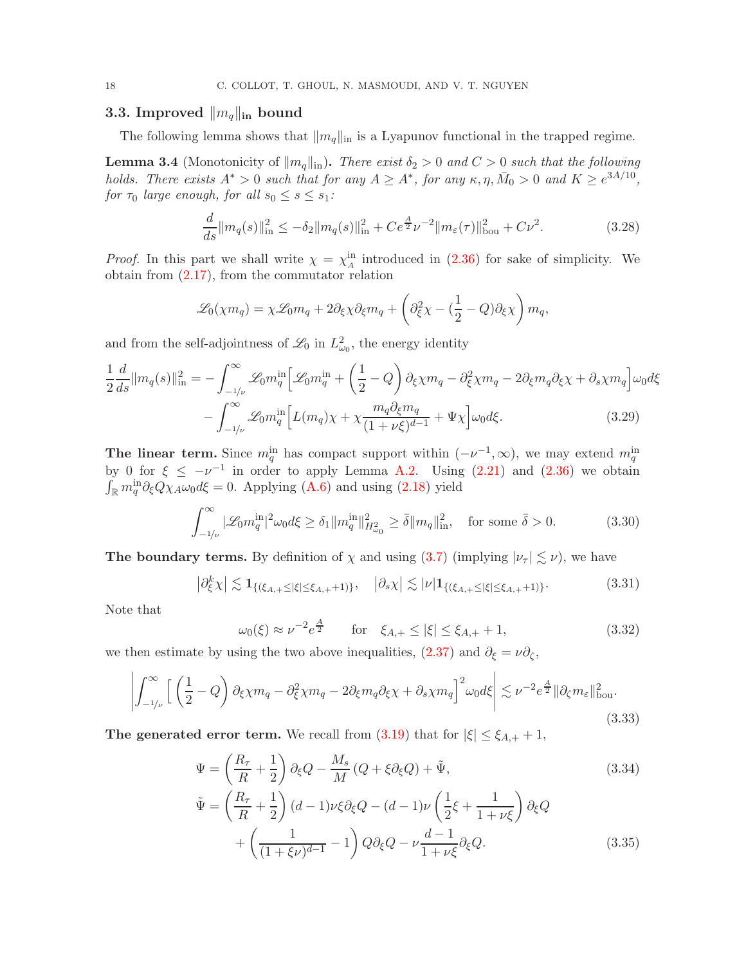## 3.3. Improved  $\|m_{q}\|_{\text{in}}$  bound

The following lemma shows that  $||m_q||_{\text{in}}$  is a Lyapunov functional in the trapped regime.

<span id="page-17-0"></span>**Lemma 3.4** (Monotonicity of  $||m_q||_{\text{in}}$ ). There exist  $\delta_2 > 0$  and  $C > 0$  such that the following holds. There exists  $A^* > 0$  such that for any  $A \geq A^*$ , for any  $\kappa, \eta, \bar{M}_0 > 0$  and  $K \geq e^{3A/10}$ , for  $\tau_0$  large enough, for all  $s_0 \leq s \leq s_1$ :

<span id="page-17-7"></span>
$$
\frac{d}{ds} \|m_q(s)\|_{\text{in}}^2 \le -\delta_2 \|m_q(s)\|_{\text{in}}^2 + Ce^{\frac{A}{2}} \nu^{-2} \|m_\varepsilon(\tau)\|_{\text{bou}}^2 + C\nu^2. \tag{3.28}
$$

*Proof.* In this part we shall write  $\chi = \chi_A^{\text{in}}$  introduced in [\(2.36\)](#page-11-5) for sake of simplicity. We obtain from [\(2.17\)](#page-8-0), from the commutator relation

<span id="page-17-6"></span>
$$
\mathcal{L}_0(\chi m_q) = \chi \mathcal{L}_0 m_q + 2\partial_{\xi} \chi \partial_{\xi} m_q + \left(\partial_{\xi}^2 \chi - (\frac{1}{2} - Q)\partial_{\xi} \chi\right) m_q,
$$

and from the self-adjointness of  $\mathcal{L}_0$  in  $L^2_{\omega_0}$ , the energy identity

$$
\frac{1}{2}\frac{d}{ds}\|m_q(s)\|_{\text{in}}^2 = -\int_{-1/\nu}^{\infty} \mathcal{L}_0 m_q^{\text{in}} \left[ \mathcal{L}_0 m_q^{\text{in}} + \left( \frac{1}{2} - Q \right) \partial_{\xi} \chi m_q - \partial_{\xi}^2 \chi m_q - 2 \partial_{\xi} m_q \partial_{\xi} \chi + \partial_s \chi m_q \right] \omega_0 d\xi
$$

$$
- \int_{-1/\nu}^{\infty} \mathcal{L}_0 m_q^{\text{in}} \left[ L(m_q) \chi + \chi \frac{m_q \partial_{\xi} m_q}{(1 + \nu \xi)^{d-1}} + \Psi \chi \right] \omega_0 d\xi. \tag{3.29}
$$

The linear term. Since  $m_q^{\text{in}}$  has compact support within  $(-\nu^{-1}, \infty)$ , we may extend  $m_q^{\text{in}}$ by 0 for  $\xi \leq -\nu^{-1}$  in order to apply Lemma [A.2.](#page-28-1) Using [\(2.21\)](#page-9-1) and [\(2.36\)](#page-11-5) we obtain  $\int_{\mathbb{R}} m_q^{\text{in}} \partial_{\xi} Q \chi_A \omega_0 d\xi = 0$ . Applying [\(A.6\)](#page-28-2) and using [\(2.18\)](#page-8-4) yield

<span id="page-17-3"></span>
$$
\int_{-1/\nu}^{\infty} |\mathcal{L}_0 m_q^{\text{in}}|^2 \omega_0 d\xi \ge \delta_1 \|m_q^{\text{in}}\|_{H^2_{\omega_0}}^2 \ge \bar{\delta} \|m_q\|_{\text{in}}^2, \quad \text{for some } \bar{\delta} > 0. \tag{3.30}
$$

**The boundary terms.** By definition of  $\chi$  and using [\(3.7\)](#page-14-4) (implying  $|\nu_{\tau}| \lesssim \nu$ ), we have

<span id="page-17-1"></span>
$$
\left|\partial_{\xi}^{k}\chi\right| \lesssim \mathbf{1}_{\left\{(\xi_{A,+} \leq |\xi| \leq \xi_{A,+}+1)\right\}}, \quad \left|\partial_{s}\chi\right| \lesssim |\nu| \mathbf{1}_{\left\{(\xi_{A,+} \leq |\xi| \leq \xi_{A,+}+1)\right\}}.
$$
\n(3.31)

Note that

<span id="page-17-4"></span><span id="page-17-2"></span>
$$
\omega_0(\xi) \approx \nu^{-2} e^{\frac{A}{2}}
$$
 for  $\xi_{A,+} \le |\xi| \le \xi_{A,+} + 1,$  (3.32)

we then estimate by using the two above inequalities,  $(2.37)$  and  $\partial_{\xi} = \nu \partial_{\zeta}$ ,

<span id="page-17-5"></span>
$$
\left| \int_{-1/\nu}^{\infty} \left[ \left( \frac{1}{2} - Q \right) \partial_{\xi} \chi m_q - \partial_{\xi}^2 \chi m_q - 2 \partial_{\xi} m_q \partial_{\xi} \chi + \partial_s \chi m_q \right]^2 \omega_0 d\xi \right| \lesssim \nu^{-2} e^{\frac{A}{2}} ||\partial_{\zeta} m_{\varepsilon}||_{\text{bou}}^2.
$$
\n(3.33)

The generated error term. We recall from  $(3.19)$  that for  $|\xi| \leq \xi_{A,+} + 1$ ,

$$
\Psi = \left(\frac{R_{\tau}}{R} + \frac{1}{2}\right)\partial_{\xi}Q - \frac{M_{s}}{M}\left(Q + \xi\partial_{\xi}Q\right) + \tilde{\Psi},\tag{3.34}
$$
\n
$$
\tilde{\Psi} = \left(\frac{R_{\tau}}{R} + \frac{1}{2}\right)(d - 1)\nu\xi\partial_{\xi}Q - (d - 1)\nu\left(\frac{1}{2}\xi + \frac{1}{1 + \nu\xi}\right)\partial_{\xi}Q
$$
\n
$$
+ \left(\frac{1}{(1 + \xi\nu)^{d - 1}} - 1\right)Q\partial_{\xi}Q - \nu\frac{d - 1}{1 + \nu\xi}\partial_{\xi}Q.\tag{3.35}
$$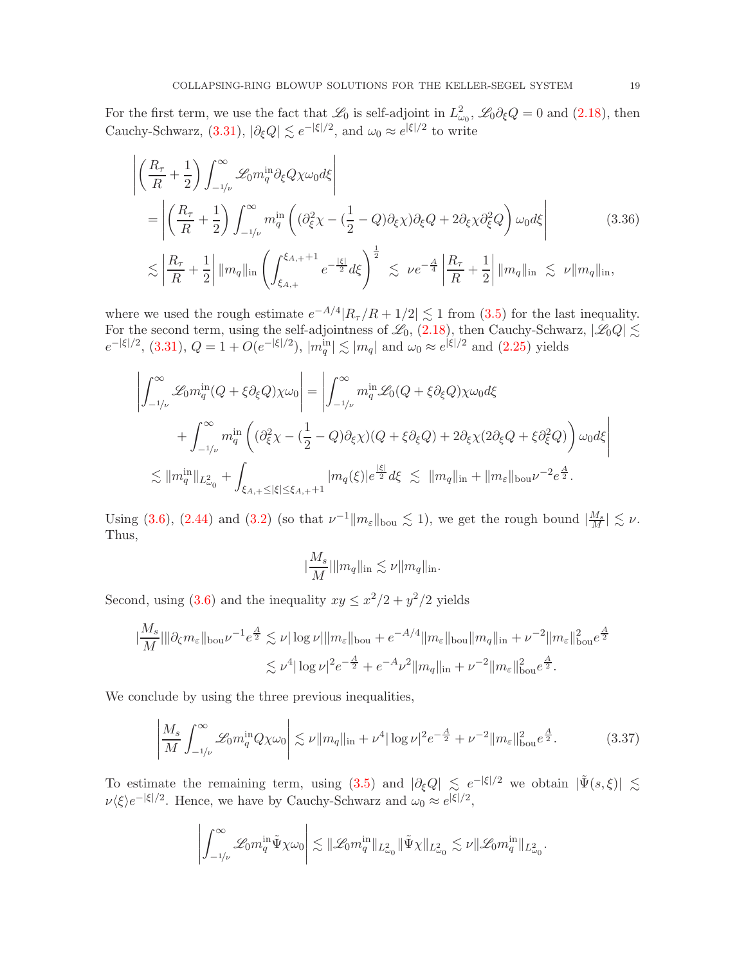For the first term, we use the fact that  $\mathcal{L}_0$  is self-adjoint in  $L^2_{\omega_0}$ ,  $\mathcal{L}_0 \partial_{\xi} Q = 0$  and  $(2.18)$ , then Cauchy-Schwarz, [\(3.31\)](#page-17-1),  $|\partial_{\xi}Q| \lesssim e^{-|\xi|/2}$ , and  $\omega_0 \approx e^{|\xi|/2}$  to write

$$
\begin{split}\n&\left| \left( \frac{R_{\tau}}{R} + \frac{1}{2} \right) \int_{-1/\nu}^{\infty} \mathcal{L}_0 m_q^{\text{in}} \partial_{\xi} Q \chi \omega_0 d\xi \right| \\
&= \left| \left( \frac{R_{\tau}}{R} + \frac{1}{2} \right) \int_{-1/\nu}^{\infty} m_q^{\text{in}} \left( (\partial_{\xi}^2 \chi - (\frac{1}{2} - Q) \partial_{\xi} \chi) \partial_{\xi} Q + 2 \partial_{\xi} \chi \partial_{\xi}^2 Q \right) \omega_0 d\xi \right| \\
&\lesssim \left| \frac{R_{\tau}}{R} + \frac{1}{2} \right| \|m_q\|_{\text{in}} \left( \int_{\xi_{A,+}}^{\xi_{A,+}+1} e^{-\frac{|\xi|}{2}} d\xi \right)^{\frac{1}{2}} \lesssim \nu e^{-\frac{A}{4}} \left| \frac{R_{\tau}}{R} + \frac{1}{2} \right| \|m_q\|_{\text{in}} \lesssim \nu \|m_q\|_{\text{in}},\n\end{split} \tag{3.36}
$$

where we used the rough estimate  $e^{-A/4} |R_{\tau}/R + 1/2| \lesssim 1$  from [\(3.5\)](#page-14-0) for the last inequality. For the second term, using the self-adjointness of  $\mathcal{L}_0$ , [\(2.18\)](#page-8-4), then Cauchy-Schwarz,  $|\mathcal{L}_0Q| \lesssim$  $e^{-|\xi|/2}$ , [\(3.31\)](#page-17-1),  $Q = 1 + O(e^{-|\xi|/2})$ ,  $|m_q^{\text{in}}| \lesssim |m_q|$  and  $\omega_0 \approx e^{|\xi|/2}$  and [\(2.25\)](#page-9-3) yields

$$
\left| \int_{-1/\nu}^{\infty} \mathcal{L}_0 m_q^{\text{in}}(Q + \xi \partial_{\xi} Q) \chi \omega_0 \right| = \left| \int_{-1/\nu}^{\infty} m_q^{\text{in}} \mathcal{L}_0(Q + \xi \partial_{\xi} Q) \chi \omega_0 d\xi \right|
$$
  
+ 
$$
\int_{-1/\nu}^{\infty} m_q^{\text{in}} \left( (\partial_{\xi}^2 \chi - (\frac{1}{2} - Q) \partial_{\xi} \chi)(Q + \xi \partial_{\xi} Q) + 2 \partial_{\xi} \chi (2 \partial_{\xi} Q + \xi \partial_{\xi}^2 Q) \right) \omega_0 d\xi \right|
$$
  

$$
\lesssim \|m_q^{\text{in}}\|_{L^2_{\omega_0}} + \int_{\xi_{A,+} \le |\xi| \le \xi_{A,+} + 1} |m_q(\xi)| e^{\frac{|\xi|}{2}} d\xi \lesssim \|m_q\|_{\text{in}} + \|m_{\varepsilon}\|_{\text{bou}} \nu^{-2} e^{\frac{A}{2}}.
$$

Using [\(3.6\)](#page-14-1), [\(2.44\)](#page-12-3) and [\(3.2\)](#page-13-4) (so that  $\nu^{-1}||m_{\varepsilon}||_{\text{bou}} \lesssim 1$ ), we get the rough bound  $|\frac{M_s}{M}| \lesssim \nu$ . Thus,

<span id="page-18-0"></span>
$$
\left|\frac{M_s}{M}\right| \|\mathbf{m}_q\|_{\text{in}} \lesssim \nu \|m_q\|_{\text{in}}.
$$

Second, using [\(3.6\)](#page-14-1) and the inequality  $xy \leq x^2/2 + y^2/2$  yields

$$
\begin{split} \|\frac{M_s}{M}\| \|\partial_\zeta m_\varepsilon\|_{\text{bou}} \nu^{-1} e^{\frac{A}{2}} &\lesssim \nu |\log \nu| \|m_\varepsilon\|_{\text{bou}} + e^{-A/4} \|m_\varepsilon\|_{\text{bou}} \|m_q\|_{\text{in}} + \nu^{-2} \|m_\varepsilon\|_{\text{bou}}^2 e^{\frac{A}{2}} \\ &\lesssim \nu^4 |\log \nu|^2 e^{-\frac{A}{2}} + e^{-A} \nu^2 \|m_q\|_{\text{in}} + \nu^{-2} \|m_\varepsilon\|_{\text{bou}}^2 e^{\frac{A}{2}} . \end{split}
$$

We conclude by using the three previous inequalities,

<span id="page-18-1"></span>
$$
\left| \frac{M_s}{M} \int_{-1/\nu}^{\infty} \mathcal{L}_0 m_q^{\text{in}} Q \chi \omega_0 \right| \lesssim \nu \|m_q\|_{\text{in}} + \nu^4 |\log \nu|^2 e^{-\frac{A}{2}} + \nu^{-2} \|m_\varepsilon\|_{\text{bou}}^2 e^{\frac{A}{2}}.
$$
 (3.37)

To estimate the remaining term, using [\(3.5\)](#page-14-0) and  $|\partial_{\xi}Q| \leq e^{-|\xi|/2}$  we obtain  $|\tilde{\Psi}(s,\xi)| \leq$  $\nu \langle \xi \rangle e^{-|\xi|/2}$ . Hence, we have by Cauchy-Schwarz and  $\omega_0 \approx e^{|\xi|/2}$ ,

$$
\left|\int_{-1/\nu}^{\infty}\mathscr{L}_0 m_q^{\text{in}}\tilde{\Psi}\chi\omega_0\right|\lesssim \|\mathscr{L}_0 m_q^{\text{in}}\|_{L^2_{\omega_0}}\|\tilde{\Psi}\chi\|_{L^2_{\omega_0}}\lesssim \nu \|\mathscr{L}_0 m_q^{\text{in}}\|_{L^2_{\omega_0}}.
$$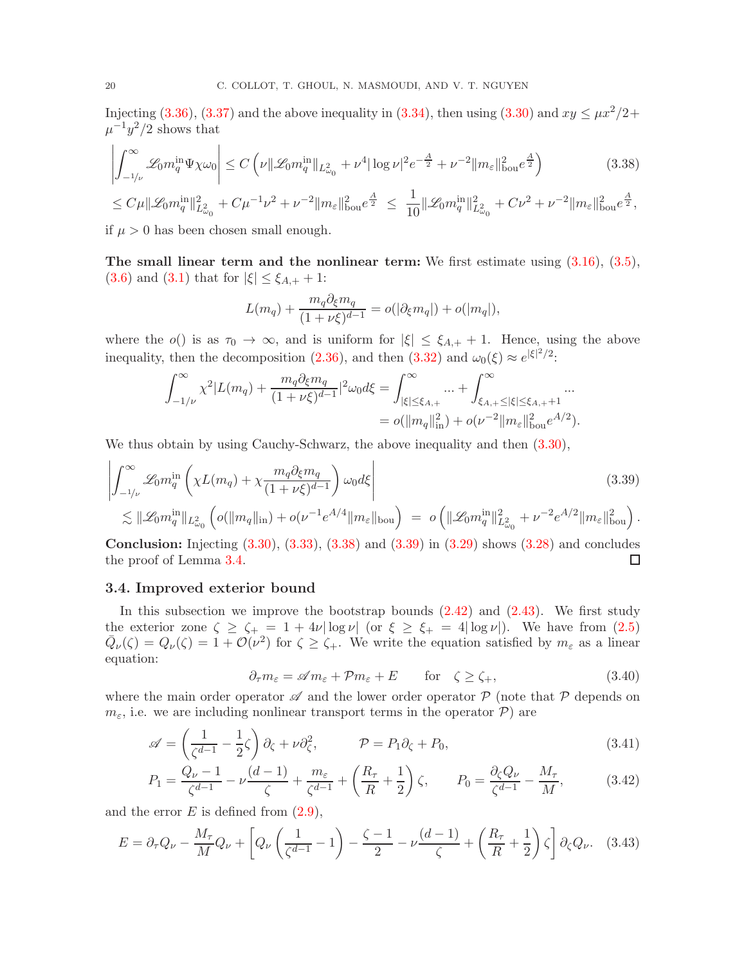Injecting [\(3.36\)](#page-18-0), [\(3.37\)](#page-18-1) and the above inequality in [\(3.34\)](#page-17-2), then using [\(3.30\)](#page-17-3) and  $xy \leq \mu x^2/2+$  $\mu^{-1}y^2/2$  shows that

$$
\left| \int_{-1/\nu}^{\infty} \mathcal{L}_0 m_q^{\text{in}} \Psi \chi \omega_0 \right| \le C \left( \nu \| \mathcal{L}_0 m_q^{\text{in}} \|_{L^2_{\omega_0}} + \nu^4 |\log \nu|^2 e^{-\frac{A}{2}} + \nu^{-2} \| m_\varepsilon \|_{\text{bou}}^2 e^{\frac{A}{2}} \right) \tag{3.38}
$$

$$
\leq C\mu\|\mathscr{L}_0m_q^{\text{in}}\|_{L^2_{\omega_0}}^2+C\mu^{-1}\nu^2+\nu^{-2}\|m_\varepsilon\|_{\text{bou}}^2e^\frac{A}{2}\ \leq\ \frac{1}{10}\|\mathscr{L}_0m_q^{\text{in}}\|_{L^2_{\omega_0}}^2+C\nu^2+\nu^{-2}\|m_\varepsilon\|_{\text{bou}}^2e^\frac{A}{2},
$$

if  $\mu > 0$  has been chosen small enough.

The small linear term and the nonlinear term: We first estimate using  $(3.16)$ ,  $(3.5)$ , [\(3.6\)](#page-14-1) and [\(3.1\)](#page-13-2) that for  $|\xi| \leq \xi_{A,+} + 1$ :

<span id="page-19-2"></span><span id="page-19-1"></span>
$$
L(m_q) + \frac{m_q \partial_{\xi} m_q}{(1 + \nu \xi)^{d-1}} = o(|\partial_{\xi} m_q|) + o(|m_q|),
$$

where the  $o()$  is as  $\tau_0 \to \infty$ , and is uniform for  $|\xi| \leq \xi_{A,+} + 1$ . Hence, using the above inequality, then the decomposition [\(2.36\)](#page-11-5), and then [\(3.32\)](#page-17-4) and  $\omega_0(\xi) \approx e^{|\xi|^2/2}$ .

$$
\int_{-1/\nu}^{\infty} \chi^2 |L(m_q) + \frac{m_q \partial_{\xi} m_q}{(1 + \nu \xi)^{d-1}}|^2 \omega_0 d\xi = \int_{|\xi| \le \xi_{A,+}}^{\infty} \dots + \int_{\xi_{A,+} \le |\xi| \le \xi_{A,+}+1}^{\infty} \dots
$$
  
=  $o(||m_q||_{\text{in}}^2) + o(\nu^{-2} || m_{\varepsilon} ||_{\text{out}}^2 e^{A/2}).$ 

We thus obtain by using Cauchy-Schwarz, the above inequality and then  $(3.30)$ ,

$$
\left| \int_{-1/\nu}^{\infty} \mathcal{L}_0 m_q^{\text{in}} \left( \chi L(m_q) + \chi \frac{m_q \partial_{\xi} m_q}{(1 + \nu \xi)^{d-1}} \right) \omega_0 d\xi \right| \tag{3.39}
$$
\n
$$
\lesssim \|\mathcal{L}_0 m_q^{\text{in}}\|_{L^2_{\omega_0}} \left( o(\|m_q\|_{\text{in}}) + o(\nu^{-1} e^{A/4} \|m_\varepsilon\|_{\text{bou}}) \right) = o\left( \|\mathcal{L}_0 m_q^{\text{in}}\|_{L^2_{\omega_0}}^2 + \nu^{-2} e^{A/2} \|m_\varepsilon\|_{\text{bou}}^2 \right).
$$

Conclusion: Injecting [\(3.30\)](#page-17-3), [\(3.33\)](#page-17-5), [\(3.38\)](#page-19-1) and [\(3.39\)](#page-19-2) in [\(3.29\)](#page-17-6) shows [\(3.28\)](#page-17-7) and concludes the proof of Lemma [3.4.](#page-17-0)  $\Box$ 

#### 3.4. Improved exterior bound

In this subsection we improve the bootstrap bounds [\(2.42\)](#page-12-4) and [\(2.43\)](#page-12-6). We first study the exterior zone  $\zeta \ge \zeta_+ = 1 + 4\nu |\log \nu|$  (or  $\xi \ge \xi_+ = 4 |\log \nu|$ ). We have from [\(2.5\)](#page-6-0)  $\overline{Q}_{\nu}(\zeta) = Q_{\nu}(\zeta) = 1 + \mathcal{O}(\nu^2)$  for  $\zeta \geq \zeta_+$ . We write the equation satisfied by  $m_{\varepsilon}$  as a linear equation:

<span id="page-19-5"></span><span id="page-19-4"></span><span id="page-19-3"></span><span id="page-19-0"></span>
$$
\partial_{\tau} m_{\varepsilon} = \mathscr{A} m_{\varepsilon} + \mathcal{P} m_{\varepsilon} + E \qquad \text{for} \quad \zeta \ge \zeta_+, \tag{3.40}
$$

where the main order operator  $\mathscr A$  and the lower order operator  $\mathcal P$  (note that  $\mathcal P$  depends on  $m_{\varepsilon}$ , i.e. we are including nonlinear transport terms in the operator  $\mathcal{P}$ ) are

$$
\mathscr{A} = \left(\frac{1}{\zeta^{d-1}} - \frac{1}{2}\zeta\right)\partial_{\zeta} + \nu \partial_{\zeta}^{2}, \qquad \mathcal{P} = P_{1}\partial_{\zeta} + P_{0}, \qquad (3.41)
$$

$$
P_1 = \frac{Q_{\nu} - 1}{\zeta^{d-1}} - \nu \frac{(d-1)}{\zeta} + \frac{m_{\varepsilon}}{\zeta^{d-1}} + \left(\frac{R_{\tau}}{R} + \frac{1}{2}\right)\zeta, \qquad P_0 = \frac{\partial_{\zeta} Q_{\nu}}{\zeta^{d-1}} - \frac{M_{\tau}}{M},\tag{3.42}
$$

and the error  $E$  is defined from  $(2.9)$ ,

$$
E = \partial_{\tau} Q_{\nu} - \frac{M_{\tau}}{M} Q_{\nu} + \left[ Q_{\nu} \left( \frac{1}{\zeta^{d-1}} - 1 \right) - \frac{\zeta - 1}{2} - \nu \frac{(d-1)}{\zeta} + \left( \frac{R_{\tau}}{R} + \frac{1}{2} \right) \zeta \right] \partial_{\zeta} Q_{\nu}.
$$
 (3.43)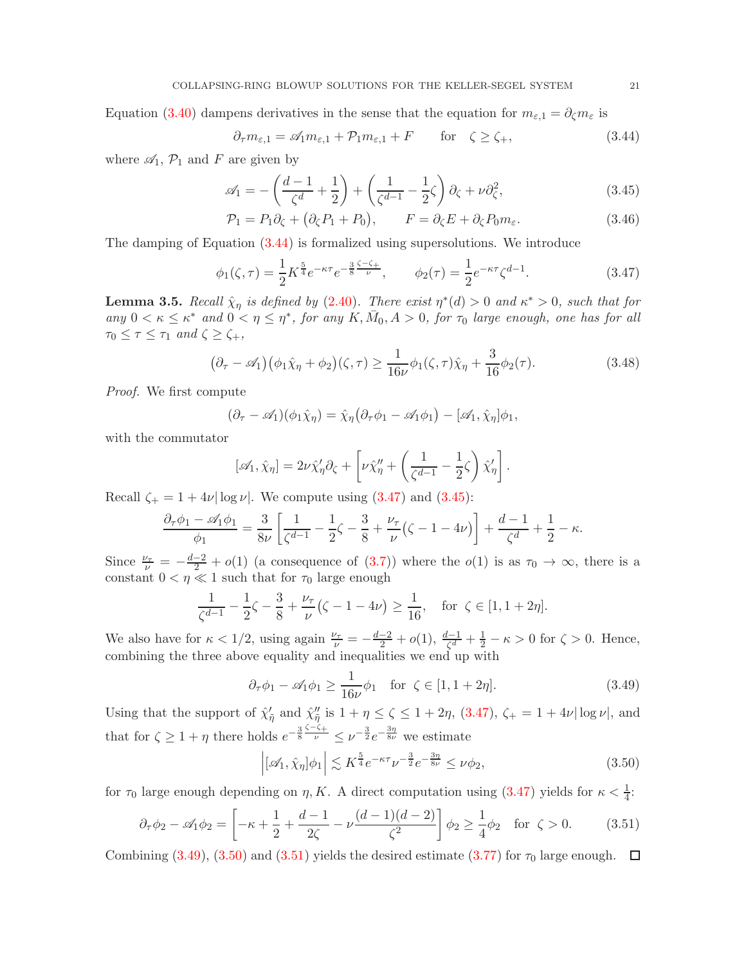Equation [\(3.40\)](#page-19-0) dampens derivatives in the sense that the equation for  $m_{\epsilon,1} = \partial_{\zeta} m_{\epsilon}$  is

<span id="page-20-2"></span><span id="page-20-0"></span>
$$
\partial_{\tau} m_{\varepsilon,1} = \mathscr{A}_1 m_{\varepsilon,1} + \mathcal{P}_1 m_{\varepsilon,1} + F \qquad \text{for} \quad \zeta \ge \zeta_+, \tag{3.44}
$$

where  $\mathscr{A}_1$ ,  $\mathcal{P}_1$  and F are given by

$$
\mathscr{A}_1 = -\left(\frac{d-1}{\zeta^d} + \frac{1}{2}\right) + \left(\frac{1}{\zeta^{d-1}} - \frac{1}{2}\zeta\right)\partial_\zeta + \nu \partial_\zeta^2, \tag{3.45}
$$

$$
\mathcal{P}_1 = P_1 \partial_{\zeta} + (\partial_{\zeta} P_1 + P_0), \qquad F = \partial_{\zeta} E + \partial_{\zeta} P_0 m_{\varepsilon}.
$$
\n(3.46)

The damping of Equation [\(3.44\)](#page-20-0) is formalized using supersolutions. We introduce

<span id="page-20-1"></span>
$$
\phi_1(\zeta, \tau) = \frac{1}{2} K^{\frac{5}{4}} e^{-\kappa \tau} e^{-\frac{3}{8} \frac{\zeta - \zeta_+}{\nu}}, \qquad \phi_2(\tau) = \frac{1}{2} e^{-\kappa \tau} \zeta^{d-1}.
$$
 (3.47)

<span id="page-20-6"></span>**Lemma 3.5.** Recall  $\hat{\chi}_{\eta}$  is defined by [\(2.40\)](#page-12-5). There exist  $\eta^*(d) > 0$  and  $\kappa^* > 0$ , such that for any  $0 < \kappa \leq \kappa^*$  and  $0 < \eta \leq \eta^*$ , for any  $K, \bar{M}_0, A > 0$ , for  $\tau_0$  large enough, one has for all  $\tau_0 \leq \tau \leq \tau_1$  and  $\zeta \geq \zeta_+$ ,

$$
\left(\partial_{\tau} - \mathscr{A}_1\right)\left(\phi_1\hat{\chi}_\eta + \phi_2\right)(\zeta, \tau) \ge \frac{1}{16\nu}\phi_1(\zeta, \tau)\hat{\chi}_\eta + \frac{3}{16}\phi_2(\tau). \tag{3.48}
$$

Proof. We first compute

$$
(\partial_{\tau} - \mathscr{A}_1)(\phi_1 \hat{\chi}_{\eta}) = \hat{\chi}_{\eta} (\partial_{\tau} \phi_1 - \mathscr{A}_1 \phi_1) - [\mathscr{A}_1, \hat{\chi}_{\eta}] \phi_1,
$$

with the commutator

$$
[\mathscr{A}_1, \hat{\chi}_{\eta}] = 2\nu \hat{\chi}'_{\eta} \partial_{\zeta} + \left[\nu \hat{\chi}''_{\eta} + \left(\frac{1}{\zeta^{d-1}} - \frac{1}{2}\zeta\right) \hat{\chi}'_{\eta}\right].
$$

Recall  $\zeta_+ = 1 + 4\nu |\log \nu|$ . We compute using [\(3.47\)](#page-20-1) and [\(3.45\)](#page-20-2):

$$
\frac{\partial_{\tau}\phi_1 - \mathscr{A}_1\phi_1}{\phi_1} = \frac{3}{8\nu} \left[ \frac{1}{\zeta^{d-1}} - \frac{1}{2}\zeta - \frac{3}{8} + \frac{\nu_{\tau}}{\nu} (\zeta - 1 - 4\nu) \right] + \frac{d-1}{\zeta^d} + \frac{1}{2} - \kappa.
$$

Since  $\frac{\nu_{\tau}}{\nu} = -\frac{d-2}{2} + o(1)$  (a consequence of [\(3.7\)](#page-14-4)) where the  $o(1)$  is as  $\tau_0 \to \infty$ , there is a constant  $0 < \eta \ll 1$  such that for  $\tau_0$  large enough

$$
\frac{1}{\zeta^{d-1}} - \frac{1}{2}\zeta - \frac{3}{8} + \frac{\nu_{\tau}}{\nu} (\zeta - 1 - 4\nu) \ge \frac{1}{16}, \text{ for } \zeta \in [1, 1 + 2\eta].
$$

We also have for  $\kappa < 1/2$ , using again  $\frac{\nu_{\tau}}{\nu} = -\frac{d-2}{2} + o(1)$ ,  $\frac{d-1}{\zeta^d} + \frac{1}{2} - \kappa > 0$  for  $\zeta > 0$ . Hence, combining the three above equality and inequalities we end up with

<span id="page-20-3"></span>
$$
\partial_{\tau}\phi_1 - \mathscr{A}_1\phi_1 \ge \frac{1}{16\nu}\phi_1 \quad \text{for } \zeta \in [1, 1+2\eta].\tag{3.49}
$$

Using that the support of  $\hat{\chi}'_{\tilde{\eta}}$  and  $\hat{\chi}''_{\tilde{\eta}}$  is  $1 + \eta \leq \zeta \leq 1 + 2\eta$ ,  $(3.47)$ ,  $\zeta_{+} = 1 + 4\nu |\log \nu|$ , and that for  $\zeta \geq 1 + \eta$  there holds  $e^{-\frac{3}{8}\frac{\zeta - \zeta_+}{\nu}} \leq \nu^{-\frac{3}{2}}e^{-\frac{3\eta}{8\nu}}$  we estimate

<span id="page-20-4"></span>
$$
\left| [\mathscr{A}_1, \hat{\chi}_\eta] \phi_1 \right| \lesssim K^{\frac{5}{4}} e^{-\kappa \tau} \nu^{-\frac{3}{2}} e^{-\frac{3\eta}{8\nu}} \leq \nu \phi_2,\tag{3.50}
$$

for  $\tau_0$  large enough depending on  $\eta$ , K. A direct computation using [\(3.47\)](#page-20-1) yields for  $\kappa < \frac{1}{4}$ :

<span id="page-20-5"></span>
$$
\partial_{\tau}\phi_2 - \mathscr{A}_1\phi_2 = \left[ -\kappa + \frac{1}{2} + \frac{d-1}{2\zeta} - \nu \frac{(d-1)(d-2)}{\zeta^2} \right] \phi_2 \ge \frac{1}{4}\phi_2 \quad \text{for } \zeta > 0. \tag{3.51}
$$

Combining  $(3.49)$ ,  $(3.50)$  and  $(3.51)$  yields the desired estimate  $(3.77)$  for  $\tau_0$  large enough.  $\Box$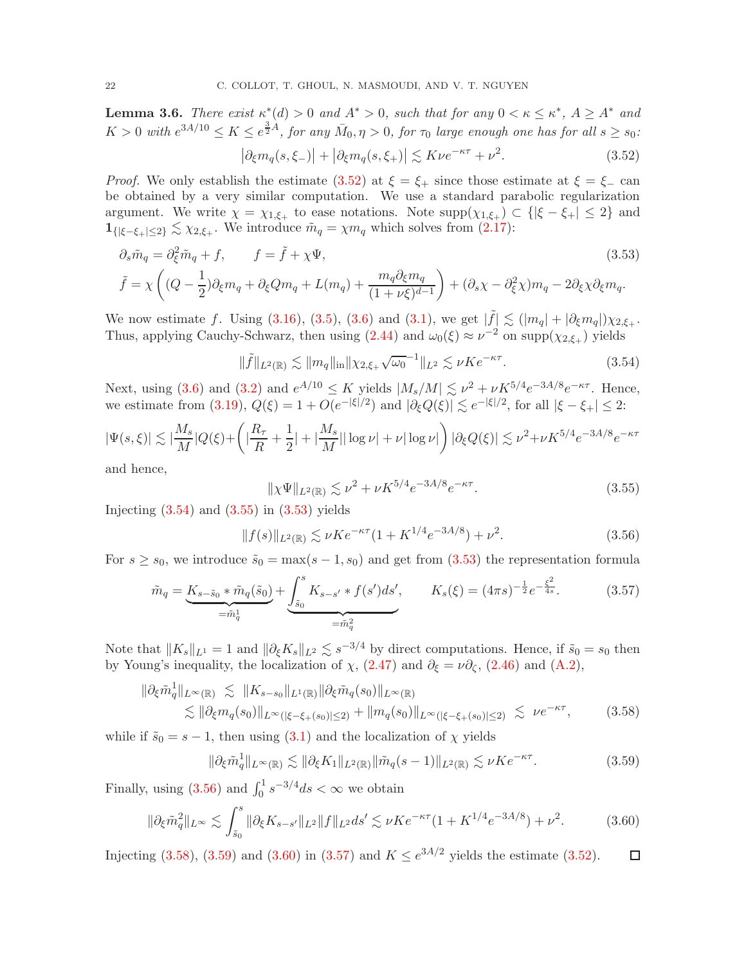<span id="page-21-0"></span>**Lemma 3.6.** There exist  $\kappa^*(d) > 0$  and  $A^* > 0$ , such that for any  $0 < \kappa \leq \kappa^*$ ,  $A \geq A^*$  and  $K > 0$  with  $e^{3A/10} \leq K \leq e^{\frac{3}{2}A}$ , for any  $\bar{M}_0, \eta > 0$ , for  $\tau_0$  large enough one has for all  $s \geq s_0$ :  $\bigg\}$ 

<span id="page-21-4"></span><span id="page-21-1"></span>
$$
\left|\partial_{\xi}m_q(s,\xi_{-})\right| + \left|\partial_{\xi}m_q(s,\xi_{+})\right| \lesssim K\nu e^{-\kappa\tau} + \nu^2. \tag{3.52}
$$

*Proof.* We only establish the estimate  $(3.52)$  at  $\xi = \xi_+$  since those estimate at  $\xi = \xi_-$  can be obtained by a very similar computation. We use a standard parabolic regularization argument. We write  $\chi = \chi_{1,\xi_+}$  to ease notations. Note  $\supp(\chi_{1,\xi_+}) \subset {\vert \xi - \xi_+ \vert \leq 2}$  and  $1_{\{|\xi-\xi_+|\leq 2\}} \lesssim \chi_{2,\xi_+}$ . We introduce  $\tilde{m}_q = \chi m_q$  which solves from [\(2.17\)](#page-8-0):

$$
\partial_s \tilde{m}_q = \partial_{\xi}^2 \tilde{m}_q + f, \qquad f = \tilde{f} + \chi \Psi,
$$
\n
$$
\tilde{f} = \chi \left( (Q - \frac{1}{2}) \partial_{\xi} m_q + \partial_{\xi} Q m_q + L(m_q) + \frac{m_q \partial_{\xi} m_q}{(1 + \nu \xi)^{d-1}} \right) + (\partial_s \chi - \partial_{\xi}^2 \chi) m_q - 2 \partial_{\xi} \chi \partial_{\xi} m_q.
$$
\n(3.53)

We now estimate f. Using [\(3.16\)](#page-15-1), [\(3.5\)](#page-14-0), [\(3.6\)](#page-14-1) and [\(3.1\)](#page-13-2), we get  $|\tilde{f}| \lesssim (|m_q| + |\partial_{\xi} m_q|) \chi_{2,\xi_+}$ . Thus, applying Cauchy-Schwarz, then using  $(2.44)$  and  $\omega_0(\xi) \approx \nu^{-2}$  on supp $(\chi_{2,\xi_+})$  yields

<span id="page-21-2"></span>
$$
\|\tilde{f}\|_{L^2(\mathbb{R})} \lesssim \|m_q\|_{\text{in}} \|\chi_{2,\xi+\sqrt{\omega_0}}^{-1}\|_{L^2} \lesssim \nu K e^{-\kappa \tau}.\tag{3.54}
$$

Next, using [\(3.6\)](#page-14-1) and [\(3.2\)](#page-13-4) and  $e^{A/10} \le K$  yields  $|M_s/M| \lesssim \nu^2 + \nu K^{5/4} e^{-3A/8} e^{-\kappa \tau}$ . Hence, we estimate from [\(3.19\)](#page-15-7),  $Q(\xi) = 1 + O(e^{-|\xi|/2})$  and  $|\partial_{\xi}Q(\xi)| \lesssim e^{-|\xi|/2}$ , for all  $|\xi - \xi_{+}| \leq 2$ :

$$
|\Psi(s,\xi)| \lesssim |\frac{M_s}{M}|Q(\xi) + \left(|\frac{R_\tau}{R} + \frac{1}{2}| + |\frac{M_s}{M}| |\log \nu| + \nu |\log \nu| \right) |\partial_{\xi} Q(\xi)| \lesssim \nu^2 + \nu K^{5/4} e^{-3A/8} e^{-\kappa \tau}
$$

and hence,

<span id="page-21-3"></span>
$$
\|\chi\Psi\|_{L^{2}(\mathbb{R})} \lesssim \nu^{2} + \nu K^{5/4} e^{-3A/8} e^{-\kappa \tau}.
$$
\n(3.55)

Injecting  $(3.54)$  and  $(3.55)$  in  $(3.53)$  yields

<span id="page-21-5"></span>
$$
||f(s)||_{L^{2}(\mathbb{R})} \lesssim \nu K e^{-\kappa \tau} (1 + K^{1/4} e^{-3A/8}) + \nu^{2}.
$$
 (3.56)

For  $s \geq s_0$ , we introduce  $\tilde{s}_0 = \max(s - 1, s_0)$  and get from  $(3.53)$  the representation formula

<span id="page-21-9"></span>
$$
\tilde{m}_q = \underbrace{K_{s-\tilde{s}_0} * \tilde{m}_q(\tilde{s}_0)}_{=\tilde{m}_q^1} + \underbrace{\int_{\tilde{s}_0}^s K_{s-s'} * f(s')ds'}_{=\tilde{m}_q^2}, \qquad K_s(\xi) = (4\pi s)^{-\frac{1}{2}} e^{-\frac{\xi^2}{4s}}.
$$
\n(3.57)

Note that  $||K_s||_{L^1} = 1$  and  $||\partial_{\xi}K_s||_{L^2} \lesssim s^{-3/4}$  by direct computations. Hence, if  $\tilde{s}_0 = s_0$  then by Young's inequality, the localization of  $\chi$ , [\(2.47\)](#page-13-1) and  $\partial_{\xi} = \nu \partial_{\zeta}$ , [\(2.46\)](#page-13-0) and [\(A.2\)](#page-27-0),

$$
\|\partial_{\xi}\tilde{m}_{q}^1\|_{L^{\infty}(\mathbb{R})} \lesssim \|K_{s-s_0}\|_{L^{1}(\mathbb{R})} \|\partial_{\xi}\tilde{m}_{q}(s_0)\|_{L^{\infty}(\mathbb{R})}
$$
  

$$
\lesssim \|\partial_{\xi}m_{q}(s_0)\|_{L^{\infty}(|\xi-\xi+(s_0)|\leq 2)} + \|m_{q}(s_0)\|_{L^{\infty}(|\xi-\xi+(s_0)|\leq 2)} \lesssim \nu e^{-\kappa \tau}, \qquad (3.58)
$$

while if  $\tilde{s}_0 = s - 1$ , then using  $(3.1)$  and the localization of  $\chi$  yields

<span id="page-21-7"></span><span id="page-21-6"></span>
$$
\|\partial_{\xi}\tilde{m}_q^1\|_{L^{\infty}(\mathbb{R})} \lesssim \|\partial_{\xi}K_1\|_{L^2(\mathbb{R})}\|\tilde{m}_q(s-1)\|_{L^2(\mathbb{R})} \lesssim \nu Ke^{-\kappa\tau}.
$$
\n(3.59)

Finally, using [\(3.56\)](#page-21-5) and  $\int_0^1 s^{-3/4} ds < \infty$  we obtain

<span id="page-21-8"></span>
$$
\|\partial_{\xi}\tilde{m}_q^2\|_{L^\infty} \lesssim \int_{\tilde{s}_0}^s \|\partial_{\xi}K_{s-s'}\|_{L^2} \|f\|_{L^2} ds' \lesssim \nu K e^{-\kappa \tau} (1 + K^{1/4} e^{-3A/8}) + \nu^2. \tag{3.60}
$$

Injecting [\(3.58\)](#page-21-6), [\(3.59\)](#page-21-7) and [\(3.60\)](#page-21-8) in [\(3.57\)](#page-21-9) and  $K \le e^{3A/2}$  yields the estimate [\(3.52\)](#page-21-1).  $\Box$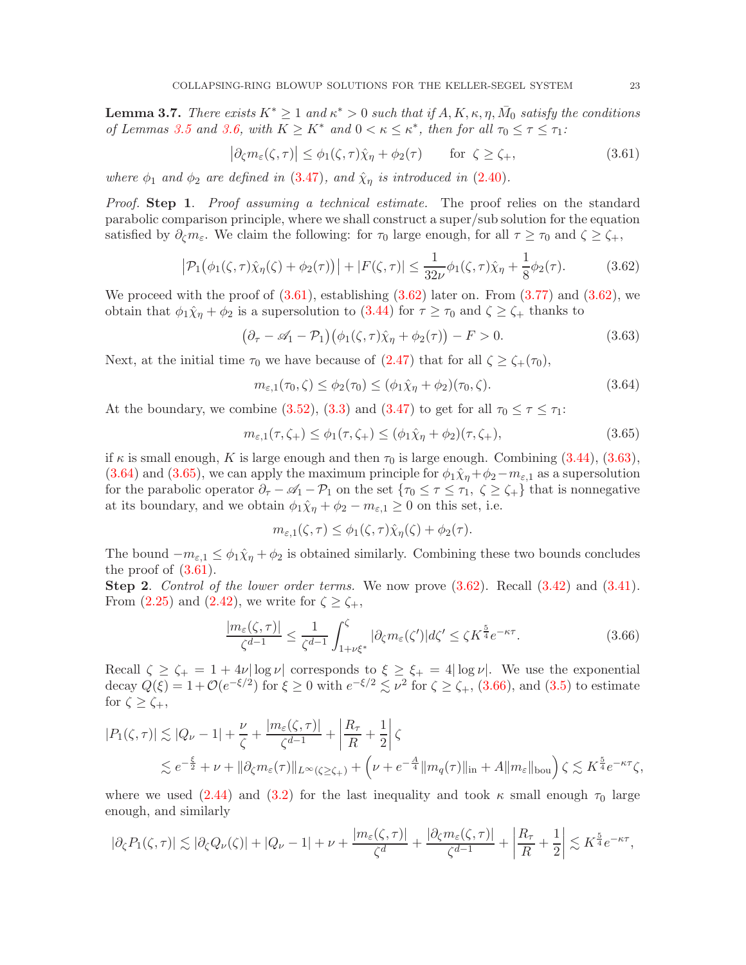<span id="page-22-0"></span>**Lemma 3.7.** There exists  $K^* \geq 1$  and  $\kappa^* > 0$  such that if  $A, K, \kappa, \eta, \bar{M}_0$  satisfy the conditions of Lemmas [3.5](#page-20-6) and [3.6,](#page-21-0) with  $K \geq K^*$  and  $0 < \kappa \leq \kappa^*$ , then for all  $\tau_0 \leq \tau \leq \tau_1$ :

<span id="page-22-1"></span>
$$
\left|\partial_{\zeta}m_{\varepsilon}(\zeta,\tau)\right| \leq \phi_1(\zeta,\tau)\hat{\chi}_{\eta} + \phi_2(\tau) \quad \text{for } \zeta \geq \zeta_+, \tag{3.61}
$$

where  $\phi_1$  and  $\phi_2$  are defined in [\(3.47\)](#page-20-1), and  $\hat{\chi}_\eta$  is introduced in [\(2.40\)](#page-12-5).

Proof. Step 1. Proof assuming a technical estimate. The proof relies on the standard parabolic comparison principle, where we shall construct a super/sub solution for the equation satisfied by  $\partial_{\zeta} m_{\varepsilon}$ . We claim the following: for  $\tau_0$  large enough, for all  $\tau \geq \tau_0$  and  $\zeta \geq \zeta_+$ ,

<span id="page-22-2"></span>
$$
\left| \mathcal{P}_1(\phi_1(\zeta,\tau)\hat{\chi}_{\eta}(\zeta) + \phi_2(\tau)) \right| + \left| F(\zeta,\tau) \right| \le \frac{1}{32\nu} \phi_1(\zeta,\tau)\hat{\chi}_{\eta} + \frac{1}{8} \phi_2(\tau). \tag{3.62}
$$

We proceed with the proof of  $(3.61)$ , establishing  $(3.62)$  later on. From  $(3.77)$  and  $(3.62)$ , we obtain that  $\phi_1\hat{\chi}_\eta + \phi_2$  is a supersolution to [\(3.44\)](#page-20-0) for  $\tau \geq \tau_0$  and  $\zeta \geq \zeta_+$  thanks to

<span id="page-22-3"></span>
$$
(\partial_{\tau} - \mathscr{A}_1 - \mathcal{P}_1) \big( \phi_1(\zeta, \tau) \hat{\chi}_{\eta} + \phi_2(\tau) \big) - F > 0. \tag{3.63}
$$

Next, at the initial time  $\tau_0$  we have because of  $(2.47)$  that for all  $\zeta \geq \zeta_+(\tau_0)$ ,

<span id="page-22-4"></span>
$$
m_{\varepsilon,1}(\tau_0,\zeta) \le \phi_2(\tau_0) \le (\phi_1\hat{\chi}_\eta + \phi_2)(\tau_0,\zeta). \tag{3.64}
$$

At the boundary, we combine [\(3.52\)](#page-21-1), [\(3.3\)](#page-13-5) and [\(3.47\)](#page-20-1) to get for all  $\tau_0 \leq \tau \leq \tau_1$ :

<span id="page-22-5"></span>
$$
m_{\varepsilon,1}(\tau,\zeta_{+}) \le \phi_1(\tau,\zeta_{+}) \le (\phi_1\hat{\chi}_{\eta} + \phi_2)(\tau,\zeta_{+}),
$$
\n(3.65)

if  $\kappa$  is small enough, K is large enough and then  $\tau_0$  is large enough. Combining [\(3.44\)](#page-20-0), [\(3.63\)](#page-22-3), [\(3.64\)](#page-22-4) and [\(3.65\)](#page-22-5), we can apply the maximum principle for  $\phi_1\hat{\chi}_n + \phi_2 - m_{\varepsilon,1}$  as a supersolution for the parabolic operator  $\partial_{\tau} - \mathscr{A}_1 - \mathcal{P}_1$  on the set  $\{\tau_0 \leq \tau \leq \tau_1, \zeta \geq \zeta_+\}$  that is nonnegative at its boundary, and we obtain  $\phi_1 \hat{\chi}_\eta + \phi_2 - m_{\varepsilon,1} \geq 0$  on this set, i.e.

<span id="page-22-6"></span>
$$
m_{\varepsilon,1}(\zeta,\tau) \leq \phi_1(\zeta,\tau)\hat{\chi}_{\eta}(\zeta) + \phi_2(\tau).
$$

The bound  $-m_{\varepsilon,1} \leq \phi_1 \hat{\chi}_n + \phi_2$  is obtained similarly. Combining these two bounds concludes the proof of  $(3.61)$ .

Step 2. Control of the lower order terms. We now prove  $(3.62)$ . Recall  $(3.42)$  and  $(3.41)$ . From [\(2.25\)](#page-9-3) and [\(2.42\)](#page-12-4), we write for  $\zeta \geq \zeta_{+}$ ,

$$
\frac{|m_{\varepsilon}(\zeta,\tau)|}{\zeta^{d-1}} \le \frac{1}{\zeta^{d-1}} \int_{1+\nu\xi^*}^{\zeta} |\partial_{\zeta}m_{\varepsilon}(\zeta')|d\zeta' \le \zeta K^{\frac{5}{4}} e^{-\kappa\tau}.
$$
\n(3.66)

Recall  $\zeta \geq \zeta_+ = 1 + 4\nu |\log \nu|$  corresponds to  $\xi \geq \xi_+ = 4 |\log \nu|$ . We use the exponential decay  $Q(\xi) = 1 + \mathcal{O}(e^{-\xi/2})$  for  $\xi \ge 0$  with  $e^{-\xi/2} \lesssim \nu^2$  for  $\zeta \ge \zeta_+$ , [\(3.66\)](#page-22-6), and [\(3.5\)](#page-14-0) to estimate for  $\zeta \geq \zeta_{+}$ ,

$$
|P_1(\zeta,\tau)| \lesssim |Q_{\nu} - 1| + \frac{\nu}{\zeta} + \frac{|m_{\varepsilon}(\zeta,\tau)|}{\zeta^{d-1}} + \left| \frac{R_{\tau}}{R} + \frac{1}{2} \right| \zeta
$$
  

$$
\lesssim e^{-\frac{\xi}{2}} + \nu + ||\partial_{\zeta} m_{\varepsilon}(\tau)||_{L^{\infty}(\zeta \geq \zeta_{+})} + \left( \nu + e^{-\frac{A}{4}} ||m_{q}(\tau)||_{\text{in}} + A ||m_{\varepsilon}||_{\text{bou}} \right) \zeta \lesssim K^{\frac{5}{4}} e^{-\kappa \tau} \zeta,
$$

where we used [\(2.44\)](#page-12-3) and [\(3.2\)](#page-13-4) for the last inequality and took  $\kappa$  small enough  $\tau_0$  large enough, and similarly

$$
|\partial_{\zeta}P_1(\zeta,\tau)| \lesssim |\partial_{\zeta}Q_{\nu}(\zeta)| + |Q_{\nu}-1| + \nu + \frac{|m_{\varepsilon}(\zeta,\tau)|}{\zeta^d} + \frac{|\partial_{\zeta}m_{\varepsilon}(\zeta,\tau)|}{\zeta^{d-1}} + \left|\frac{R_{\tau}}{R} + \frac{1}{2}\right| \lesssim K^{\frac{5}{4}}e^{-\kappa\tau},
$$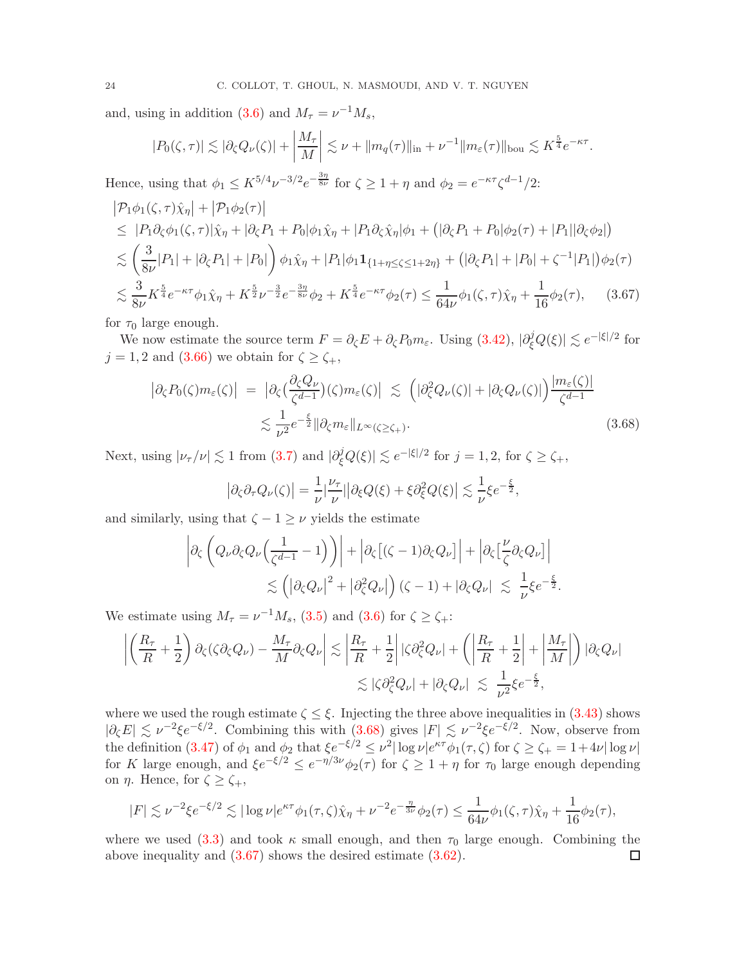and, using in addition [\(3.6\)](#page-14-1) and  $M_{\tau} = \nu^{-1} M_s$ ,

$$
|P_0(\zeta,\tau)| \lesssim |\partial_{\zeta} Q_{\nu}(\zeta)| + \left|\frac{M_{\tau}}{M}\right| \lesssim \nu + \|m_q(\tau)\|_{\text{in}} + \nu^{-1} \|m_{\varepsilon}(\tau)\|_{\text{bou}} \lesssim K^{\frac{5}{4}} e^{-\kappa \tau}.
$$

Hence, using that  $\phi_1 \le K^{5/4} \nu^{-3/2} e^{-\frac{3\eta}{8\nu}}$  for  $\zeta \ge 1 + \eta$  and  $\phi_2 = e^{-\kappa \tau} \zeta^{d-1/2}$ :

$$
|\mathcal{P}_{1}\phi_{1}(\zeta,\tau)\hat{\chi}_{\eta}| + |\mathcal{P}_{1}\phi_{2}(\tau)|
$$
  
\n
$$
\leq |P_{1}\partial_{\zeta}\phi_{1}(\zeta,\tau)|\hat{\chi}_{\eta} + |\partial_{\zeta}P_{1} + P_{0}|\phi_{1}\hat{\chi}_{\eta} + |P_{1}\partial_{\zeta}\hat{\chi}_{\eta}|\phi_{1} + (|\partial_{\zeta}P_{1} + P_{0}|\phi_{2}(\tau) + |P_{1}||\partial_{\zeta}\phi_{2}|)
$$
  
\n
$$
\lesssim \left(\frac{3}{8\nu}|P_{1}| + |\partial_{\zeta}P_{1}| + |P_{0}|\right)\phi_{1}\hat{\chi}_{\eta} + |P_{1}|\phi_{1}\mathbf{1}_{\{1+\eta\leq\zeta\leq1+2\eta\}} + (|\partial_{\zeta}P_{1}| + |P_{0}| + \zeta^{-1}|P_{1}|)\phi_{2}(\tau)
$$
  
\n
$$
\lesssim \frac{3}{8\nu}K^{\frac{5}{4}}e^{-\kappa\tau}\phi_{1}\hat{\chi}_{\eta} + K^{\frac{5}{2}}\nu^{-\frac{3}{2}}e^{-\frac{3\eta}{8\nu}}\phi_{2} + K^{\frac{5}{4}}e^{-\kappa\tau}\phi_{2}(\tau) \leq \frac{1}{64\nu}\phi_{1}(\zeta,\tau)\hat{\chi}_{\eta} + \frac{1}{16}\phi_{2}(\tau), \quad (3.67)
$$

for  $\tau_0$  large enough.

We now estimate the source term  $F = \partial_{\zeta} E + \partial_{\zeta} P_0 m_{\varepsilon}$ . Using  $(3.42)$ ,  $|\partial_{\xi}^{j} Q(\xi)| \lesssim e^{-|\xi|/2}$  for  $j = 1, 2$  and  $(3.66)$  we obtain for  $\zeta \geq \zeta_+$ ,

$$
\begin{split} \left| \partial_{\zeta} P_0(\zeta) m_{\varepsilon}(\zeta) \right| \ &= \ \left| \partial_{\zeta} \big( \frac{\partial_{\zeta} Q_{\nu}}{\zeta^{d-1}} \big) (\zeta) m_{\varepsilon}(\zeta) \right| \ &\lesssim \ \left( \left| \partial_{\zeta}^2 Q_{\nu}(\zeta) \right| + \left| \partial_{\zeta} Q_{\nu}(\zeta) \right| \right) \frac{\left| m_{\varepsilon}(\zeta) \right|}{\zeta^{d-1}} \\ &\lesssim \frac{1}{\nu^2} e^{-\frac{\xi}{2}} \| \partial_{\zeta} m_{\varepsilon} \|_{L^{\infty}(\zeta \ge \zeta_{+})}. \end{split} \tag{3.68}
$$

Next, using  $|\nu_\tau/\nu| \lesssim 1$  from [\(3.7\)](#page-14-4) and  $|\partial_\xi^j Q(\xi)| \lesssim e^{-|\xi|/2}$  for  $j = 1, 2$ , for  $\zeta \geq \zeta_+$ ,

<span id="page-23-1"></span><span id="page-23-0"></span>
$$
\left|\partial_{\zeta}\partial_{\tau}Q_{\nu}(\zeta)\right| = \frac{1}{\nu}\left|\frac{\nu_{\tau}}{\nu}\right| \left|\partial_{\xi}Q(\xi) + \xi\partial_{\xi}^{2}Q(\xi)\right| \lesssim \frac{1}{\nu}\xi e^{-\frac{\xi}{2}},
$$

and similarly, using that  $\zeta - 1 \geq \nu$  yields the estimate

$$
\left| \partial_{\zeta} \left( Q_{\nu} \partial_{\zeta} Q_{\nu} \left( \frac{1}{\zeta^{d-1}} - 1 \right) \right) \right| + \left| \partial_{\zeta} \left[ (\zeta - 1) \partial_{\zeta} Q_{\nu} \right] \right| + \left| \partial_{\zeta} \left[ \frac{\nu}{\zeta} \partial_{\zeta} Q_{\nu} \right] \right|
$$
  

$$
\lesssim \left( \left| \partial_{\zeta} Q_{\nu} \right|^{2} + \left| \partial_{\zeta}^{2} Q_{\nu} \right| \right) (\zeta - 1) + \left| \partial_{\zeta} Q_{\nu} \right| \lesssim \frac{1}{\nu} \xi e^{-\frac{\xi}{2}}.
$$

We estimate using  $M_{\tau} = \nu^{-1} M_s$ , [\(3.5\)](#page-14-0) and [\(3.6\)](#page-14-1) for  $\zeta \ge \zeta_{+}$ :

$$
\left| \left( \frac{R_{\tau}}{R} + \frac{1}{2} \right) \partial_{\zeta} (\zeta \partial_{\zeta} Q_{\nu}) - \frac{M_{\tau}}{M} \partial_{\zeta} Q_{\nu} \right| \lesssim \left| \frac{R_{\tau}}{R} + \frac{1}{2} \right| |\zeta \partial_{\zeta}^2 Q_{\nu}| + \left( \left| \frac{R_{\tau}}{R} + \frac{1}{2} \right| + \left| \frac{M_{\tau}}{M} \right| \right) |\partial_{\zeta} Q_{\nu}|
$$
  

$$
\lesssim |\zeta \partial_{\zeta}^2 Q_{\nu}| + |\partial_{\zeta} Q_{\nu}| \lesssim \frac{1}{\nu^2} \xi e^{-\frac{\xi}{2}},
$$

where we used the rough estimate  $\zeta \leq \xi$ . Injecting the three above inequalities in [\(3.43\)](#page-19-5) shows  $|\partial_{\zeta} E| \lesssim \nu^{-2} \xi e^{-\xi/2}$ . Combining this with  $(3.68)$  gives  $|F| \lesssim \nu^{-2} \xi e^{-\xi/2}$ . Now, observe from the definition [\(3.47\)](#page-20-1) of  $\phi_1$  and  $\phi_2$  that  $\xi e^{-\xi/2} \leq \nu^2 |\log \nu| e^{\kappa \tau} \phi_1(\tau, \zeta)$  for  $\zeta \geq \zeta_+ = 1 + 4\nu |\log \nu|$ for K large enough, and  $\xi e^{-\xi/2} \leq e^{-\eta/3\nu}\phi_2(\tau)$  for  $\zeta \geq 1 + \eta$  for  $\tau_0$  large enough depending on  $\eta$ . Hence, for  $\zeta \geq \zeta_{+}$ ,

$$
|F| \lesssim \nu^{-2} \xi e^{-\xi/2} \lesssim |\log \nu| e^{\kappa \tau} \phi_1(\tau, \zeta) \hat{\chi}_{\eta} + \nu^{-2} e^{-\frac{\eta}{3\nu}} \phi_2(\tau) \le \frac{1}{64\nu} \phi_1(\zeta, \tau) \hat{\chi}_{\eta} + \frac{1}{16} \phi_2(\tau),
$$

where we used [\(3.3\)](#page-13-5) and took  $\kappa$  small enough, and then  $\tau_0$  large enough. Combining the above inequality and [\(3.67\)](#page-23-1) shows the desired estimate [\(3.62\)](#page-22-2). $\Box$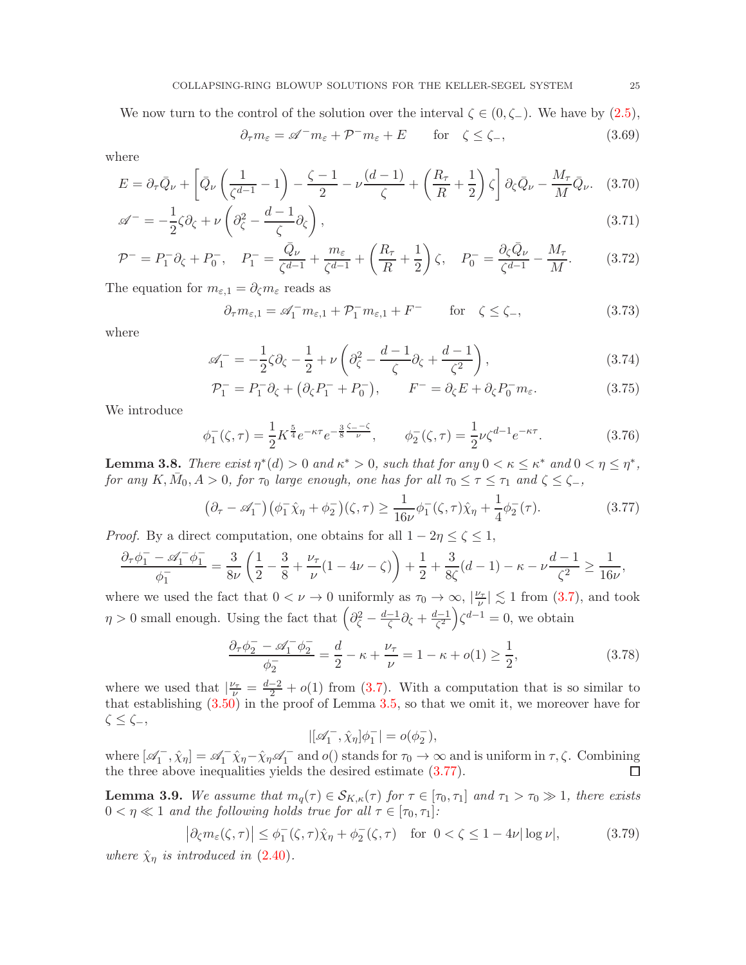We now turn to the control of the solution over the interval  $\zeta \in (0, \zeta)$ . We have by  $(2.5)$ ,

$$
\partial_{\tau} m_{\varepsilon} = \mathscr{A}^{-} m_{\varepsilon} + \mathcal{P}^{-} m_{\varepsilon} + E \qquad \text{for} \quad \zeta \le \zeta_{-}, \tag{3.69}
$$

where

$$
E = \partial_{\tau} \bar{Q}_{\nu} + \left[ \bar{Q}_{\nu} \left( \frac{1}{\zeta^{d-1}} - 1 \right) - \frac{\zeta - 1}{2} - \nu \frac{(d-1)}{\zeta} + \left( \frac{R_{\tau}}{R} + \frac{1}{2} \right) \zeta \right] \partial_{\zeta} \bar{Q}_{\nu} - \frac{M_{\tau}}{M} \bar{Q}_{\nu}.
$$
 (3.70)

$$
\mathscr{A}^- = -\frac{1}{2}\zeta \partial_\zeta + \nu \left(\partial_\zeta^2 - \frac{d-1}{\zeta} \partial_\zeta\right),\tag{3.71}
$$

$$
\mathcal{P}^- = P_1^- \partial_{\zeta} + P_0^-, \quad P_1^- = \frac{\bar{Q}_{\nu}}{\zeta^{d-1}} + \frac{m_{\varepsilon}}{\zeta^{d-1}} + \left(\frac{R_{\tau}}{R} + \frac{1}{2}\right) \zeta, \quad P_0^- = \frac{\partial_{\zeta} \bar{Q}_{\nu}}{\zeta^{d-1}} - \frac{M_{\tau}}{M}.
$$
 (3.72)

The equation for  $m_{\varepsilon,1} = \partial_{\zeta} m_{\varepsilon}$  reads as

$$
\partial_{\tau} m_{\varepsilon,1} = \mathscr{A}_1^- m_{\varepsilon,1} + \mathcal{P}_1^- m_{\varepsilon,1} + F^- \qquad \text{for} \quad \zeta \le \zeta_-, \tag{3.73}
$$

where

$$
\mathscr{A}_1^- = -\frac{1}{2}\zeta \partial_\zeta - \frac{1}{2} + \nu \left(\partial_\zeta^2 - \frac{d-1}{\zeta}\partial_\zeta + \frac{d-1}{\zeta^2}\right),\tag{3.74}
$$

$$
\mathcal{P}_1^- = P_1^- \partial_\zeta + \left(\partial_\zeta P_1^- + P_0^-\right), \qquad F^- = \partial_\zeta E + \partial_\zeta P_0^- m_\varepsilon. \tag{3.75}
$$

We introduce

$$
\phi_1^-(\zeta,\tau) = \frac{1}{2} K^{\frac{5}{4}} e^{-\kappa \tau} e^{-\frac{3}{8} \frac{\zeta}{\nu}}, \qquad \phi_2^-(\zeta,\tau) = \frac{1}{2} \nu \zeta^{d-1} e^{-\kappa \tau}.
$$
 (3.76)

**Lemma 3.8.** There exist  $\eta^*(d) > 0$  and  $\kappa^* > 0$ , such that for any  $0 < \kappa \leq \kappa^*$  and  $0 < \eta \leq \eta^*$ , for any  $K, \bar{M}_0, A > 0$ , for  $\tau_0$  large enough, one has for all  $\tau_0 \leq \tau \leq \tau_1$  and  $\zeta \leq \zeta_-,$ 

<span id="page-24-1"></span>
$$
\left(\partial_{\tau} - \mathscr{A}_{1}^{-}\right)\left(\phi_{1}^{-}\hat{\chi}_{\eta} + \phi_{2}^{-}\right)(\zeta, \tau) \ge \frac{1}{16\nu}\phi_{1}^{-}(\zeta, \tau)\hat{\chi}_{\eta} + \frac{1}{4}\phi_{2}^{-}(\tau). \tag{3.77}
$$

*Proof.* By a direct computation, one obtains for all  $1 - 2\eta \le \zeta \le 1$ ,

$$
\frac{\partial_\tau \phi_1^- - \mathscr{A}_1^- \phi_1^-}{\phi_1^-} = \frac{3}{8\nu} \left( \frac{1}{2} - \frac{3}{8} + \frac{\nu_\tau}{\nu} (1 - 4\nu - \zeta) \right) + \frac{1}{2} + \frac{3}{8\zeta} (d-1) - \kappa - \nu \frac{d-1}{\zeta^2} \ge \frac{1}{16\nu},
$$

where we used the fact that  $0 < \nu \to 0$  uniformly as  $\tau_0 \to \infty$ ,  $\left|\frac{\nu_{\tau}}{\nu}\right| \lesssim 1$  from  $(3.7)$ , and took  $\eta > 0$  small enough. Using the fact that  $\left(\partial_{\zeta}^2 - \frac{d-1}{\zeta}\partial_{\zeta} + \frac{d-1}{\zeta^2}\right)\zeta^{d-1} = 0$ , we obtain

<span id="page-24-2"></span>
$$
\frac{\partial_{\tau}\phi_2^- - \mathscr{A}_1^- \phi_2^-}{\phi_2^-} = \frac{d}{2} - \kappa + \frac{\nu_{\tau}}{\nu} = 1 - \kappa + o(1) \ge \frac{1}{2},\tag{3.78}
$$

where we used that  $\frac{\nu_{\tau}}{\nu} = \frac{d-2}{2} + o(1)$  from [\(3.7\)](#page-14-4). With a computation that is so similar to that establishing [\(3.50\)](#page-20-4) in the proof of Lemma [3.5,](#page-20-6) so that we omit it, we moreover have for  $\zeta \leq \zeta_-,$ 

$$
|[\mathscr{A}_1^-,\hat{\chi}_\eta]\phi_1^-| = o(\phi_2^-),
$$

where  $[\mathscr{A}_1^-, \hat{\chi}_\eta] = \mathscr{A}_1^- \hat{\chi}_\eta - \hat{\chi}_\eta \mathscr{A}_1^-$  and  $o()$  stands for  $\tau_0 \to \infty$  and is uniform in  $\tau, \zeta$ . Combining the three above inequalities yields the desired estimate [\(3.77\)](#page-24-1).

<span id="page-24-0"></span>**Lemma 3.9.** We assume that  $m_q(\tau) \in S_{K,\kappa}(\tau)$  for  $\tau \in [\tau_0, \tau_1]$  and  $\tau_1 > \tau_0 \gg 1$ , there exists  $0 < \eta \ll 1$  and the following holds true for all  $\tau \in [\tau_0, \tau_1]$ :

$$
\left|\partial_{\zeta} m_{\varepsilon}(\zeta,\tau)\right| \leq \phi_1^{-}(\zeta,\tau)\hat{\chi}_{\eta} + \phi_2^{-}(\zeta,\tau) \quad \text{for } 0 < \zeta \leq 1 - 4\nu|\log \nu|,\tag{3.79}
$$

where  $\hat{\chi}_{\eta}$  is introduced in [\(2.40\)](#page-12-5).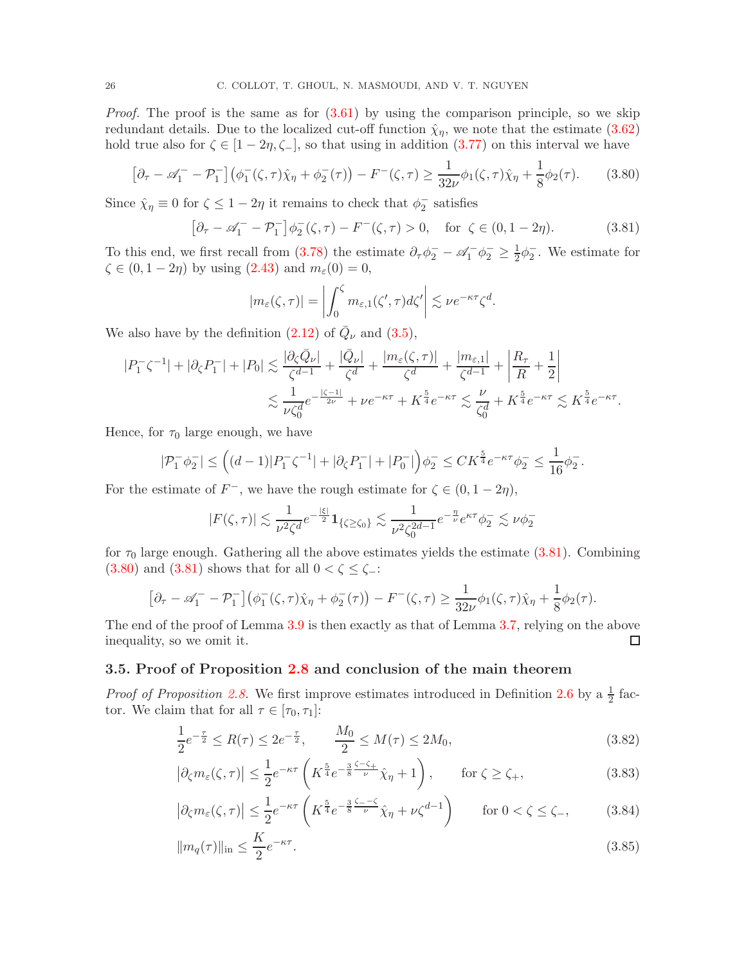*Proof.* The proof is the same as for  $(3.61)$  by using the comparison principle, so we skip redundant details. Due to the localized cut-off function  $\hat{\chi}_{\eta}$ , we note that the estimate [\(3.62\)](#page-22-2) hold true also for  $\zeta \in [1 - 2\eta, \zeta]$ , so that using in addition  $(3.77)$  on this interval we have

<span id="page-25-2"></span>
$$
\left[\partial_{\tau} - \mathscr{A}_{1}^{-} - \mathcal{P}_{1}^{-}\right] \left(\phi_{1}^{-}(\zeta,\tau)\hat{\chi}_{\eta} + \phi_{2}^{-}(\tau)\right) - F^{-}(\zeta,\tau) \ge \frac{1}{32\nu} \phi_{1}(\zeta,\tau)\hat{\chi}_{\eta} + \frac{1}{8} \phi_{2}(\tau). \tag{3.80}
$$

Since  $\hat{\chi}_{\eta} \equiv 0$  for  $\zeta \leq 1-2\eta$  it remains to check that  $\phi_2^-$  satisfies

<span id="page-25-1"></span>
$$
\left[\partial_{\tau} - \mathscr{A}_{1}^{-} - \mathcal{P}_{1}^{-}\right] \phi_{2}^{-}(\zeta, \tau) - F^{-}(\zeta, \tau) > 0, \quad \text{for } \zeta \in (0, 1 - 2\eta). \tag{3.81}
$$

To this end, we first recall from [\(3.78\)](#page-24-2) the estimate  $\partial_{\tau} \phi_2^- - \mathscr{A}_1^- \phi_2^- \ge \frac{1}{2}$  $\frac{1}{2}\phi_2^-$ . We estimate for  $\zeta \in (0, 1-2\eta)$  by using  $(2.43)$  and  $m_{\varepsilon}(0) = 0$ ,

$$
|m_{\varepsilon}(\zeta,\tau)| = \left| \int_0^{\zeta} m_{\varepsilon,1}(\zeta',\tau) d\zeta' \right| \lesssim \nu e^{-\kappa \tau} \zeta^d.
$$

We also have by the definition  $(2.12)$  of  $\overline{Q}_{\nu}$  and  $(3.5)$ ,

$$
\begin{split} |P_1^- \zeta^{-1}|+ |\partial_\zeta P_1^-|+|P_0| &\lesssim \frac{|\partial_\zeta \bar{Q}_\nu|}{\zeta^{d-1}} + \frac{|\bar{Q}_\nu|}{\zeta^d} + \frac{|m_\varepsilon(\zeta,\tau)|}{\zeta^d} + \frac{|m_{\varepsilon,1}|}{\zeta^{d-1}} + \left|\frac{R_\tau}{R} + \frac{1}{2}\right| \\ &\lesssim \frac{1}{\nu \zeta_0^d} e^{-\frac{|\zeta-1|}{2\nu}} + \nu e^{-\kappa \tau} + K^{\frac{5}{4}} e^{-\kappa \tau} \lesssim \frac{\nu}{\zeta_0^d} + K^{\frac{5}{4}} e^{-\kappa \tau} \lesssim K^{\frac{5}{4}} e^{-\kappa \tau}. \end{split}
$$

Hence, for  $\tau_0$  large enough, we have

$$
|\mathcal{P}_1^- \phi_2^-| \le \left( (d-1)|P_1^- \zeta^{-1}| + |\partial_\zeta P_1^-| + |P_0^-| \right) \phi_2^- \le C K^{\frac{5}{4}} e^{-\kappa \tau} \phi_2^- \le \frac{1}{16} \phi_2^-.
$$

For the estimate of  $F^-$ , we have the rough estimate for  $\zeta \in (0, 1 - 2\eta)$ ,

$$
|F(\zeta,\tau)| \lesssim \frac{1}{\nu^2 \zeta^d} e^{-\frac{|\xi|}{2}} \mathbf{1}_{\{\zeta \ge \zeta_0\}} \lesssim \frac{1}{\nu^2 \zeta_0^{2d-1}} e^{-\frac{\eta}{\nu}} e^{\kappa \tau} \phi_2^- \lesssim \nu \phi_2^-
$$

for  $\tau_0$  large enough. Gathering all the above estimates yields the estimate [\(3.81\)](#page-25-1). Combining [\(3.80\)](#page-25-2) and [\(3.81\)](#page-25-1) shows that for all  $0 < \zeta \leq \zeta$ -:

$$
[\partial_{\tau} - \mathscr{A}_{1}^{-} - \mathcal{P}_{1}^{-}] (\phi_{1}^{-}(\zeta, \tau) \hat{\chi}_{\eta} + \phi_{2}^{-}(\tau)) - F^{-}(\zeta, \tau) \geq \frac{1}{32\nu} \phi_{1}(\zeta, \tau) \hat{\chi}_{\eta} + \frac{1}{8} \phi_{2}(\tau).
$$

The end of the proof of Lemma [3.9](#page-24-0) is then exactly as that of Lemma [3.7,](#page-22-0) relying on the above inequality, so we omit it.  $\Box$ 

### <span id="page-25-0"></span>3.5. Proof of Proposition [2.8](#page-12-1) and conclusion of the main theorem

*Proof of Proposition [2.8.](#page-12-1)* We first improve estimates introduced in Definition [2.6](#page-12-0) by a  $\frac{1}{2}$  factor. We claim that for all  $\tau \in [\tau_0, \tau_1]$ :

<span id="page-25-3"></span>
$$
\frac{1}{2}e^{-\frac{\tau}{2}} \le R(\tau) \le 2e^{-\frac{\tau}{2}}, \qquad \frac{M_0}{2} \le M(\tau) \le 2M_0,
$$
\n(3.82)

<span id="page-25-4"></span>
$$
\left|\partial_{\zeta}m_{\varepsilon}(\zeta,\tau)\right| \leq \frac{1}{2}e^{-\kappa\tau}\left(K^{\frac{5}{4}}e^{-\frac{3}{8}\frac{\zeta-\zeta_{+}}{\nu}}\hat{\chi}_{\eta}+1\right), \qquad \text{for } \zeta \geq \zeta_{+},\tag{3.83}
$$

<span id="page-25-5"></span>
$$
\left|\partial_{\zeta}m_{\varepsilon}(\zeta,\tau)\right| \leq \frac{1}{2}e^{-\kappa\tau}\left(K^{\frac{5}{4}}e^{-\frac{3}{8}\frac{\zeta_{-}-\zeta}{\nu}}\hat{\chi}_{\eta}+\nu\zeta^{d-1}\right) \qquad \text{for } 0 < \zeta \leq \zeta_{-},\tag{3.84}
$$

<span id="page-25-6"></span>
$$
||m_q(\tau)||_{\text{in}} \le \frac{K}{2} e^{-\kappa \tau}.
$$
\n(3.85)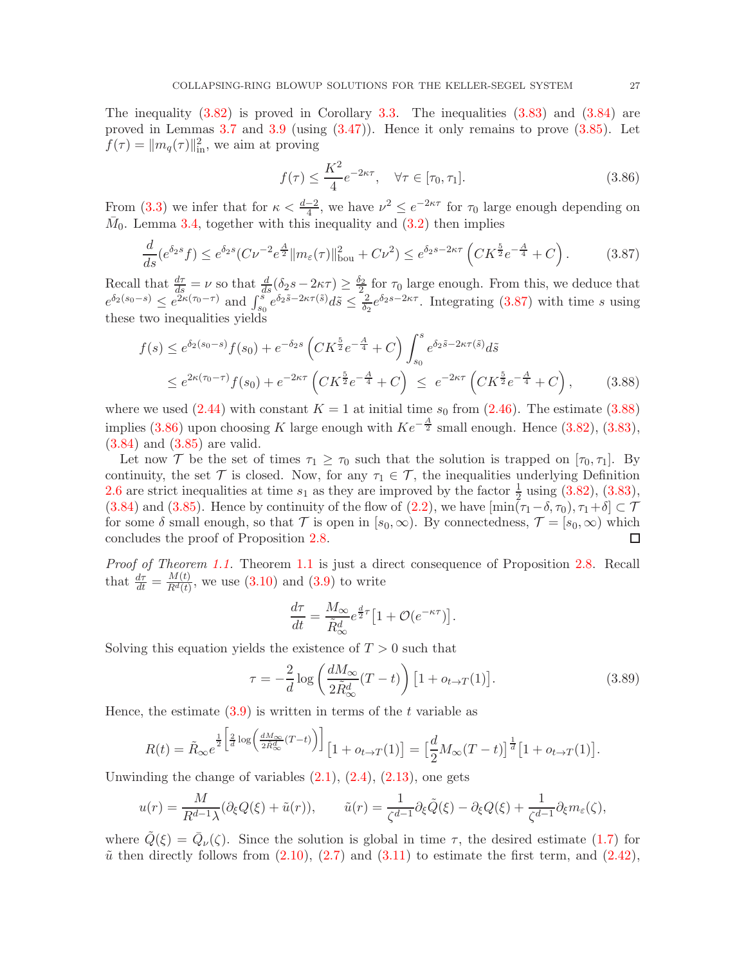The inequality [\(3.82\)](#page-25-3) is proved in Corollary [3.3.](#page-14-3) The inequalities [\(3.83\)](#page-25-4) and [\(3.84\)](#page-25-5) are proved in Lemmas [3.7](#page-22-0) and [3.9](#page-24-0) (using  $(3.47)$ ). Hence it only remains to prove  $(3.85)$ . Let  $f(\tau) = ||m_q(\tau)||_{\text{in}}^2$ , we aim at proving

<span id="page-26-2"></span><span id="page-26-1"></span>
$$
f(\tau) \le \frac{K^2}{4} e^{-2\kappa \tau}, \quad \forall \tau \in [\tau_0, \tau_1].
$$
\n(3.86)

From [\(3.3\)](#page-13-5) we infer that for  $\kappa < \frac{d-2}{4}$ , we have  $\nu^2 \leq e^{-2\kappa \tau}$  for  $\tau_0$  large enough depending on  $\bar{M}_0$ . Lemma [3.4,](#page-17-0) together with this inequality and  $(3.2)$  then implies

<span id="page-26-0"></span>
$$
\frac{d}{ds}(e^{\delta_2 s} f) \le e^{\delta_2 s} (C\nu^{-2} e^{\frac{A}{2}} ||m_\varepsilon(\tau)||_{\text{bou}}^2 + C\nu^2) \le e^{\delta_2 s - 2\kappa \tau} \left( C K^{\frac{5}{2}} e^{-\frac{A}{4}} + C \right). \tag{3.87}
$$

Recall that  $\frac{d\tau}{ds} = \nu$  so that  $\frac{d}{ds}(\delta_2 s - 2\kappa\tau) \ge \frac{\delta_2}{2}$  for  $\tau_0$  large enough. From this, we deduce that  $e^{\delta_2(s_0-s)} \leq e^{2\kappa(\tau_0-\tau)}$  and  $\int_{s_0}^s e^{\delta_2\tilde{s}-2\kappa\tau(\tilde{s})}d\tilde{s} \leq \frac{2}{\delta_2}$  $\frac{2}{\delta_2}e^{\delta_2 s - 2\kappa\tau}$ . Integrating [\(3.87\)](#page-26-0) with time s using these two inequalities yields

$$
f(s) \le e^{\delta_2(s_0 - s)} f(s_0) + e^{-\delta_2 s} \left( C K^{\frac{5}{2}} e^{-\frac{A}{4}} + C \right) \int_{s_0}^s e^{\delta_2 \tilde{s} - 2\kappa \tau(\tilde{s})} d\tilde{s}
$$
  

$$
\le e^{2\kappa(\tau_0 - \tau)} f(s_0) + e^{-2\kappa \tau} \left( C K^{\frac{5}{2}} e^{-\frac{A}{4}} + C \right) \le e^{-2\kappa \tau} \left( C K^{\frac{5}{2}} e^{-\frac{A}{4}} + C \right), \qquad (3.88)
$$

where we used  $(2.44)$  with constant  $K = 1$  at initial time  $s_0$  from  $(2.46)$ . The estimate  $(3.88)$ implies [\(3.86\)](#page-26-2) upon choosing K large enough with  $Ke^{-\frac{A}{2}}$  small enough. Hence [\(3.82\)](#page-25-3), [\(3.83\)](#page-25-4), [\(3.84\)](#page-25-5) and [\(3.85\)](#page-25-6) are valid.

Let now T be the set of times  $\tau_1 \geq \tau_0$  such that the solution is trapped on  $[\tau_0, \tau_1]$ . By continuity, the set  $\mathcal T$  is closed. Now, for any  $\tau_1 \in \mathcal T$ , the inequalities underlying Definition [2.6](#page-12-0) are strict inequalities at time  $s_1$  as they are improved by the factor  $\frac{1}{2}$  using [\(3.82\)](#page-25-3), [\(3.83\)](#page-25-4), [\(3.84\)](#page-25-5) and [\(3.85\)](#page-25-6). Hence by continuity of the flow of [\(2.2\)](#page-6-6), we have  $[\min(\tau_1-\delta,\tau_0),\tau_1+\delta] \subset \mathcal{T}$ for some  $\delta$  small enough, so that  $\mathcal T$  is open in  $[s_0, \infty)$ . By connectedness,  $\mathcal T = [s_0, \infty)$  which concludes the proof of Proposition 2.8. concludes the proof of Proposition [2.8.](#page-12-1)

Proof of Theorem [1.1.](#page-2-0) Theorem [1.1](#page-2-0) is just a direct consequence of Proposition [2.8.](#page-12-1) Recall that  $\frac{d\tau}{dt} = \frac{M(t)}{R^d(t)}$  $\frac{M(t)}{R^d(t)}$ , we use [\(3.10\)](#page-14-7) and [\(3.9\)](#page-14-6) to write

$$
\frac{d\tau}{dt} = \frac{M_{\infty}}{\tilde{R}_{\infty}^d} e^{\frac{d}{2}\tau} \left[ 1 + \mathcal{O}(e^{-\kappa \tau}) \right].
$$

Solving this equation yields the existence of  $T > 0$  such that

$$
\tau = -\frac{2}{d} \log \left( \frac{dM_{\infty}}{2\tilde{R}_{\infty}^{d}} (T - t) \right) \left[ 1 + o_{t \to T}(1) \right]. \tag{3.89}
$$

Hence, the estimate  $(3.9)$  is written in terms of the t variable as

$$
R(t) = \tilde{R}_{\infty} e^{\frac{1}{2} \left[ \frac{2}{d} \log \left( \frac{dM_{\infty}}{2\tilde{R}_{\infty}^d} (T-t) \right) \right]} \left[ 1 + o_{t \to T}(1) \right] = \left[ \frac{d}{2} M_{\infty} (T-t) \right]^{\frac{1}{d}} \left[ 1 + o_{t \to T}(1) \right].
$$

Unwinding the change of variables  $(2.1)$ ,  $(2.4)$ ,  $(2.13)$ , one gets

$$
u(r) = \frac{M}{R^{d-1}\lambda}(\partial_{\xi}Q(\xi) + \tilde{u}(r)), \qquad \tilde{u}(r) = \frac{1}{\zeta^{d-1}}\partial_{\xi}\tilde{Q}(\xi) - \partial_{\xi}Q(\xi) + \frac{1}{\zeta^{d-1}}\partial_{\xi}m_{\varepsilon}(\zeta),
$$

where  $\tilde{Q}(\xi) = \bar{Q}_{\nu}(\zeta)$ . Since the solution is global in time  $\tau$ , the desired estimate [\(1.7\)](#page-2-2) for  $\tilde{u}$  then directly follows from [\(2.10\)](#page-7-3), [\(2.7\)](#page-7-1) and [\(3.11\)](#page-14-8) to estimate the first term, and [\(2.42\)](#page-12-4),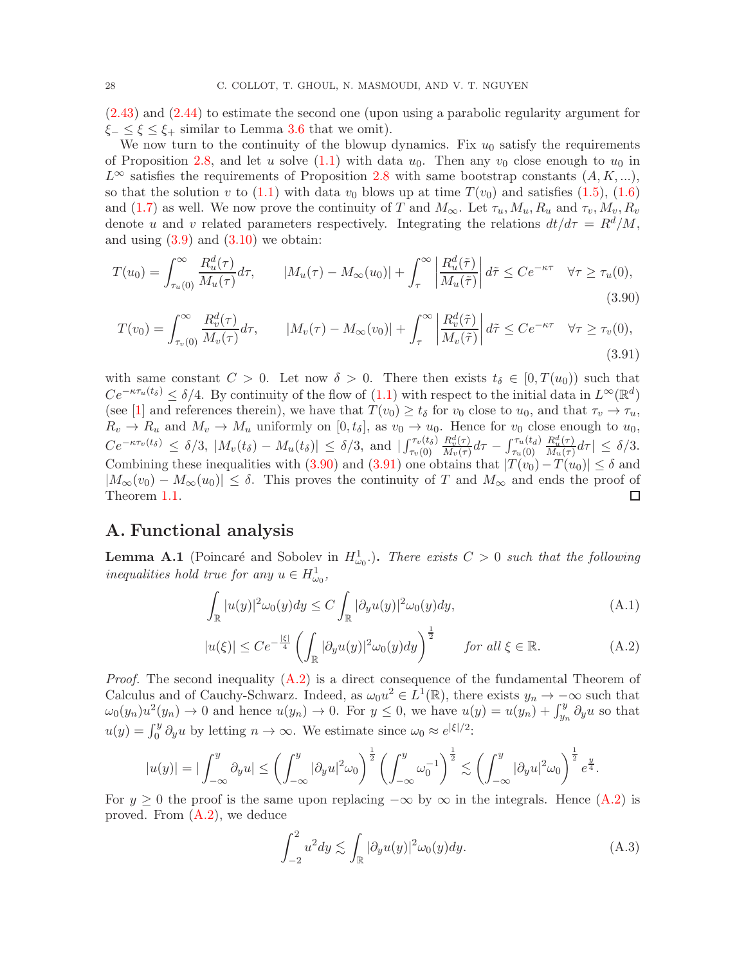[\(2.43\)](#page-12-6) and [\(2.44\)](#page-12-3) to estimate the second one (upon using a parabolic regularity argument for  $\xi_-\leq \xi\leq \xi_+$  similar to Lemma [3.6](#page-21-0) that we omit).

We now turn to the continuity of the blowup dynamics. Fix  $u_0$  satisfy the requirements of Proposition [2.8,](#page-12-1) and let u solve  $(1.1)$  with data  $u_0$ . Then any  $v_0$  close enough to  $u_0$  in  $L^{\infty}$  satisfies the requirements of Proposition [2.8](#page-12-1) with same bootstrap constants  $(A, K, ...)$ , so that the solution v to [\(1.1\)](#page-0-0) with data  $v_0$  blows up at time  $T(v_0)$  and satisfies [\(1.5\)](#page-2-3), [\(1.6\)](#page-2-4) and [\(1.7\)](#page-2-2) as well. We now prove the continuity of T and  $M_{\infty}$ . Let  $\tau_u, M_u, R_u$  and  $\tau_v, M_v, R_v$ denote u and v related parameters respectively. Integrating the relations  $dt/d\tau = R^d/M$ , and using  $(3.9)$  and  $(3.10)$  we obtain:

$$
T(u_0) = \int_{\tau_u(0)}^{\infty} \frac{R_u^d(\tau)}{M_u(\tau)} d\tau, \qquad |M_u(\tau) - M_\infty(u_0)| + \int_{\tau}^{\infty} \left| \frac{R_u^d(\tilde{\tau})}{M_u(\tilde{\tau})} \right| d\tilde{\tau} \leq Ce^{-\kappa \tau} \quad \forall \tau \geq \tau_u(0),\tag{3.90}
$$

<span id="page-27-1"></span>
$$
T(v_0) = \int_{\tau_v(0)}^{\infty} \frac{R_v^d(\tau)}{M_v(\tau)} d\tau, \qquad |M_v(\tau) - M_\infty(v_0)| + \int_{\tau}^{\infty} \left| \frac{R_v^d(\tilde{\tau})}{M_v(\tilde{\tau})} \right| d\tilde{\tau} \leq Ce^{-\kappa \tau} \quad \forall \tau \geq \tau_v(0),\tag{3.91}
$$

with same constant  $C > 0$ . Let now  $\delta > 0$ . There then exists  $t_{\delta} \in [0, T(u_0))$  such that  $Ce^{-\kappa \tau_u(t_\delta)} \leq \delta/4$ . By continuity of the flow of  $(1.1)$  with respect to the initial data in  $L^{\infty}(\mathbb{R}^d)$ (see [\[1](#page-29-0)] and references therein), we have that  $T(v_0) \ge t_\delta$  for  $v_0$  close to  $u_0$ , and that  $\tau_v \to \tau_u$ ,  $R_v \to R_u$  and  $M_v \to M_u$  uniformly on  $[0, t_\delta]$ , as  $v_0 \to u_0$ . Hence for  $v_0$  close enough to  $u_0$ ,  $Ce^{-\kappa \tau_v(t_\delta)} \leq \delta/3$ ,  $|M_v(t_\delta) - M_u(t_\delta)| \leq \delta/3$ , and  $|\int_{\tau_v(0)}^{\tau_v(t_\delta)}$  $R_v^d(\tau)$  $\frac{R_v^d(\tau)}{M_v(\tau)}d\tau-\int_{\tau_u(0)}^{\tau_u(t_d)}$  $R_u^d(\tau)$  $\frac{R_u(\tau)}{M_u(\tau)}d\tau \vert \leq \delta/3.$ Combining these inequalities with [\(3.90\)](#page-27-1) and [\(3.91\)](#page-27-2) one obtains that  $|T(v_0)-T(u_0)| \leq \delta$  and  $|M_{\infty}(v_0) - M_{\infty}(u_0)| \leq \delta$ . This proves the continuity of T and  $M_{\infty}$  and ends the proof of Theorem 1.1. Theorem [1.1.](#page-2-0)

# A. Functional analysis

**Lemma A.1** (Poincaré and Sobolev in  $H_{\omega_0}^1$ .). There exists  $C > 0$  such that the following inequalities hold true for any  $u \in H_{\omega_0}^1$ ,

<span id="page-27-2"></span>
$$
\int_{\mathbb{R}} |u(y)|^2 \omega_0(y) dy \le C \int_{\mathbb{R}} |\partial_y u(y)|^2 \omega_0(y) dy,
$$
\n(A.1)

$$
|u(\xi)| \le Ce^{-\frac{|\xi|}{4}} \left( \int_{\mathbb{R}} |\partial_y u(y)|^2 \omega_0(y) dy \right)^{\frac{1}{2}} \quad \text{for all } \xi \in \mathbb{R}.
$$
 (A.2)

*Proof.* The second inequality  $(A.2)$  is a direct consequence of the fundamental Theorem of Calculus and of Cauchy-Schwarz. Indeed, as  $\omega_0 u^2 \in L^1(\mathbb{R})$ , there exists  $y_n \to -\infty$  such that  $\omega_0(y_n)u^2(y_n) \to 0$  and hence  $u(y_n) \to 0$ . For  $y \leq 0$ , we have  $u(y) = u(y_n) + \int_{y_n}^y \partial_y u$  so that  $u(y) = \int_0^y \partial_y u$  by letting  $n \to \infty$ . We estimate since  $\omega_0 \approx e^{|\xi|/2}$ .

$$
|u(y)| = |\int_{-\infty}^{y} \partial_y u| \le \left(\int_{-\infty}^{y} |\partial_y u|^2 \omega_0\right)^{\frac{1}{2}} \left(\int_{-\infty}^{y} \omega_0^{-1}\right)^{\frac{1}{2}} \lesssim \left(\int_{-\infty}^{y} |\partial_y u|^2 \omega_0\right)^{\frac{1}{2}} e^{\frac{y}{4}}.
$$

For  $y \ge 0$  the proof is the same upon replacing  $-\infty$  by  $\infty$  in the integrals. Hence [\(A.2\)](#page-27-0) is proved. From [\(A.2\)](#page-27-0), we deduce

<span id="page-27-4"></span><span id="page-27-3"></span><span id="page-27-0"></span>
$$
\int_{-2}^{2} u^2 dy \lesssim \int_{\mathbb{R}} |\partial_y u(y)|^2 \omega_0(y) dy.
$$
 (A.3)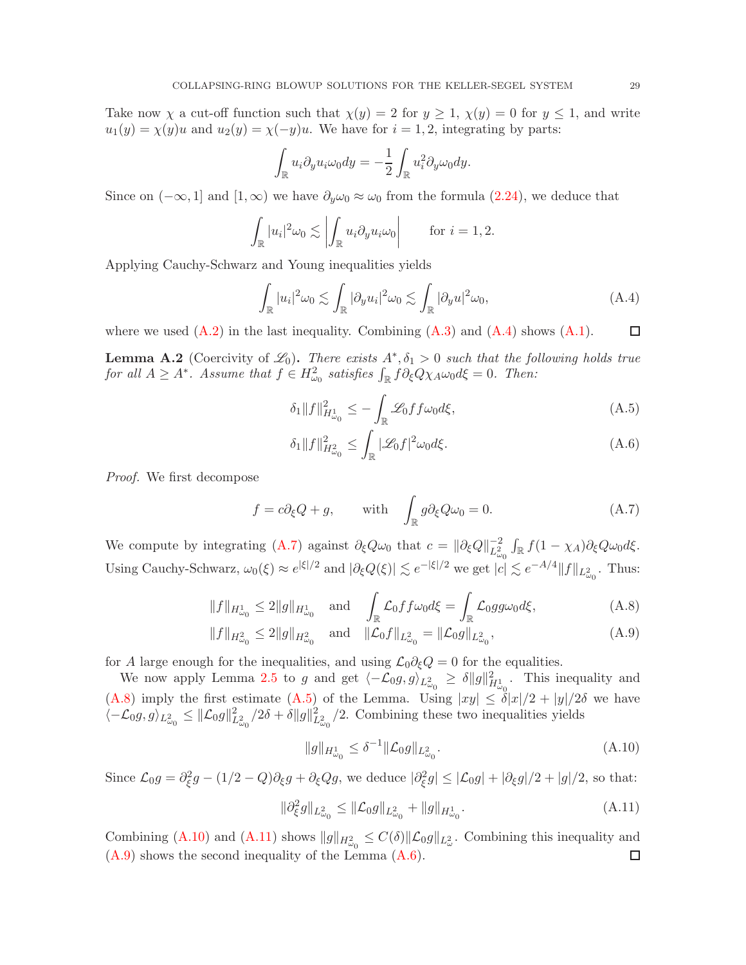Take now  $\chi$  a cut-off function such that  $\chi(y) = 2$  for  $y \ge 1$ ,  $\chi(y) = 0$  for  $y \le 1$ , and write  $u_1(y) = \chi(y)u$  and  $u_2(y) = \chi(-y)u$ . We have for  $i = 1, 2$ , integrating by parts:

$$
\int_{\mathbb{R}} u_i \partial_y u_i \omega_0 dy = -\frac{1}{2} \int_{\mathbb{R}} u_i^2 \partial_y \omega_0 dy.
$$

Since on  $(-\infty, 1]$  and  $[1, \infty)$  we have  $\partial_y \omega_0 \approx \omega_0$  from the formula  $(2.24)$ , we deduce that

$$
\int_{\mathbb{R}} |u_i|^2 \omega_0 \lesssim \left| \int_{\mathbb{R}} u_i \partial_y u_i \omega_0 \right| \qquad \text{for } i = 1, 2.
$$

Applying Cauchy-Schwarz and Young inequalities yields

<span id="page-28-3"></span>
$$
\int_{\mathbb{R}} |u_i|^2 \omega_0 \lesssim \int_{\mathbb{R}} |\partial_y u_i|^2 \omega_0 \lesssim \int_{\mathbb{R}} |\partial_y u|^2 \omega_0,
$$
\n(A.4)

where we used  $(A.2)$  in the last inequality. Combining  $(A.3)$  and  $(A.4)$  shows  $(A.1)$ .  $\Box$ 

<span id="page-28-1"></span>**Lemma A.2** (Coercivity of  $\mathscr{L}_0$ ). There exists  $A^*, \delta_1 > 0$  such that the following holds true for all  $A \geq A^*$ . Assume that  $f \in H_{\omega_0}^2$  satisfies  $\int_{\mathbb{R}} f \partial_{\xi} Q \chi_A \omega_0 d\xi = 0$ . Then:

$$
\delta_1 \|f\|_{H^1_{\omega_0}}^2 \le -\int_{\mathbb{R}} \mathcal{L}_0 f f \omega_0 d\xi,\tag{A.5}
$$

<span id="page-28-2"></span><span id="page-28-0"></span>
$$
\delta_1 \|f\|_{H^2_{\omega_0}}^2 \le \int_{\mathbb{R}} |\mathcal{L}_0 f|^2 \omega_0 d\xi. \tag{A.6}
$$

Proof. We first decompose

<span id="page-28-4"></span>
$$
f = c\partial_{\xi}Q + g, \quad \text{with} \quad \int_{\mathbb{R}} g\partial_{\xi}Q\omega_0 = 0. \tag{A.7}
$$

We compute by integrating [\(A.7\)](#page-28-4) against  $\partial_{\xi}Q\omega_0$  that  $c = ||\partial_{\xi}Q||_{L^2_{\omega_0}}^{-2}$  $\int_{\mathbb{R}} f(1 - \chi_A) \partial_{\xi} Q \omega_0 d\xi.$ Using Cauchy-Schwarz,  $\omega_0(\xi) \approx e^{|\xi|/2}$  and  $|\partial_{\xi}Q(\xi)| \lesssim e^{-|\xi|/2}$  we get  $|c| \lesssim e^{-A/4} ||f||_{L^2_{\omega_0}}$ . Thus:

$$
||f||_{H_{\omega_0}^1} \le 2||g||_{H_{\omega_0}^1} \quad \text{and} \quad \int_{\mathbb{R}} \mathcal{L}_0 f f \omega_0 d\xi = \int_{\mathbb{R}} \mathcal{L}_0 g g \omega_0 d\xi, \tag{A.8}
$$

$$
||f||_{H_{\omega_0}^2} \le 2||g||_{H_{\omega_0}^2} \quad \text{and} \quad ||\mathcal{L}_0 f||_{L_{\omega_0}^2} = ||\mathcal{L}_0 g||_{L_{\omega_0}^2},\tag{A.9}
$$

for A large enough for the inequalities, and using  $\mathcal{L}_0 \partial_{\xi} Q = 0$  for the equalities.

We now apply Lemma [2.5](#page-11-1) to g and get  $\langle -\mathcal{L}_0 g, g \rangle_{L^2_{\omega_0}} \geq \delta ||g||^2_{H^1_{\omega_0}}$ . This inequality and  $(A.8)$  imply the first estimate  $(A.5)$  of the Lemma. Using  $|xy| \leq \delta |x|/2 + |y|/2\delta$  we have  $\langle -\mathcal{L}_0 g, g \rangle_{L^2_{\omega_0}} \leq {\|\mathcal{L}_0 g\|_{L^2_{\omega_0}}^2}/{2\delta} + \delta \|g\|_{L^2_{\omega_0}}^2/2$ . Combining these two inequalities yields

<span id="page-28-8"></span><span id="page-28-6"></span><span id="page-28-5"></span>
$$
||g||_{H_{\omega_0}^1} \le \delta^{-1} ||\mathcal{L}_0 g||_{L_{\omega_0}^2}.
$$
\n(A.10)

Since  $\mathcal{L}_0 g = \partial_\xi^2 g - (1/2 - Q)\partial_\xi g + \partial_\xi Qg$ , we deduce  $|\partial_\xi^2 g| \leq |\mathcal{L}_0 g| + |\partial_\xi g|/2 + |g|/2$ , so that:

<span id="page-28-7"></span>
$$
\|\partial_{\xi}^2 g\|_{L^2_{\omega_0}} \le \|\mathcal{L}_0 g\|_{L^2_{\omega_0}} + \|g\|_{H^1_{\omega_0}}.\tag{A.11}
$$

Combining [\(A.10\)](#page-28-6) and [\(A.11\)](#page-28-7) shows  $||g||_{H_{\omega_0}^2} \leq C(\delta) ||\mathcal{L}_0 g||_{L_{\omega}^2}$ . Combining this inequality and [\(A.9\)](#page-28-8) shows the second inequality of the Lemma [\(A.6\)](#page-28-2). $\Box$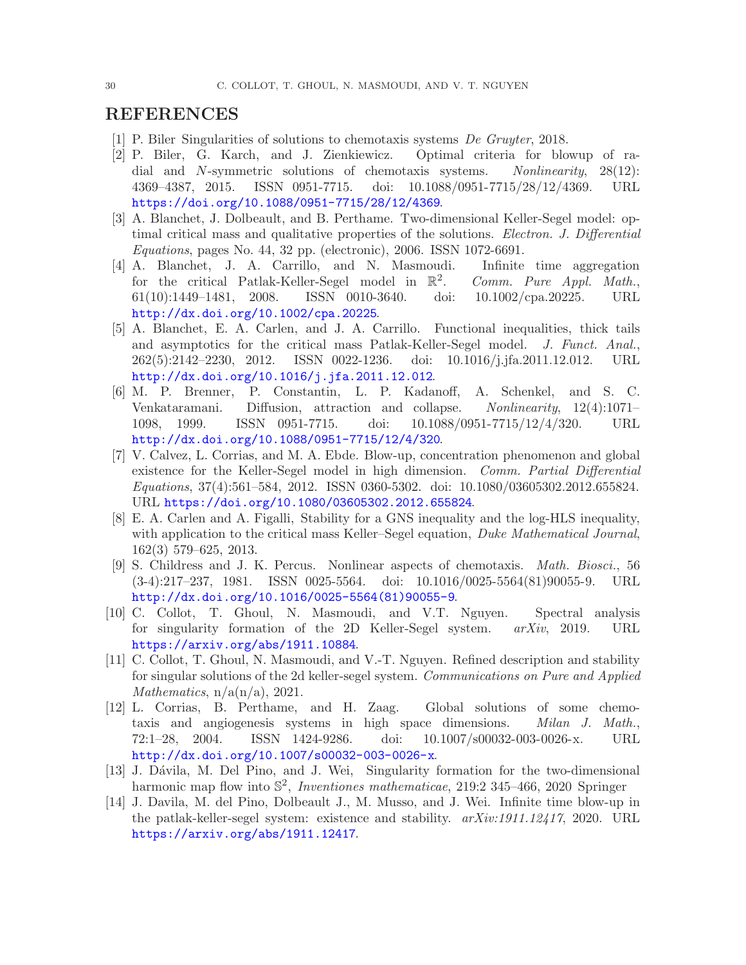- <span id="page-29-0"></span>[1] P. Biler Singularities of solutions to chemotaxis systems De Gruyter, 2018.
- <span id="page-29-11"></span>[2] P. Biler, G. Karch, and J. Zienkiewicz. Optimal criteria for blowup of radial and N-symmetric solutions of chemotaxis systems. Nonlinearity, 28(12): 4369–4387, 2015. ISSN 0951-7715. doi: 10.1088/0951-7715/28/12/4369. URL <https://doi.org/10.1088/0951-7715/28/12/4369>.
- <span id="page-29-1"></span>[3] A. Blanchet, J. Dolbeault, and B. Perthame. Two-dimensional Keller-Segel model: optimal critical mass and qualitative properties of the solutions. Electron. J. Differential Equations, pages No. 44, 32 pp. (electronic), 2006. ISSN 1072-6691.
- <span id="page-29-2"></span>[4] A. Blanchet, J. A. Carrillo, and N. Masmoudi. Infinite time aggregation for the critical Patlak-Keller-Segel model in  $\mathbb{R}^2$ . Comm. Pure Appl. Math., 61(10):1449–1481, 2008. ISSN 0010-3640. doi: 10.1002/cpa.20225. URL <http://dx.doi.org/10.1002/cpa.20225>.
- <span id="page-29-4"></span>[5] A. Blanchet, E. A. Carlen, and J. A. Carrillo. Functional inequalities, thick tails and asymptotics for the critical mass Patlak-Keller-Segel model. J. Funct. Anal., 262(5):2142–2230, 2012. ISSN 0022-1236. doi: 10.1016/j.jfa.2011.12.012. URL <http://dx.doi.org/10.1016/j.jfa.2011.12.012>.
- <span id="page-29-12"></span>[6] M. P. Brenner, P. Constantin, L. P. Kadanoff, A. Schenkel, and S. C. Venkataramani. Diffusion, attraction and collapse. Nonlinearity, 12(4):1071– 1098, 1999. ISSN 0951-7715. doi: 10.1088/0951-7715/12/4/320. URL <http://dx.doi.org/10.1088/0951-7715/12/4/320>.
- <span id="page-29-9"></span>[7] V. Calvez, L. Corrias, and M. A. Ebde. Blow-up, concentration phenomenon and global existence for the Keller-Segel model in high dimension. Comm. Partial Differential Equations, 37(4):561–584, 2012. ISSN 0360-5302. doi: 10.1080/03605302.2012.655824. URL <https://doi.org/10.1080/03605302.2012.655824>.
- <span id="page-29-5"></span>[8] E. A. Carlen and A. Figalli, Stability for a GNS inequality and the log-HLS inequality, with application to the critical mass Keller–Segel equation, *Duke Mathematical Journal*, 162(3) 579–625, 2013.
- <span id="page-29-6"></span>[9] S. Childress and J. K. Percus. Nonlinear aspects of chemotaxis. Math. Biosci., 56 (3-4):217–237, 1981. ISSN 0025-5564. doi: 10.1016/0025-5564(81)90055-9. URL [http://dx.doi.org/10.1016/0025-5564\(81\)90055-9](http://dx.doi.org/10.1016/0025-5564(81)90055-9).
- <span id="page-29-8"></span>[10] C. Collot, T. Ghoul, N. Masmoudi, and V.T. Nguyen. Spectral analysis for singularity formation of the 2D Keller-Segel system. arXiv, 2019. URL <https://arxiv.org/abs/1911.10884>.
- <span id="page-29-7"></span>[11] C. Collot, T. Ghoul, N. Masmoudi, and V.-T. Nguyen. Refined description and stability for singular solutions of the 2d keller-segel system. Communications on Pure and Applied *Mathematics*,  $n/a(n/a)$ , 2021.
- <span id="page-29-10"></span>[12] L. Corrias, B. Perthame, and H. Zaag. Global solutions of some chemotaxis and angiogenesis systems in high space dimensions. Milan J. Math., 72:1–28, 2004. ISSN 1424-9286. doi: 10.1007/s00032-003-0026-x. URL <http://dx.doi.org/10.1007/s00032-003-0026-x>.
- <span id="page-29-13"></span>[13] J. Dávila, M. Del Pino, and J. Wei, Singularity formation for the two-dimensional harmonic map flow into  $\mathbb{S}^2$ , *Inventiones mathematicae*, 219:2 345-466, 2020 Springer
- <span id="page-29-3"></span>[14] J. Davila, M. del Pino, Dolbeault J., M. Musso, and J. Wei. Infinite time blow-up in the patlak-keller-segel system: existence and stability. arXiv:1911.12417, 2020. URL <https://arxiv.org/abs/1911.12417>.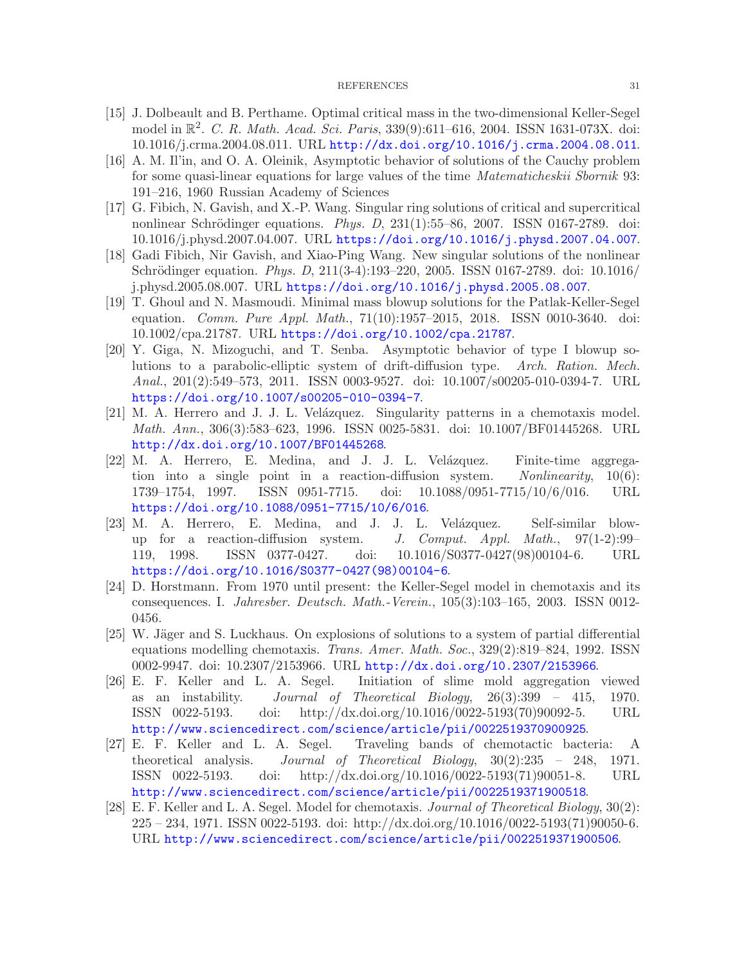- <span id="page-30-5"></span>[15] J. Dolbeault and B. Perthame. Optimal critical mass in the two-dimensional Keller-Segel model in  $\mathbb{R}^2$ . C. R. Math. Acad. Sci. Paris, 339(9):611-616, 2004. ISSN 1631-073X. doi: 10.1016/j.crma.2004.08.011. URL <http://dx.doi.org/10.1016/j.crma.2004.08.011>.
- <span id="page-30-13"></span>[16] A. M. Il'in, and O. A. Oleinik, Asymptotic behavior of solutions of the Cauchy problem for some quasi-linear equations for large values of the time *Matematicheskii Sbornik* 93: 191–216, 1960 Russian Academy of Sciences
- <span id="page-30-12"></span>[17] G. Fibich, N. Gavish, and X.-P. Wang. Singular ring solutions of critical and supercritical nonlinear Schrödinger equations. *Phys. D*,  $231(1):55–86$ ,  $2007$ . ISSN 0167-2789. doi: 10.1016/j.physd.2007.04.007. URL <https://doi.org/10.1016/j.physd.2007.04.007>.
- <span id="page-30-11"></span>[18] Gadi Fibich, Nir Gavish, and Xiao-Ping Wang. New singular solutions of the nonlinear Schrödinger equation. *Phys. D*, 211(3-4):193–220, 2005. ISSN 0167-2789. doi: 10.1016/ j.physd.2005.08.007. URL <https://doi.org/10.1016/j.physd.2005.08.007>.
- <span id="page-30-6"></span>[19] T. Ghoul and N. Masmoudi. Minimal mass blowup solutions for the Patlak-Keller-Segel equation. *Comm. Pure Appl. Math.*, 71(10):1957–2015, 2018. ISSN 0010-3640. doi: 10.1002/cpa.21787. URL <https://doi.org/10.1002/cpa.21787>.
- <span id="page-30-4"></span>[20] Y. Giga, N. Mizoguchi, and T. Senba. Asymptotic behavior of type I blowup solutions to a parabolic-elliptic system of drift-diffusion type. Arch. Ration. Mech. Anal., 201(2):549–573, 2011. ISSN 0003-9527. doi: 10.1007/s00205-010-0394-7. URL <https://doi.org/10.1007/s00205-010-0394-7>.
- <span id="page-30-8"></span>[21] M. A. Herrero and J. J. L. Velázquez. Singularity patterns in a chemotaxis model. Math. Ann., 306(3):583–623, 1996. ISSN 0025-5831. doi: 10.1007/BF01445268. URL <http://dx.doi.org/10.1007/BF01445268>.
- <span id="page-30-10"></span>[22] M. A. Herrero, E. Medina, and J. J. L. Velázquez. Finite-time aggregation into a single point in a reaction-diffusion system. Nonlinearity,  $10(6)$ : 1739–1754, 1997. ISSN 0951-7715. doi: 10.1088/0951-7715/10/6/016. URL <https://doi.org/10.1088/0951-7715/10/6/016>.
- <span id="page-30-9"></span>[23] M. A. Herrero, E. Medina, and J. J. L. Velázquez. Self-similar blowup for a reaction-diffusion system. J. Comput. Appl. Math.,  $97(1-2):99-$ 119, 1998. ISSN 0377-0427. doi: 10.1016/S0377-0427(98)00104-6. URL [https://doi.org/10.1016/S0377-0427\(98\)00104-6](https://doi.org/10.1016/S0377-0427(98)00104-6).
- <span id="page-30-3"></span>[24] D. Horstmann. From 1970 until present: the Keller-Segel model in chemotaxis and its consequences. I. Jahresber. Deutsch. Math.-Verein., 105(3):103–165, 2003. ISSN 0012- 0456.
- <span id="page-30-7"></span>[25] W. Jäger and S. Luckhaus. On explosions of solutions to a system of partial differential equations modelling chemotaxis. Trans. Amer. Math. Soc., 329(2):819–824, 1992. ISSN 0002-9947. doi: 10.2307/2153966. URL <http://dx.doi.org/10.2307/2153966>.
- <span id="page-30-0"></span>[26] E. F. Keller and L. A. Segel. Initiation of slime mold aggregation viewed as an instability. Journal of Theoretical Biology, 26(3):399 – 415, 1970. ISSN 0022-5193. doi: http://dx.doi.org/10.1016/0022-5193(70)90092-5. URL <http://www.sciencedirect.com/science/article/pii/0022519370900925>.
- <span id="page-30-1"></span>[27] E. F. Keller and L. A. Segel. Traveling bands of chemotactic bacteria: A theoretical analysis. Journal of Theoretical Biology,  $30(2):235 - 248$ , 1971. ISSN 0022-5193. doi: http://dx.doi.org/10.1016/0022-5193(71)90051-8. URL <http://www.sciencedirect.com/science/article/pii/0022519371900518>.
- <span id="page-30-2"></span>[28] E. F. Keller and L. A. Segel. Model for chemotaxis. Journal of Theoretical Biology, 30(2): 225 – 234, 1971. ISSN 0022-5193. doi: http://dx.doi.org/10.1016/0022-5193(71)90050-6. URL <http://www.sciencedirect.com/science/article/pii/0022519371900506>.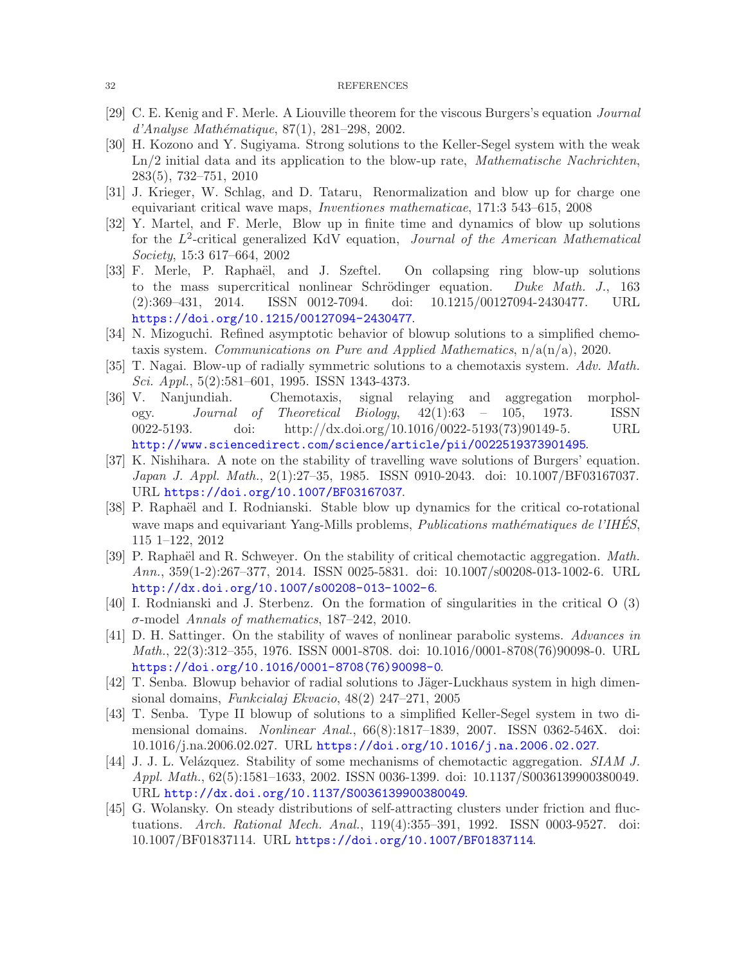- <span id="page-31-16"></span>[29] C. E. Kenig and F. Merle. A Liouville theorem for the viscous Burgers's equation Journal  $d'Analyse Mathématique, 87(1), 281–298, 2002.$
- <span id="page-31-1"></span>[30] H. Kozono and Y. Sugiyama. Strong solutions to the Keller-Segel system with the weak  $Ln/2$  initial data and its application to the blow-up rate, *Mathematische Nachrichten*, 283(5), 732–751, 2010
- <span id="page-31-9"></span>[31] J. Krieger, W. Schlag, and D. Tataru, Renormalization and blow up for charge one equivariant critical wave maps, Inventiones mathematicae, 171:3 543–615, 2008
- <span id="page-31-12"></span>[32] Y. Martel, and F. Merle, Blow up in finite time and dynamics of blow up solutions for the L<sup>2</sup>-critical generalized KdV equation, Journal of the American Mathematical Society, 15:3 617–664, 2002
- <span id="page-31-13"></span>[33] F. Merle, P. Raphaël, and J. Szeftel. On collapsing ring blow-up solutions to the mass supercritical nonlinear Schrödinger equation. Duke Math. J., 163 (2):369–431, 2014. ISSN 0012-7094. doi: 10.1215/00127094-2430477. URL <https://doi.org/10.1215/00127094-2430477>.
- <span id="page-31-7"></span>[34] N. Mizoguchi. Refined asymptotic behavior of blowup solutions to a simplified chemotaxis system. Communications on Pure and Applied Mathematics,  $n/a(n/a)$ , 2020.
- <span id="page-31-2"></span>[35] T. Nagai. Blow-up of radially symmetric solutions to a chemotaxis system. Adv. Math. Sci. Appl., 5(2):581–601, 1995. ISSN 1343-4373.
- <span id="page-31-4"></span>[36] V. Nanjundiah. Chemotaxis, signal relaying and aggregation morphology. Journal of Theoretical Biology, 42(1):63 – 105, 1973. ISSN 0022-5193. doi: http://dx.doi.org/10.1016/0022-5193(73)90149-5. URL <http://www.sciencedirect.com/science/article/pii/0022519373901495>.
- <span id="page-31-15"></span>[37] K. Nishihara. A note on the stability of travelling wave solutions of Burgers' equation. Japan J. Appl. Math., 2(1):27–35, 1985. ISSN 0910-2043. doi: 10.1007/BF03167037. URL <https://doi.org/10.1007/BF03167037>.
- <span id="page-31-10"></span>[38] P. Raphaël and I. Rodnianski. Stable blow up dynamics for the critical co-rotational wave maps and equivariant Yang-Mills problems, *Publications mathématiques de l'IHES*, 115 1–122, 2012
- <span id="page-31-6"></span>[39] P. Raphaël and R. Schweyer. On the stability of critical chemotactic aggregation. *Math.* Ann., 359(1-2):267–377, 2014. ISSN 0025-5831. doi: 10.1007/s00208-013-1002-6. URL <http://dx.doi.org/10.1007/s00208-013-1002-6>.
- <span id="page-31-11"></span>[40] I. Rodnianski and J. Sterbenz. On the formation of singularities in the critical O (3)  $\sigma$ -model Annals of mathematics, 187–242, 2010.
- <span id="page-31-14"></span>[41] D. H. Sattinger. On the stability of waves of nonlinear parabolic systems. Advances in Math., 22(3):312–355, 1976. ISSN 0001-8708. doi: 10.1016/0001-8708(76)90098-0. URL [https://doi.org/10.1016/0001-8708\(76\)90098-0](https://doi.org/10.1016/0001-8708(76)90098-0).
- <span id="page-31-8"></span>[42] T. Senba. Blowup behavior of radial solutions to Jäger-Luckhaus system in high dimensional domains, Funkcialaj Ekvacio, 48(2) 247–271, 2005
- <span id="page-31-3"></span>[43] T. Senba. Type II blowup of solutions to a simplified Keller-Segel system in two dimensional domains. Nonlinear Anal., 66(8):1817–1839, 2007. ISSN 0362-546X. doi: 10.1016/j.na.2006.02.027. URL <https://doi.org/10.1016/j.na.2006.02.027>.
- <span id="page-31-5"></span>[44] J. J. L. Velázquez. Stability of some mechanisms of chemotactic aggregation. SIAM J. Appl. Math., 62(5):1581–1633, 2002. ISSN 0036-1399. doi: 10.1137/S0036139900380049. URL <http://dx.doi.org/10.1137/S0036139900380049>.
- <span id="page-31-0"></span>[45] G. Wolansky. On steady distributions of self-attracting clusters under friction and fluctuations. Arch. Rational Mech. Anal., 119(4):355–391, 1992. ISSN 0003-9527. doi: 10.1007/BF01837114. URL <https://doi.org/10.1007/BF01837114>.